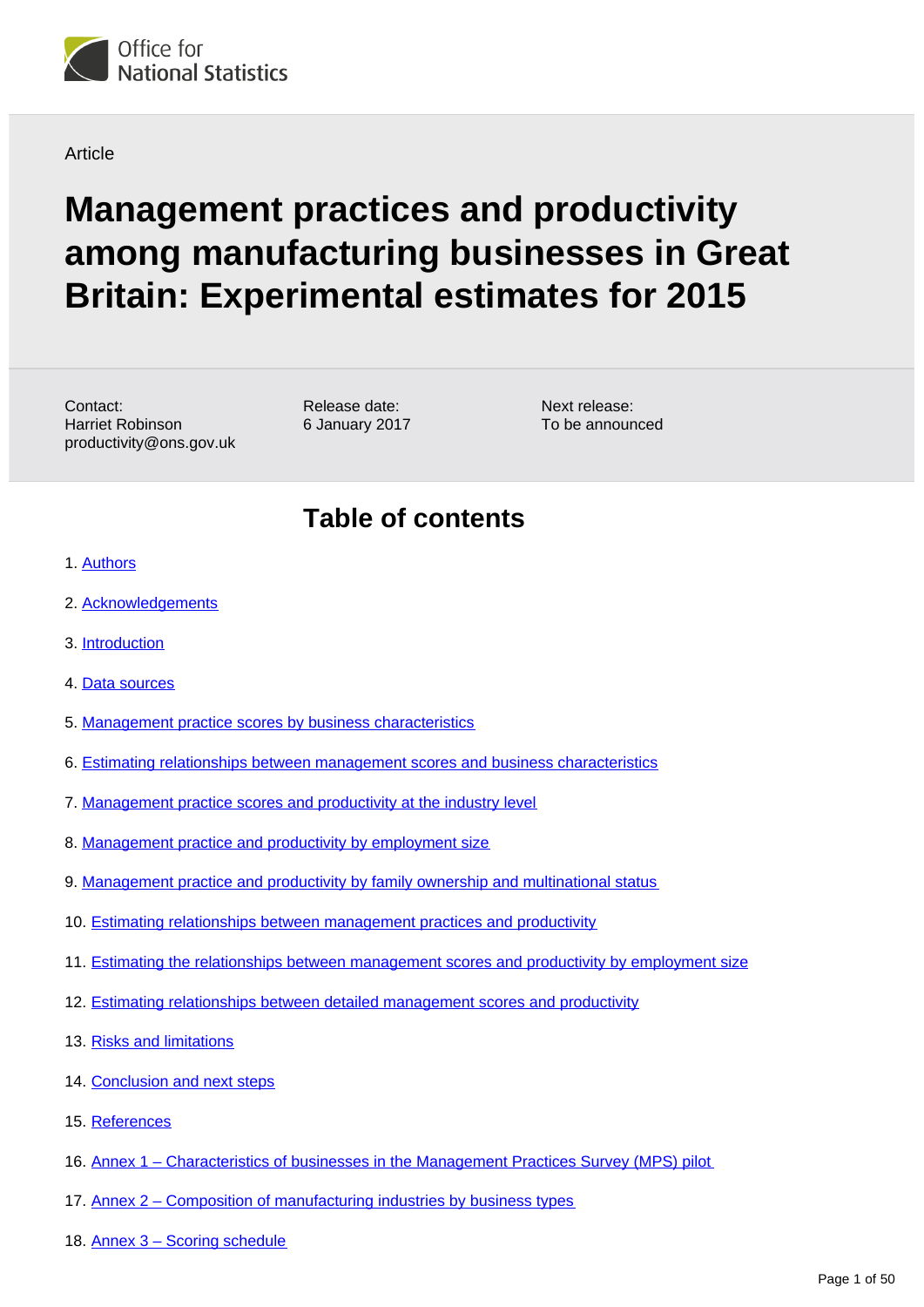

**Article** 

# **Management practices and productivity among manufacturing businesses in Great Britain: Experimental estimates for 2015**

Contact: Harriet Robinson productivity@ons.gov.uk

Release date: 6 January 2017

Next release: To be announced

### **Table of contents**

- 1. [Authors](#page-2-0)
- 2. [Acknowledgements](#page-2-1)
- 3. [Introduction](#page-2-2)
- 4. [Data sources](#page-3-0)
- 5. [Management practice scores by business characteristics](#page-4-0)
- 6. [Estimating relationships between management scores and business characteristics](#page-6-0)
- 7. [Management practice scores and productivity at the industry level](#page-16-0)
- 8. [Management practice and productivity by employment size](#page-18-0)
- 9. [Management practice and productivity by family ownership and multinational status](#page-19-0)
- 10. [Estimating relationships between management practices and productivity](#page-20-0)
- 11. [Estimating the relationships between management scores and productivity by employment size](#page-25-0)
- 12. [Estimating relationships between detailed management scores and productivity](#page-29-0)
- 13. [Risks and limitations](#page-34-0)
- 14. [Conclusion and next steps](#page-36-0)
- 15. [References](#page-36-1)
- 16. [Annex 1 Characteristics of businesses in the Management Practices Survey \(MPS\) pilot](#page-37-0)
- 17. [Annex 2 Composition of manufacturing industries by business types](#page-38-0)
- 18. [Annex 3 Scoring schedule](#page-41-0)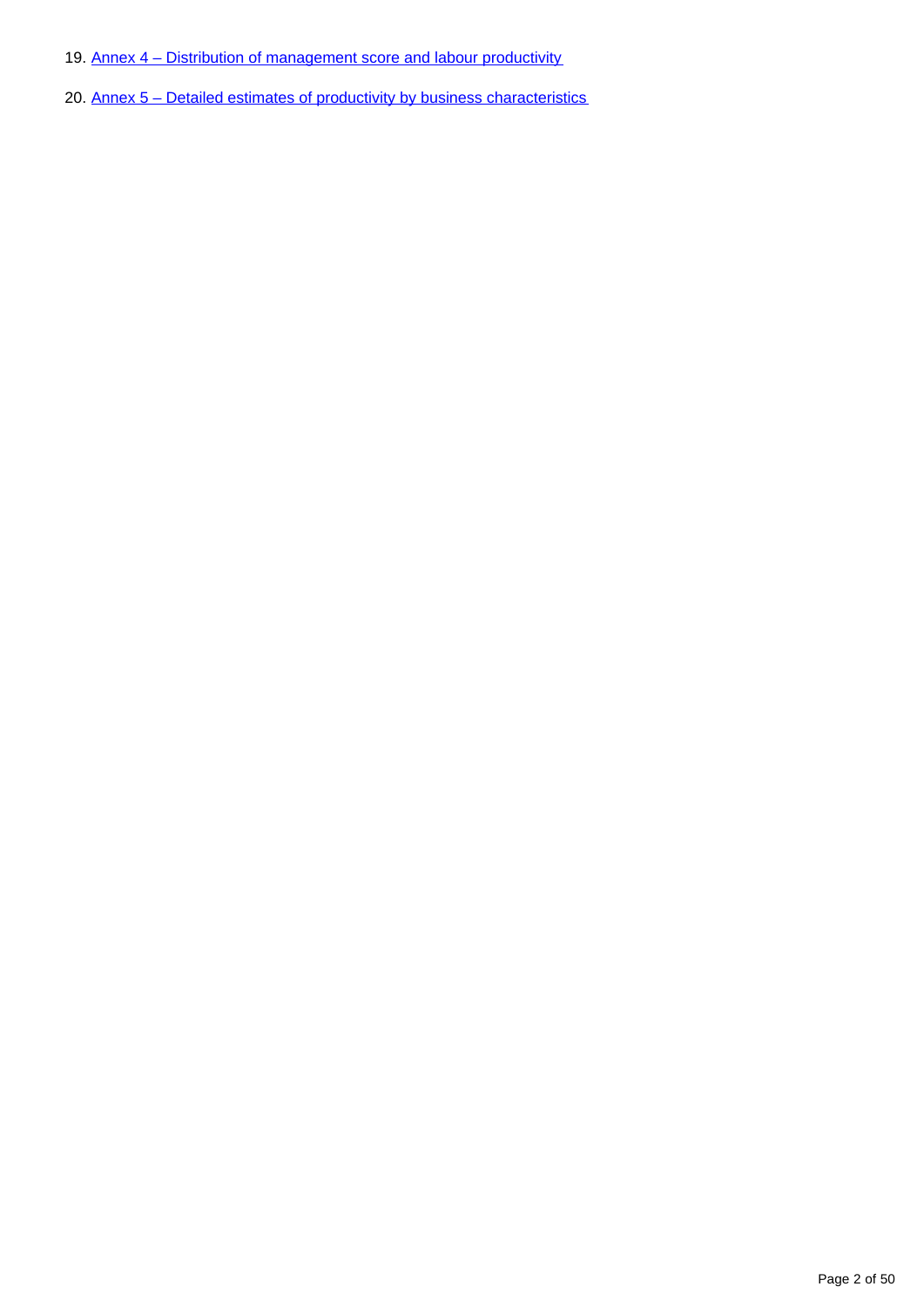- 19. [Annex 4 Distribution of management score and labour productivity](#page-45-0)
- 20. [Annex 5 Detailed estimates of productivity by business characteristics](#page-46-0)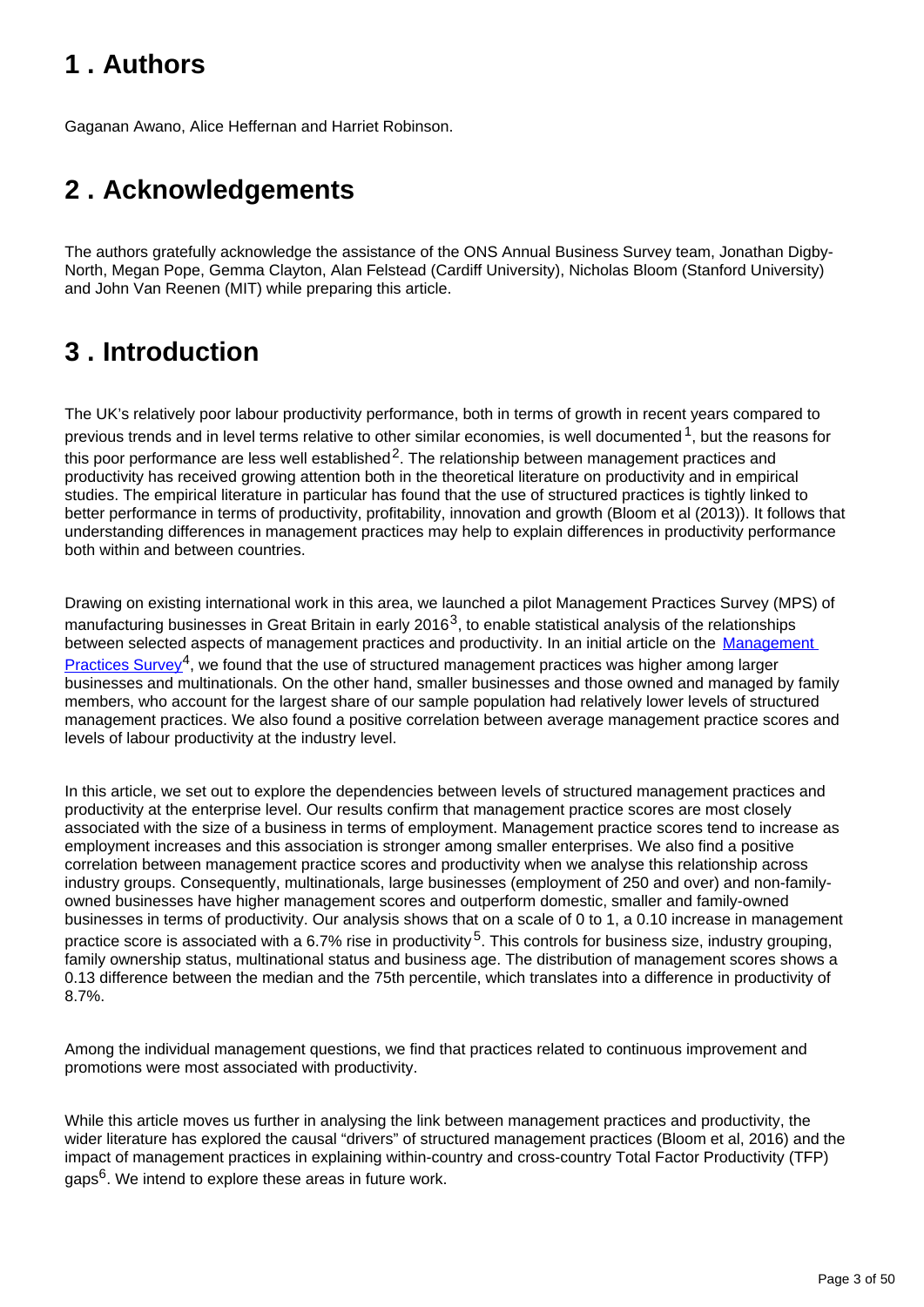## <span id="page-2-0"></span>**1 . Authors**

Gaganan Awano, Alice Heffernan and Harriet Robinson.

## <span id="page-2-1"></span>**2 . Acknowledgements**

The authors gratefully acknowledge the assistance of the ONS Annual Business Survey team, Jonathan Digby-North, Megan Pope, Gemma Clayton, Alan Felstead (Cardiff University), Nicholas Bloom (Stanford University) and John Van Reenen (MIT) while preparing this article.

## <span id="page-2-2"></span>**3 . Introduction**

The UK's relatively poor labour productivity performance, both in terms of growth in recent years compared to previous trends and in level terms relative to other similar economies, is well documented  $1$ , but the reasons for this poor performance are less well established<sup>2</sup>. The relationship between management practices and productivity has received growing attention both in the theoretical literature on productivity and in empirical studies. The empirical literature in particular has found that the use of structured practices is tightly linked to better performance in terms of productivity, profitability, innovation and growth (Bloom et al (2013)). It follows that understanding differences in management practices may help to explain differences in productivity performance both within and between countries.

Drawing on existing international work in this area, we launched a pilot Management Practices Survey (MPS) of manufacturing businesses in Great Britain in early 2016<sup>3</sup>, to enable statistical analysis of the relationships between selected aspects of management practices and productivity. In an initial article on the Management [Practices Survey](https://www.ons.gov.uk/employmentandlabourmarket/peopleinwork/labourproductivity/articles/experimentaldataonthemanagementpracticesofmanufacturingbusinessesingreatbritain/2016)<sup>4</sup>, we found that the use of structured management practices was higher among larger businesses and multinationals. On the other hand, smaller businesses and those owned and managed by family members, who account for the largest share of our sample population had relatively lower levels of structured management practices. We also found a positive correlation between average management practice scores and levels of labour productivity at the industry level.

In this article, we set out to explore the dependencies between levels of structured management practices and productivity at the enterprise level. Our results confirm that management practice scores are most closely associated with the size of a business in terms of employment. Management practice scores tend to increase as employment increases and this association is stronger among smaller enterprises. We also find a positive correlation between management practice scores and productivity when we analyse this relationship across industry groups. Consequently, multinationals, large businesses (employment of 250 and over) and non-familyowned businesses have higher management scores and outperform domestic, smaller and family-owned businesses in terms of productivity. Our analysis shows that on a scale of 0 to 1, a 0.10 increase in management practice score is associated with a 6.7% rise in productivity<sup>5</sup>. This controls for business size, industry grouping, family ownership status, multinational status and business age. The distribution of management scores shows a 0.13 difference between the median and the 75th percentile, which translates into a difference in productivity of 8.7%.

Among the individual management questions, we find that practices related to continuous improvement and promotions were most associated with productivity.

While this article moves us further in analysing the link between management practices and productivity, the wider literature has explored the causal "drivers" of structured management practices (Bloom et al, 2016) and the impact of management practices in explaining within-country and cross-country Total Factor Productivity (TFP) gaps $6$ . We intend to explore these areas in future work.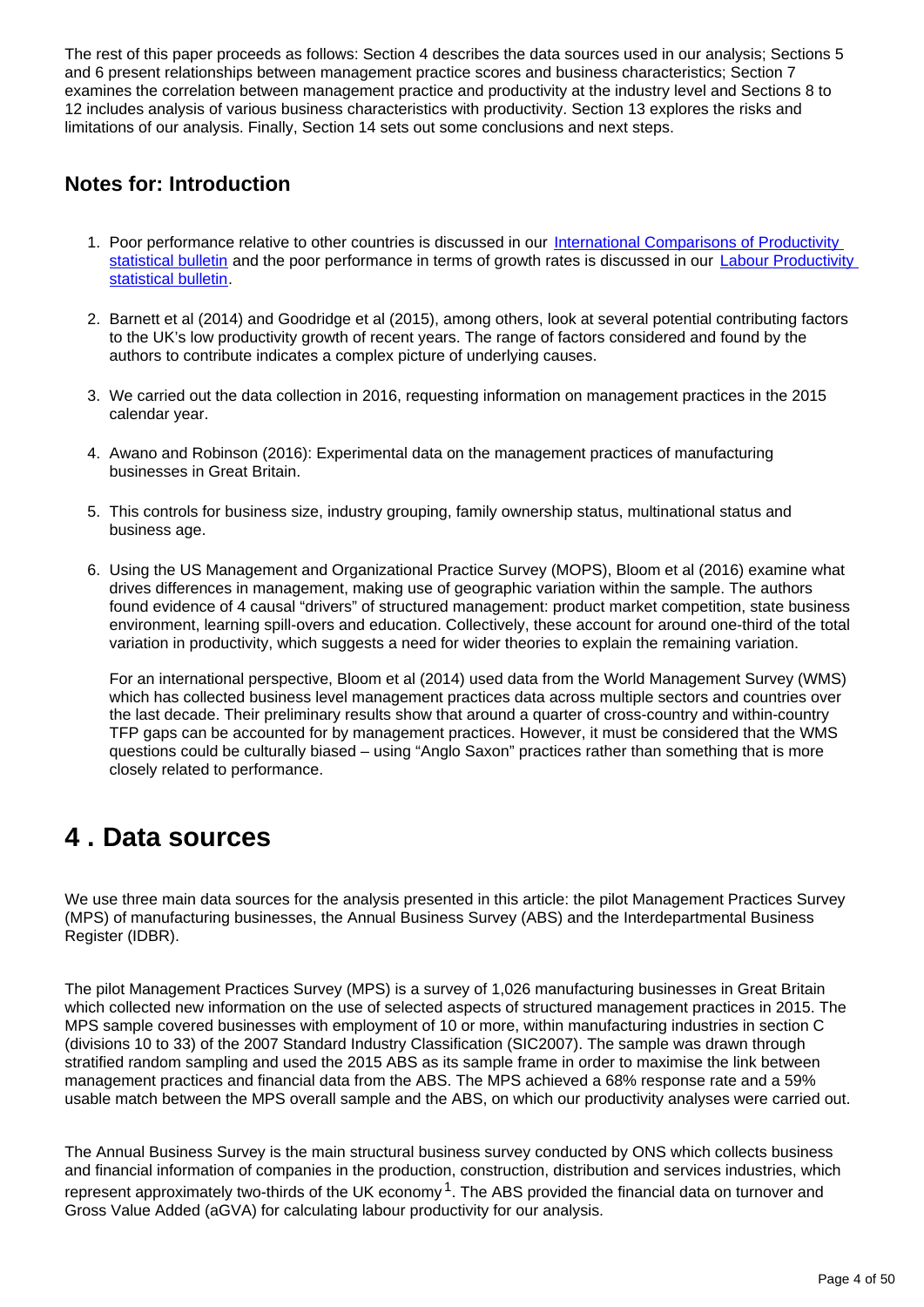The rest of this paper proceeds as follows: Section 4 describes the data sources used in our analysis; Sections 5 and 6 present relationships between management practice scores and business characteristics; Section 7 examines the correlation between management practice and productivity at the industry level and Sections 8 to 12 includes analysis of various business characteristics with productivity. Section 13 explores the risks and limitations of our analysis. Finally, Section 14 sets out some conclusions and next steps.

### **Notes for: Introduction**

- 1. Poor performance relative to other countries is discussed in our International Comparisons of Productivity [statistical bulletin](https://www.ons.gov.uk/economy/economicoutputandproductivity/productivitymeasures/bulletins/internationalcomparisonsofproductivityfirstestimates/2015) and the poor performance in terms of growth rates is discussed in our [Labour Productivity](http://%20%20https://www.ons.gov.uk/employmentandlabourmarket/peopleinwork/labourproductivity/bulletins/labourproductivity/julytosept2016)  [statistical bulletin](http://%20%20https://www.ons.gov.uk/employmentandlabourmarket/peopleinwork/labourproductivity/bulletins/labourproductivity/julytosept2016).
- 2. Barnett et al (2014) and Goodridge et al (2015), among others, look at several potential contributing factors to the UK's low productivity growth of recent years. The range of factors considered and found by the authors to contribute indicates a complex picture of underlying causes.
- 3. We carried out the data collection in 2016, requesting information on management practices in the 2015 calendar year.
- 4. Awano and Robinson (2016): Experimental data on the management practices of manufacturing businesses in Great Britain.
- 5. This controls for business size, industry grouping, family ownership status, multinational status and business age.
- 6. Using the US Management and Organizational Practice Survey (MOPS), Bloom et al (2016) examine what drives differences in management, making use of geographic variation within the sample. The authors found evidence of 4 causal "drivers" of structured management: product market competition, state business environment, learning spill-overs and education. Collectively, these account for around one-third of the total variation in productivity, which suggests a need for wider theories to explain the remaining variation.

For an international perspective, Bloom et al (2014) used data from the World Management Survey (WMS) which has collected business level management practices data across multiple sectors and countries over the last decade. Their preliminary results show that around a quarter of cross-country and within-country TFP gaps can be accounted for by management practices. However, it must be considered that the WMS questions could be culturally biased – using "Anglo Saxon" practices rather than something that is more closely related to performance.

### <span id="page-3-0"></span>**4 . Data sources**

We use three main data sources for the analysis presented in this article: the pilot Management Practices Survey (MPS) of manufacturing businesses, the Annual Business Survey (ABS) and the Interdepartmental Business Register (IDBR).

The pilot Management Practices Survey (MPS) is a survey of 1,026 manufacturing businesses in Great Britain which collected new information on the use of selected aspects of structured management practices in 2015. The MPS sample covered businesses with employment of 10 or more, within manufacturing industries in section C (divisions 10 to 33) of the 2007 Standard Industry Classification (SIC2007). The sample was drawn through stratified random sampling and used the 2015 ABS as its sample frame in order to maximise the link between management practices and financial data from the ABS. The MPS achieved a 68% response rate and a 59% usable match between the MPS overall sample and the ABS, on which our productivity analyses were carried out.

The Annual Business Survey is the main structural business survey conducted by ONS which collects business and financial information of companies in the production, construction, distribution and services industries, which represent approximately two-thirds of the UK economy  $1$ . The ABS provided the financial data on turnover and Gross Value Added (aGVA) for calculating labour productivity for our analysis.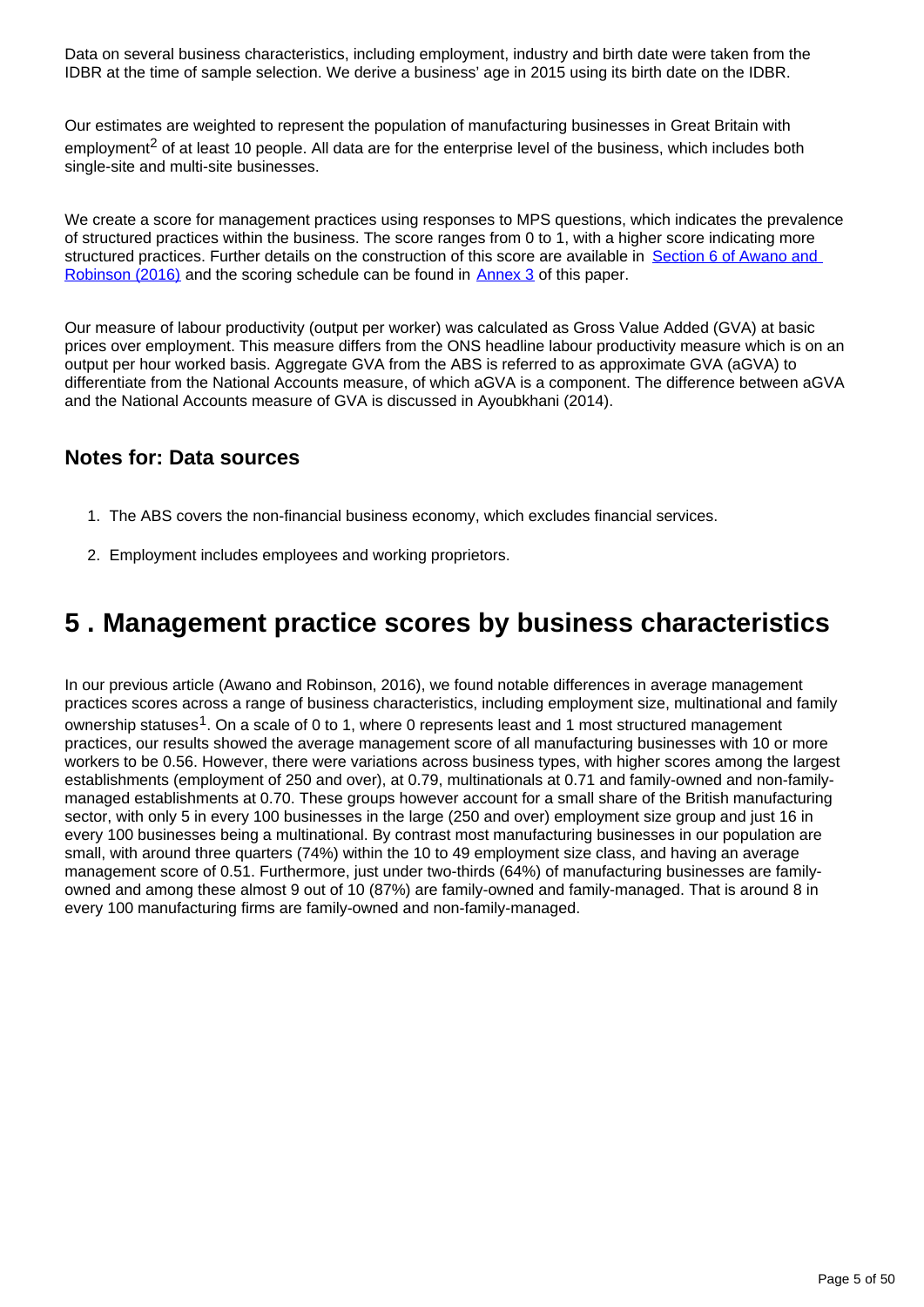Data on several business characteristics, including employment, industry and birth date were taken from the IDBR at the time of sample selection. We derive a business' age in 2015 using its birth date on the IDBR.

Our estimates are weighted to represent the population of manufacturing businesses in Great Britain with employment<sup>2</sup> of at least 10 people. All data are for the enterprise level of the business, which includes both single-site and multi-site businesses.

We create a score for management practices using responses to MPS questions, which indicates the prevalence of structured practices within the business. The score ranges from 0 to 1, with a higher score indicating more structured practices. Further details on the construction of this score are available in Section 6 of Awano and [Robinson \(2016\)](https://www.ons.gov.uk/employmentandlabourmarket/peopleinwork/labourproductivity/articles/experimentaldataonthemanagementpracticesofmanufacturingbusinessesingreatbritain/2016) and the scoring schedule can be found in [Annex 3](https://www.ons.gov.ukhttps://publishing.onsdigital.co.uk/employmentandlabourmarket/peopleinwork/labourproductivity/articles/experimentaldataonthemanagementpracticesofmanufacturingbusinessesingreatbritain/experimentalestimatesfor2015#annex-3-scoring-schedule) of this paper.

Our measure of labour productivity (output per worker) was calculated as Gross Value Added (GVA) at basic prices over employment. This measure differs from the ONS headline labour productivity measure which is on an output per hour worked basis. Aggregate GVA from the ABS is referred to as approximate GVA (aGVA) to differentiate from the National Accounts measure, of which aGVA is a component. The difference between aGVA and the National Accounts measure of GVA is discussed in Ayoubkhani (2014).

### **Notes for: Data sources**

- 1. The ABS covers the non-financial business economy, which excludes financial services.
- 2. Employment includes employees and working proprietors.

## <span id="page-4-0"></span>**5 . Management practice scores by business characteristics**

In our previous article (Awano and Robinson, 2016), we found notable differences in average management practices scores across a range of business characteristics, including employment size, multinational and family ownership statuses<sup>1</sup>. On a scale of 0 to 1, where 0 represents least and 1 most structured management practices, our results showed the average management score of all manufacturing businesses with 10 or more workers to be 0.56. However, there were variations across business types, with higher scores among the largest establishments (employment of 250 and over), at 0.79, multinationals at 0.71 and family-owned and non-familymanaged establishments at 0.70. These groups however account for a small share of the British manufacturing sector, with only 5 in every 100 businesses in the large (250 and over) employment size group and just 16 in every 100 businesses being a multinational. By contrast most manufacturing businesses in our population are small, with around three quarters (74%) within the 10 to 49 employment size class, and having an average management score of 0.51. Furthermore, just under two-thirds (64%) of manufacturing businesses are familyowned and among these almost 9 out of 10 (87%) are family-owned and family-managed. That is around 8 in every 100 manufacturing firms are family-owned and non-family-managed.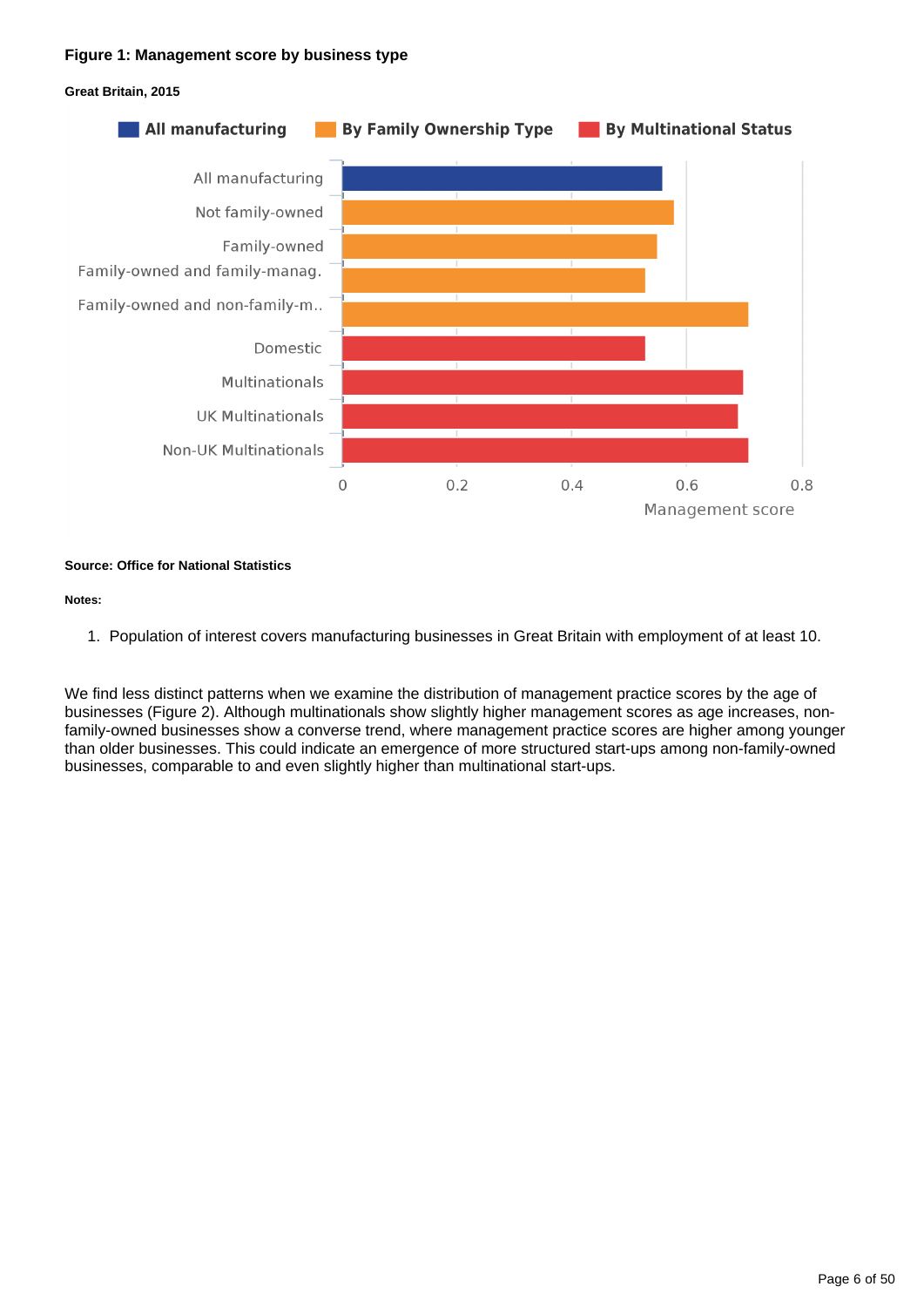#### **Figure 1: Management score by business type**





#### **Source: Office for National Statistics**

#### **Notes:**

1. Population of interest covers manufacturing businesses in Great Britain with employment of at least 10.

We find less distinct patterns when we examine the distribution of management practice scores by the age of businesses (Figure 2). Although multinationals show slightly higher management scores as age increases, nonfamily-owned businesses show a converse trend, where management practice scores are higher among younger than older businesses. This could indicate an emergence of more structured start-ups among non-family-owned businesses, comparable to and even slightly higher than multinational start-ups.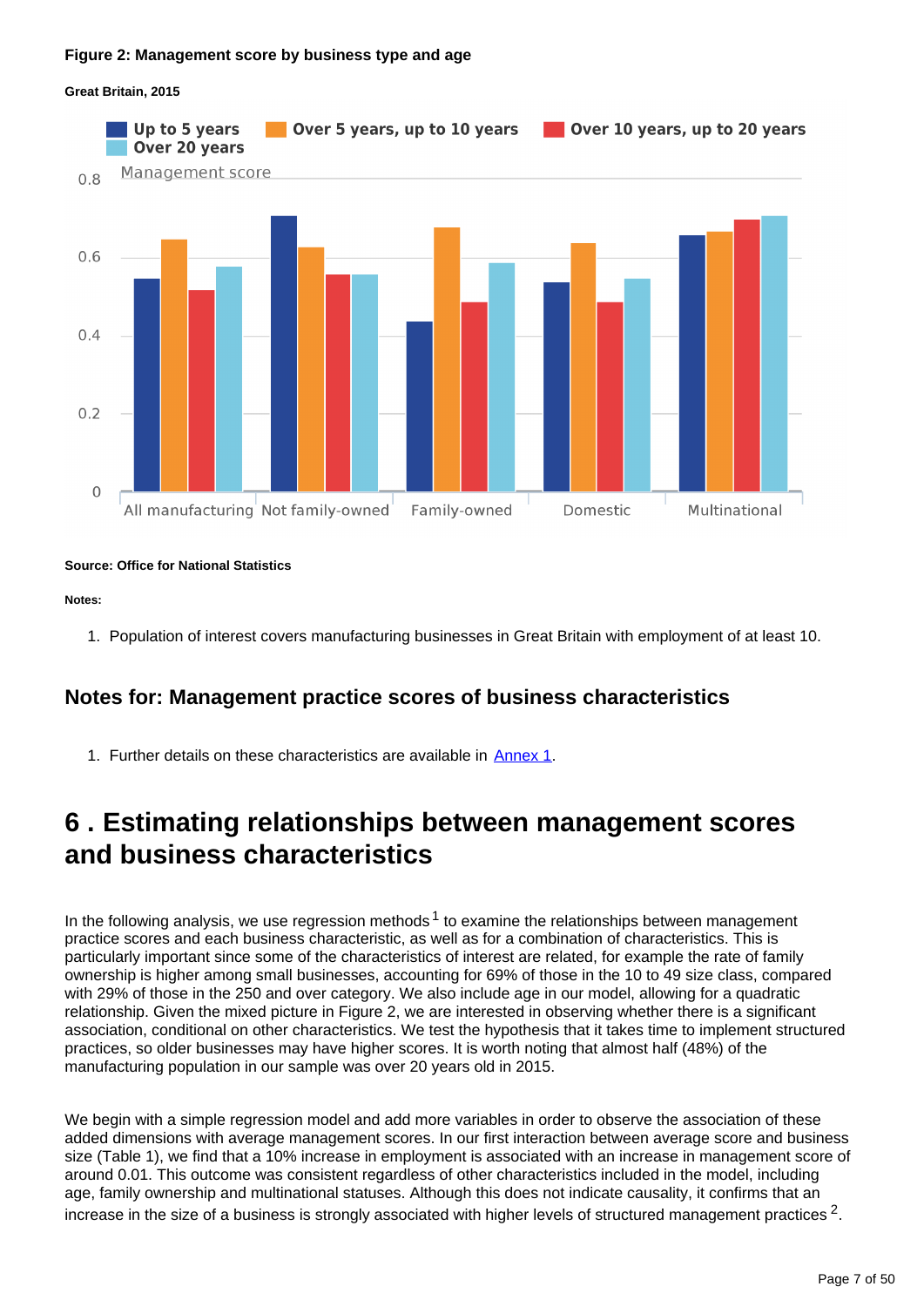#### **Figure 2: Management score by business type and age**



#### **Great Britain, 2015**

#### **Source: Office for National Statistics**

#### **Notes:**

1. Population of interest covers manufacturing businesses in Great Britain with employment of at least 10.

### **Notes for: Management practice scores of business characteristics**

1. Further details on these characteristics are available in **Annex 1**.

### <span id="page-6-0"></span>**6 . Estimating relationships between management scores and business characteristics**

In the following analysis, we use regression methods<sup>1</sup> to examine the relationships between management practice scores and each business characteristic, as well as for a combination of characteristics. This is particularly important since some of the characteristics of interest are related, for example the rate of family ownership is higher among small businesses, accounting for 69% of those in the 10 to 49 size class, compared with 29% of those in the 250 and over category. We also include age in our model, allowing for a quadratic relationship. Given the mixed picture in Figure 2, we are interested in observing whether there is a significant association, conditional on other characteristics. We test the hypothesis that it takes time to implement structured practices, so older businesses may have higher scores. It is worth noting that almost half (48%) of the manufacturing population in our sample was over 20 years old in 2015.

We begin with a simple regression model and add more variables in order to observe the association of these added dimensions with average management scores. In our first interaction between average score and business size (Table 1), we find that a 10% increase in employment is associated with an increase in management score of around 0.01. This outcome was consistent regardless of other characteristics included in the model, including age, family ownership and multinational statuses. Although this does not indicate causality, it confirms that an increase in the size of a business is strongly associated with higher levels of structured management practices  $^2$ .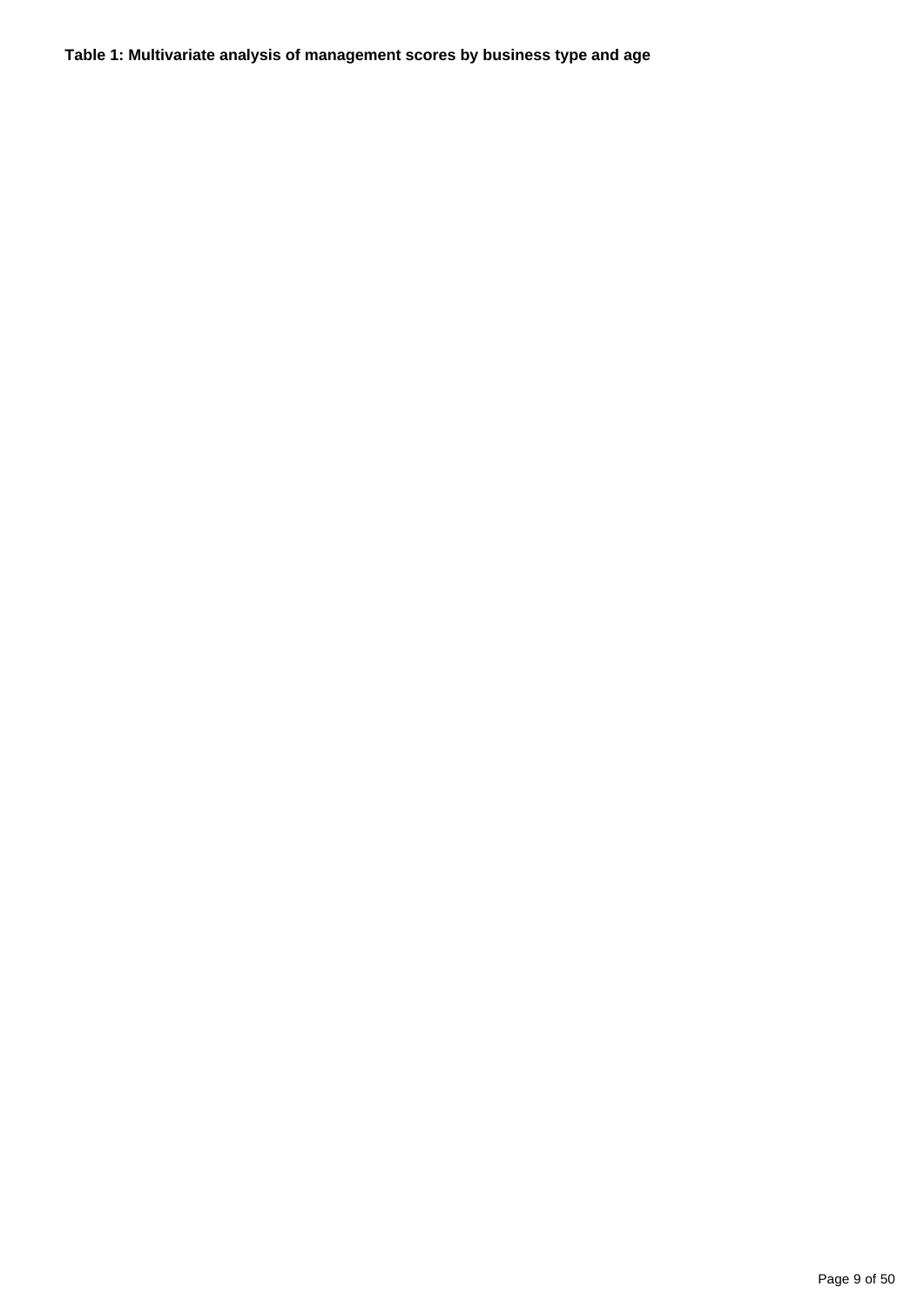**Table 1: Multivariate analysis of management scores by business type and age**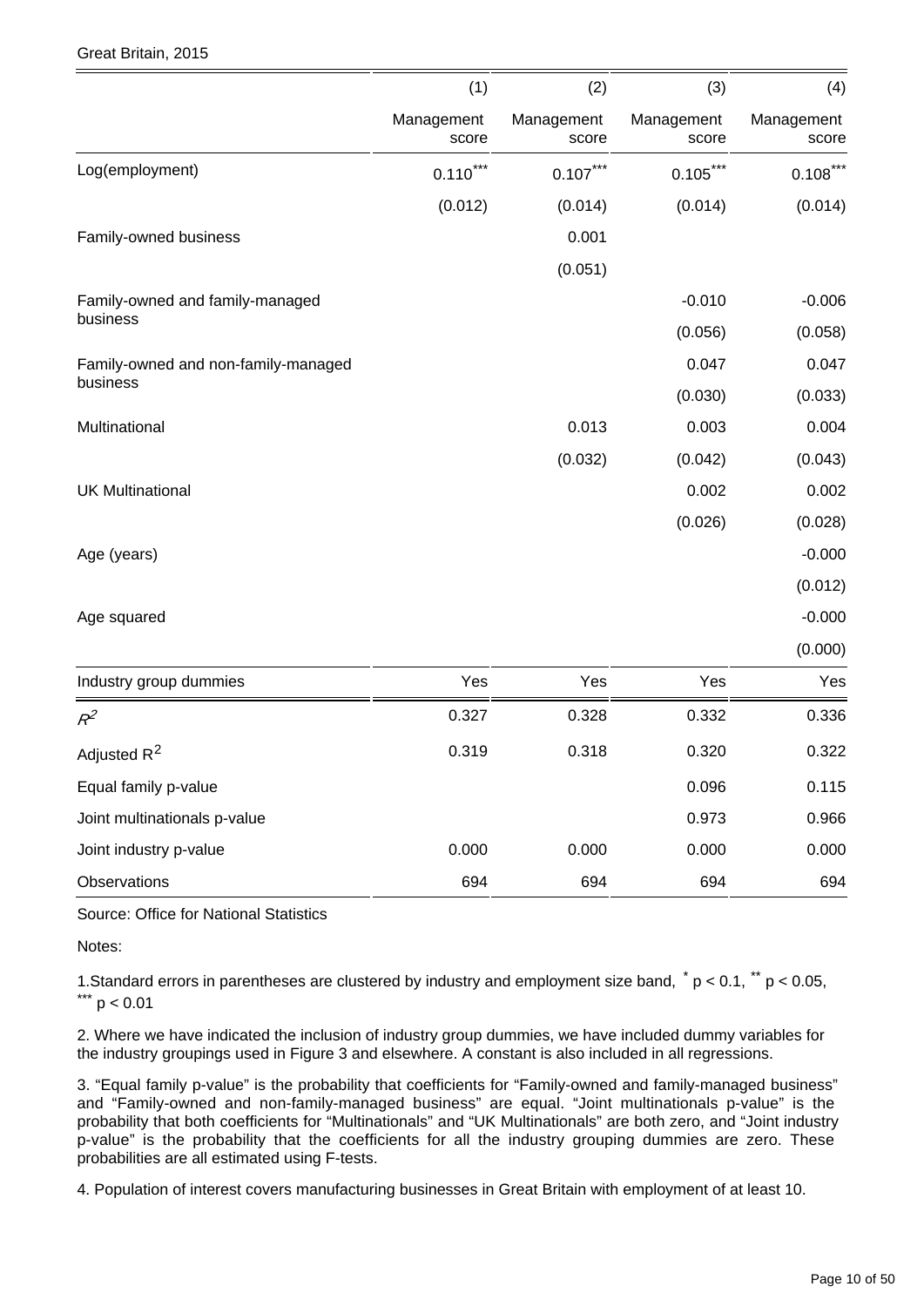|  | Great Britain, 2015 |  |
|--|---------------------|--|
|--|---------------------|--|

|                                     | (1)                 | (2)                 | (3)                 | (4)                 |
|-------------------------------------|---------------------|---------------------|---------------------|---------------------|
|                                     | Management<br>score | Management<br>score | Management<br>score | Management<br>score |
| Log(employment)                     | ***<br>0.110        | $0.107***$          | $0.105***$          | $0.108***$          |
|                                     | (0.012)             | (0.014)             | (0.014)             | (0.014)             |
| Family-owned business               |                     | 0.001               |                     |                     |
|                                     |                     | (0.051)             |                     |                     |
| Family-owned and family-managed     |                     |                     | $-0.010$            | $-0.006$            |
| business                            |                     |                     | (0.056)             | (0.058)             |
| Family-owned and non-family-managed |                     |                     | 0.047               | 0.047               |
| business                            |                     |                     | (0.030)             | (0.033)             |
| Multinational                       |                     | 0.013               | 0.003               | 0.004               |
|                                     |                     | (0.032)             | (0.042)             | (0.043)             |
| <b>UK Multinational</b>             |                     |                     | 0.002               | 0.002               |
|                                     |                     |                     | (0.026)             | (0.028)             |
| Age (years)                         |                     |                     |                     | $-0.000$            |
|                                     |                     |                     |                     | (0.012)             |
| Age squared                         |                     |                     |                     | $-0.000$            |
|                                     |                     |                     |                     | (0.000)             |
| Industry group dummies              | Yes                 | Yes                 | Yes                 | Yes                 |
| $R^2$                               | 0.327               | 0.328               | 0.332               | 0.336               |
| Adjusted R <sup>2</sup>             | 0.319               | 0.318               | 0.320               | 0.322               |
| Equal family p-value                |                     |                     | 0.096               | 0.115               |
| Joint multinationals p-value        |                     |                     | 0.973               | 0.966               |
| Joint industry p-value              | 0.000               | 0.000               | 0.000               | 0.000               |
| Observations                        | 694                 | 694                 | 694                 | 694                 |

Source: Office for National Statistics

Notes:

1. Standard errors in parentheses are clustered by industry and employment size band,  $p < 0.1$ ,  $p < 0.05$ ,  $*** p < 0.01$ 

2. Where we have indicated the inclusion of industry group dummies, we have included dummy variables for the industry groupings used in Figure 3 and elsewhere. A constant is also included in all regressions.

3. "Equal family p-value" is the probability that coefficients for "Family-owned and family-managed business" and "Family-owned and non-family-managed business" are equal. "Joint multinationals p-value" is the probability that both coefficients for "Multinationals" and "UK Multinationals" are both zero, and "Joint industry p-value" is the probability that the coefficients for all the industry grouping dummies are zero. These probabilities are all estimated using F-tests.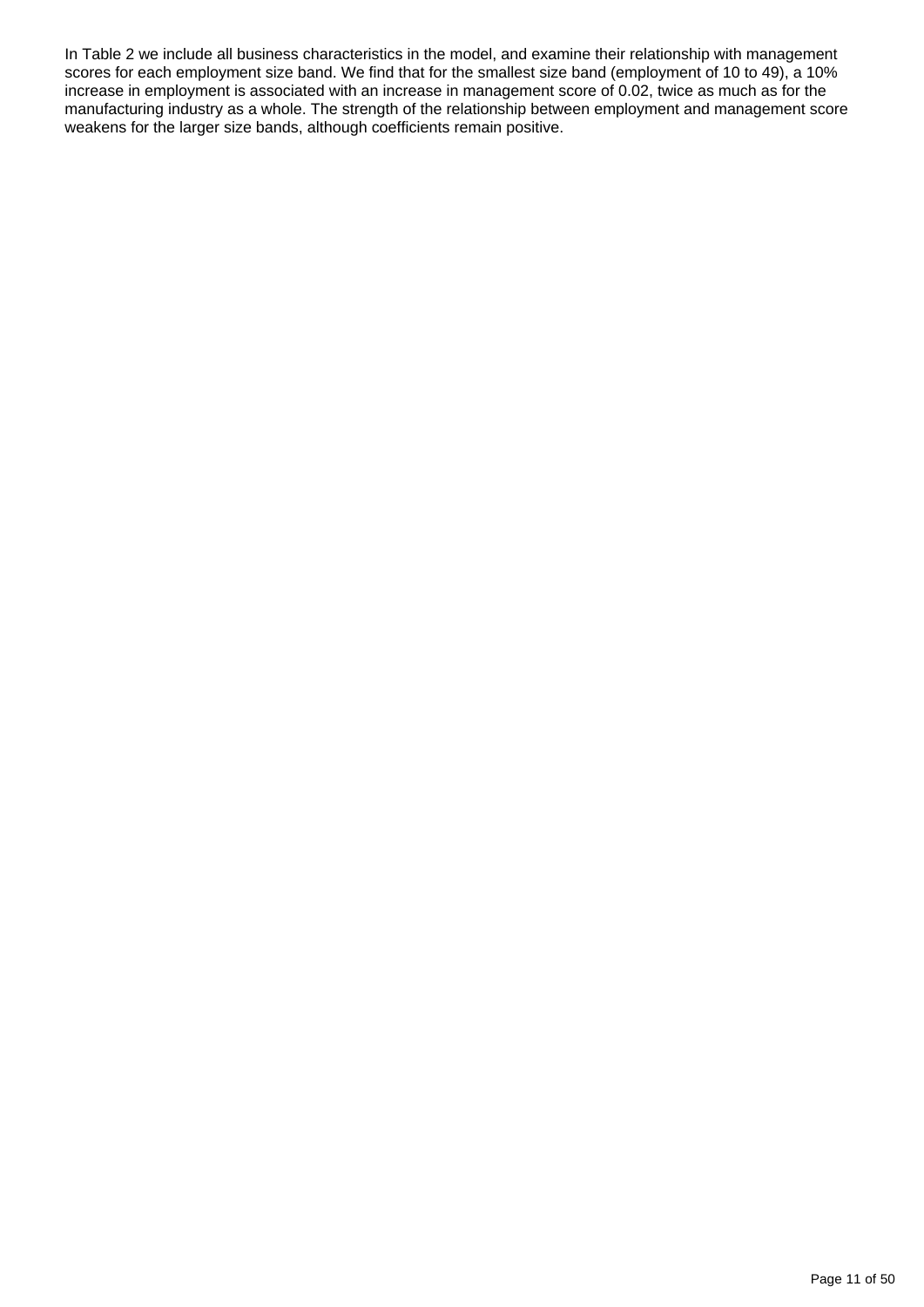In Table 2 we include all business characteristics in the model, and examine their relationship with management scores for each employment size band. We find that for the smallest size band (employment of 10 to 49), a 10% increase in employment is associated with an increase in management score of 0.02, twice as much as for the manufacturing industry as a whole. The strength of the relationship between employment and management score weakens for the larger size bands, although coefficients remain positive.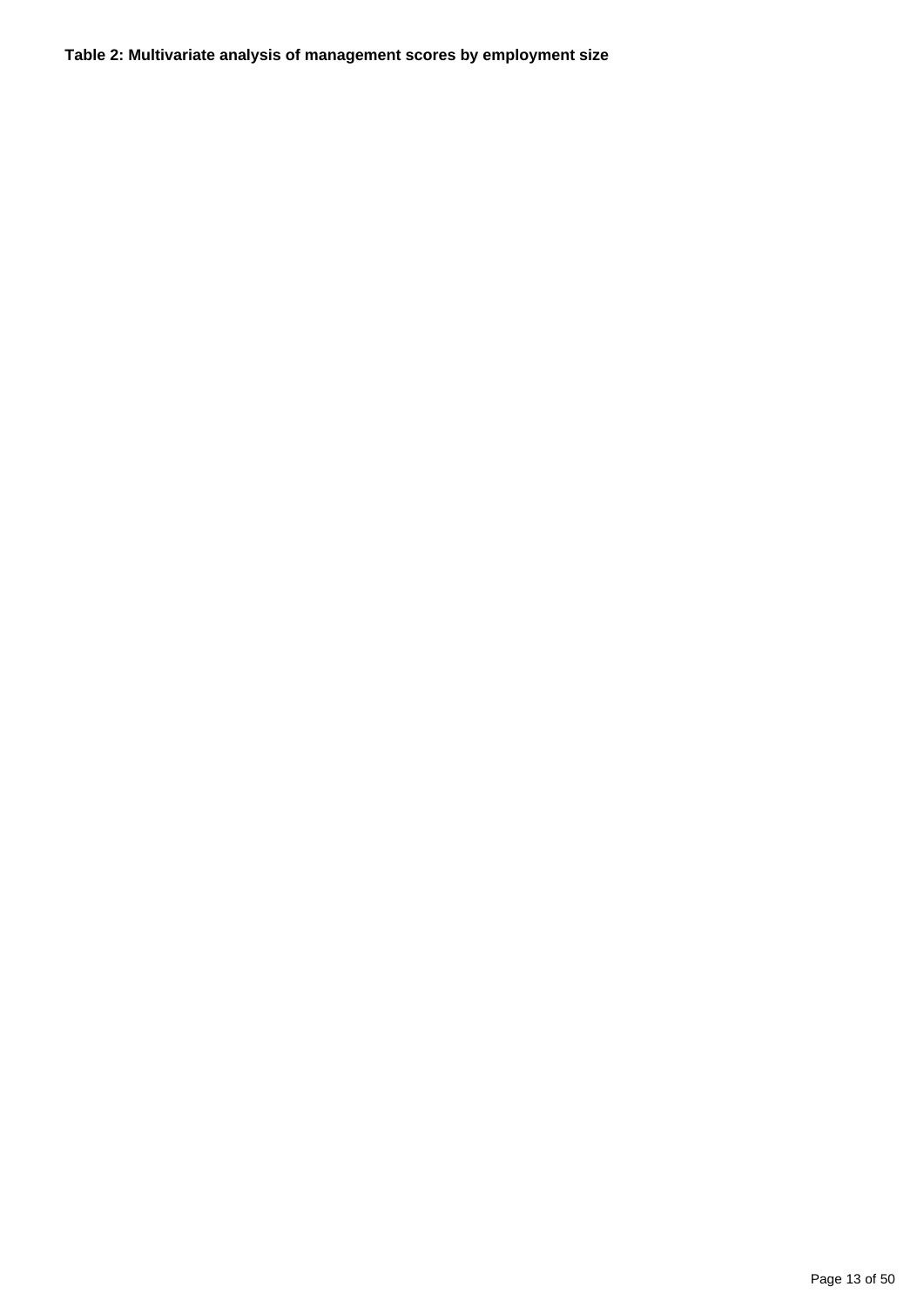**Table 2: Multivariate analysis of management scores by employment size**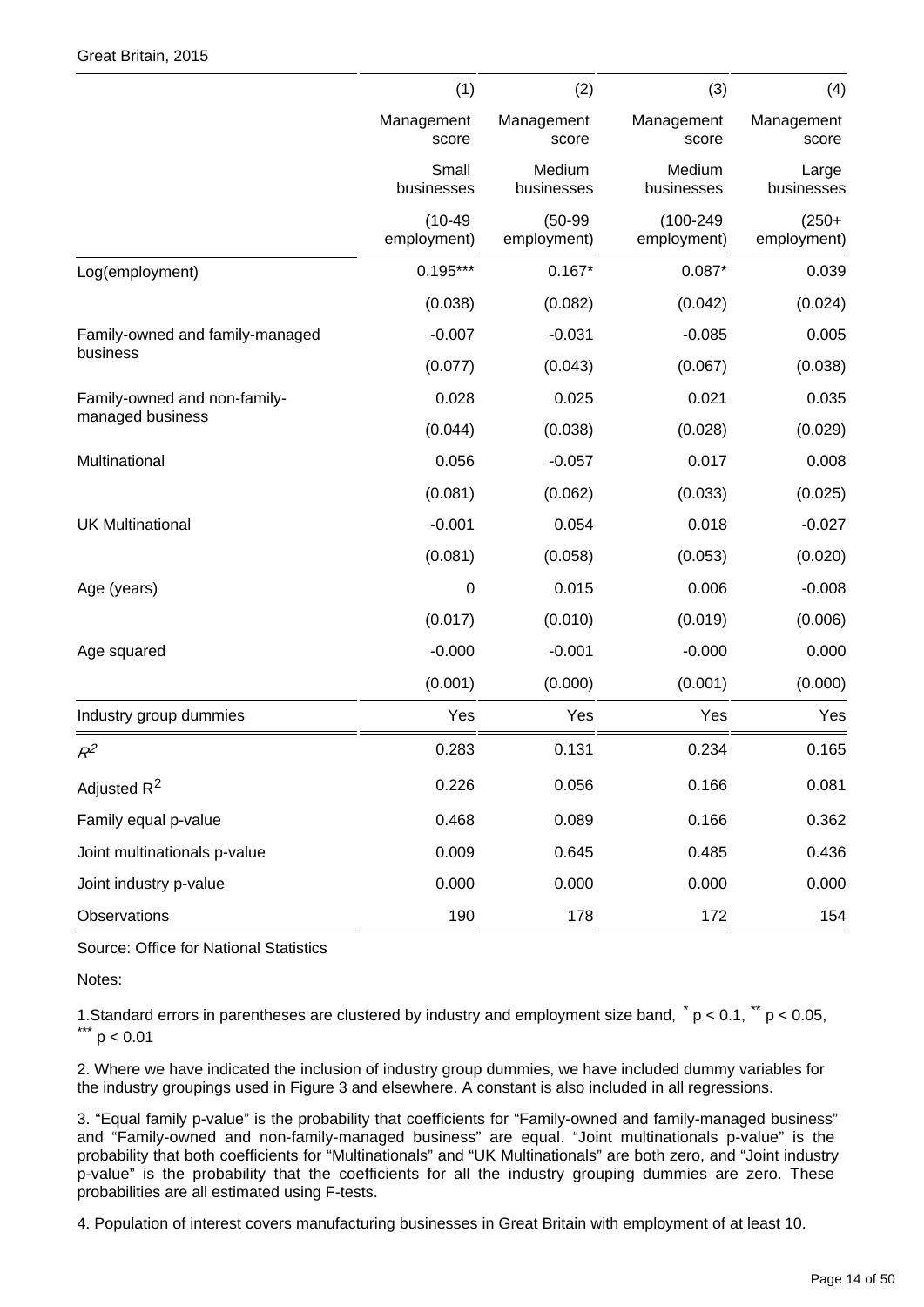|                                 | (1)                      | (2)                      | (3)                         | (4)                    |
|---------------------------------|--------------------------|--------------------------|-----------------------------|------------------------|
|                                 | Management<br>score      | Management<br>score      | Management<br>score         | Management<br>score    |
|                                 | Small<br>businesses      | Medium<br>businesses     | Medium<br>businesses        | Large<br>businesses    |
|                                 | $(10-49)$<br>employment) | $(50-99)$<br>employment) | $(100 - 249$<br>employment) | $(250+$<br>employment) |
| Log(employment)                 | $0.195***$               | $0.167*$                 | $0.087*$                    | 0.039                  |
|                                 | (0.038)                  | (0.082)                  | (0.042)                     | (0.024)                |
| Family-owned and family-managed | $-0.007$                 | $-0.031$                 | $-0.085$                    | 0.005                  |
| business                        | (0.077)                  | (0.043)                  | (0.067)                     | (0.038)                |
| Family-owned and non-family-    | 0.028                    | 0.025                    | 0.021                       | 0.035                  |
| managed business                | (0.044)                  | (0.038)                  | (0.028)                     | (0.029)                |
| Multinational                   | 0.056                    | $-0.057$                 | 0.017                       | 0.008                  |
|                                 | (0.081)                  | (0.062)                  | (0.033)                     | (0.025)                |
| <b>UK Multinational</b>         | $-0.001$                 | 0.054                    | 0.018                       | $-0.027$               |
|                                 | (0.081)                  | (0.058)                  | (0.053)                     | (0.020)                |
| Age (years)                     | 0                        | 0.015                    | 0.006                       | $-0.008$               |
|                                 | (0.017)                  | (0.010)                  | (0.019)                     | (0.006)                |
| Age squared                     | $-0.000$                 | $-0.001$                 | $-0.000$                    | 0.000                  |
|                                 | (0.001)                  | (0.000)                  | (0.001)                     | (0.000)                |
| Industry group dummies          | Yes                      | Yes                      | Yes                         | Yes                    |
| $R^2$                           | 0.283                    | 0.131                    | 0.234                       | 0.165                  |
| Adjusted R <sup>2</sup>         | 0.226                    | 0.056                    | 0.166                       | 0.081                  |
| Family equal p-value            | 0.468                    | 0.089                    | 0.166                       | 0.362                  |
| Joint multinationals p-value    | 0.009                    | 0.645                    | 0.485                       | 0.436                  |
| Joint industry p-value          | 0.000                    | 0.000                    | 0.000                       | 0.000                  |
| Observations                    | 190                      | 178                      | 172                         | 154                    |

Source: Office for National Statistics

Notes:

1. Standard errors in parentheses are clustered by industry and employment size band,  $p < 0.1$ ,  $p < 0.05$ ,  $*** p < 0.01$ 

2. Where we have indicated the inclusion of industry group dummies, we have included dummy variables for the industry groupings used in Figure 3 and elsewhere. A constant is also included in all regressions.

3. "Equal family p-value" is the probability that coefficients for "Family-owned and family-managed business" and "Family-owned and non-family-managed business" are equal. "Joint multinationals p-value" is the probability that both coefficients for "Multinationals" and "UK Multinationals" are both zero, and "Joint industry p-value" is the probability that the coefficients for all the industry grouping dummies are zero. These probabilities are all estimated using F-tests.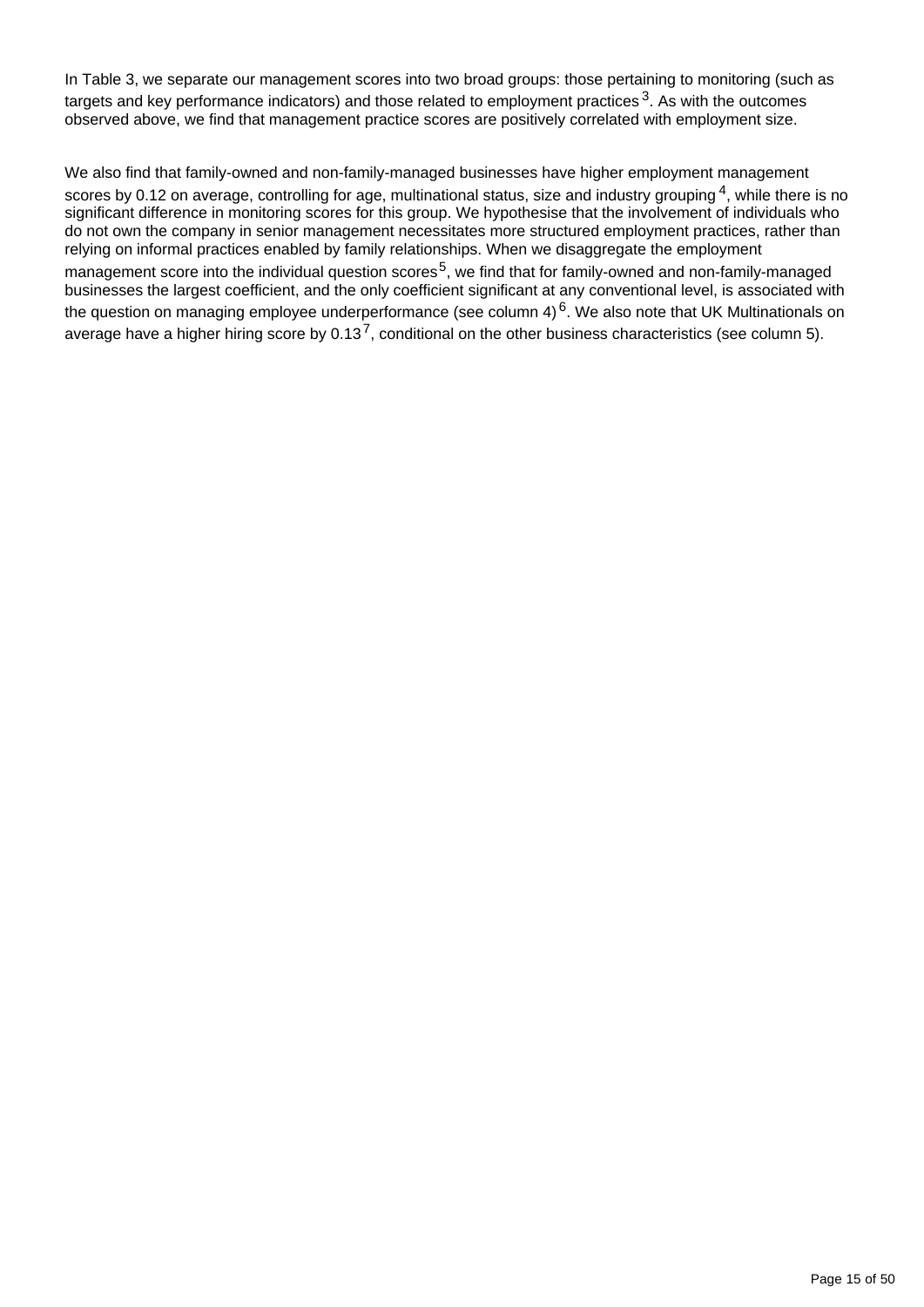In Table 3, we separate our management scores into two broad groups: those pertaining to monitoring (such as targets and key performance indicators) and those related to employment practices  $3$ . As with the outcomes observed above, we find that management practice scores are positively correlated with employment size.

We also find that family-owned and non-family-managed businesses have higher employment management scores by 0.12 on average, controlling for age, multinational status, size and industry grouping  $4$ , while there is no significant difference in monitoring scores for this group. We hypothesise that the involvement of individuals who do not own the company in senior management necessitates more structured employment practices, rather than relying on informal practices enabled by family relationships. When we disaggregate the employment management score into the individual question scores<sup>5</sup>, we find that for family-owned and non-family-managed businesses the largest coefficient, and the only coefficient significant at any conventional level, is associated with the question on managing employee underperformance (see column  $4)^6$ . We also note that UK Multinationals on average have a higher hiring score by  $0.13^7$ , conditional on the other business characteristics (see column 5).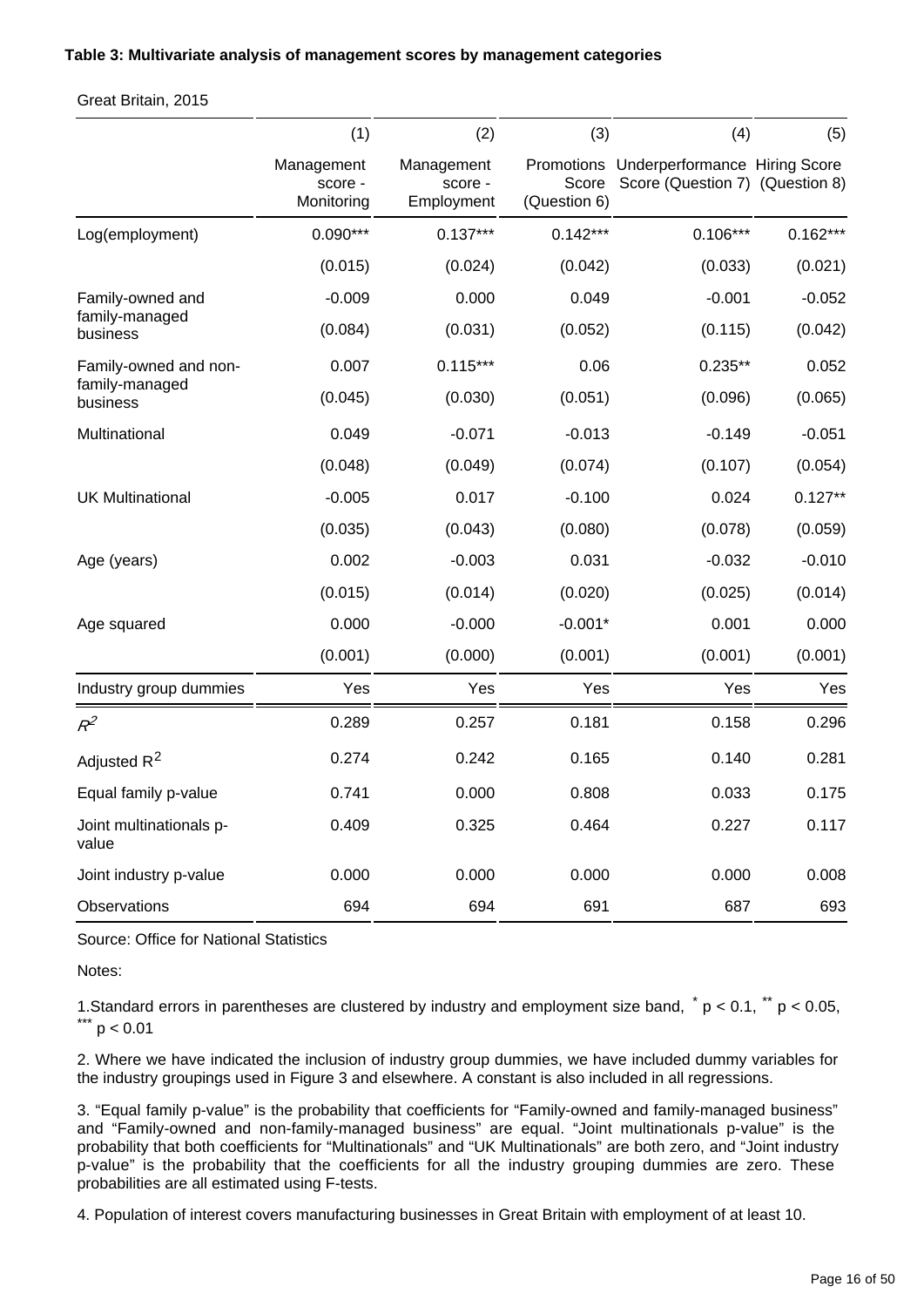#### **Table 3: Multivariate analysis of management scores by management categories**

Great Britain, 2015

|                                  | (1)                                 | (2)                                 | (3)                   | (4)                                                                         | (5)        |
|----------------------------------|-------------------------------------|-------------------------------------|-----------------------|-----------------------------------------------------------------------------|------------|
|                                  | Management<br>score -<br>Monitoring | Management<br>score -<br>Employment | Score<br>(Question 6) | Promotions Underperformance Hiring Score<br>Score (Question 7) (Question 8) |            |
| Log(employment)                  | $0.090***$                          | $0.137***$                          | $0.142***$            | $0.106***$                                                                  | $0.162***$ |
|                                  | (0.015)                             | (0.024)                             | (0.042)               | (0.033)                                                                     | (0.021)    |
| Family-owned and                 | $-0.009$                            | 0.000                               | 0.049                 | $-0.001$                                                                    | $-0.052$   |
| family-managed<br>business       | (0.084)                             | (0.031)                             | (0.052)               | (0.115)                                                                     | (0.042)    |
| Family-owned and non-            | 0.007                               | $0.115***$                          | 0.06                  | $0.235**$                                                                   | 0.052      |
| family-managed<br>business       | (0.045)                             | (0.030)                             | (0.051)               | (0.096)                                                                     | (0.065)    |
| Multinational                    | 0.049                               | $-0.071$                            | $-0.013$              | $-0.149$                                                                    | $-0.051$   |
|                                  | (0.048)                             | (0.049)                             | (0.074)               | (0.107)                                                                     | (0.054)    |
| <b>UK Multinational</b>          | $-0.005$                            | 0.017                               | $-0.100$              | 0.024                                                                       | $0.127**$  |
|                                  | (0.035)                             | (0.043)                             | (0.080)               | (0.078)                                                                     | (0.059)    |
| Age (years)                      | 0.002                               | $-0.003$                            | 0.031                 | $-0.032$                                                                    | $-0.010$   |
|                                  | (0.015)                             | (0.014)                             | (0.020)               | (0.025)                                                                     | (0.014)    |
| Age squared                      | 0.000                               | $-0.000$                            | $-0.001*$             | 0.001                                                                       | 0.000      |
|                                  | (0.001)                             | (0.000)                             | (0.001)               | (0.001)                                                                     | (0.001)    |
| Industry group dummies           | Yes                                 | Yes                                 | Yes                   | Yes                                                                         | Yes        |
| $R^2$                            | 0.289                               | 0.257                               | 0.181                 | 0.158                                                                       | 0.296      |
| Adjusted R <sup>2</sup>          | 0.274                               | 0.242                               | 0.165                 | 0.140                                                                       | 0.281      |
| Equal family p-value             | 0.741                               | 0.000                               | 0.808                 | 0.033                                                                       | 0.175      |
| Joint multinationals p-<br>value | 0.409                               | 0.325                               | 0.464                 | 0.227                                                                       | 0.117      |
| Joint industry p-value           | 0.000                               | 0.000                               | 0.000                 | 0.000                                                                       | 0.008      |
| Observations                     | 694                                 | 694                                 | 691                   | 687                                                                         | 693        |

Source: Office for National Statistics

Notes:

1. Standard errors in parentheses are clustered by industry and employment size band,  $p < 0.1$ ,  $p < 0.05$ ,  $^*$  p  $< 0.01$ 

2. Where we have indicated the inclusion of industry group dummies, we have included dummy variables for the industry groupings used in Figure 3 and elsewhere. A constant is also included in all regressions.

3. "Equal family p-value" is the probability that coefficients for "Family-owned and family-managed business" and "Family-owned and non-family-managed business" are equal. "Joint multinationals p-value" is the probability that both coefficients for "Multinationals" and "UK Multinationals" are both zero, and "Joint industry p-value" is the probability that the coefficients for all the industry grouping dummies are zero. These probabilities are all estimated using F-tests.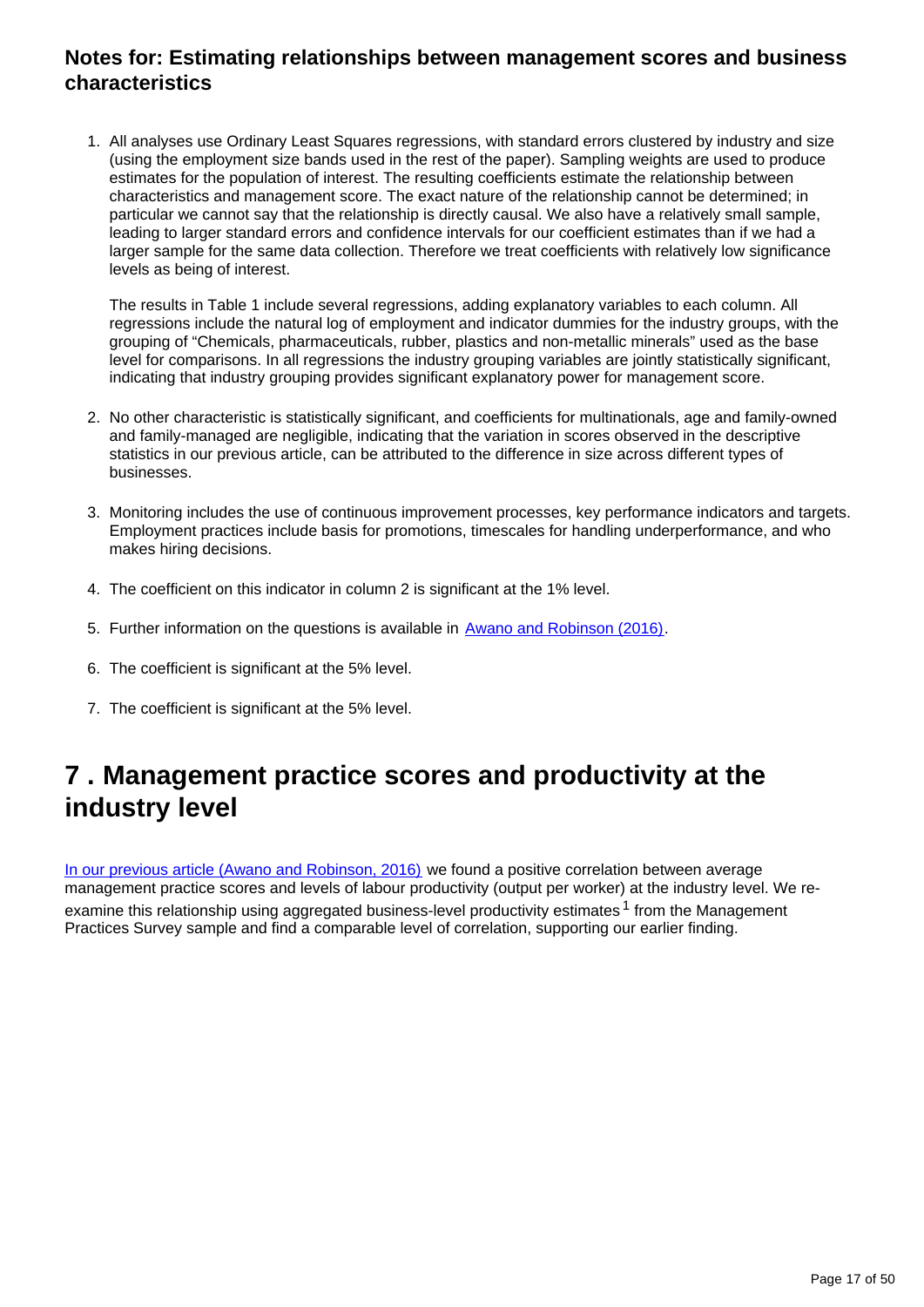### **Notes for: Estimating relationships between management scores and business characteristics**

1. All analyses use Ordinary Least Squares regressions, with standard errors clustered by industry and size (using the employment size bands used in the rest of the paper). Sampling weights are used to produce estimates for the population of interest. The resulting coefficients estimate the relationship between characteristics and management score. The exact nature of the relationship cannot be determined; in particular we cannot say that the relationship is directly causal. We also have a relatively small sample, leading to larger standard errors and confidence intervals for our coefficient estimates than if we had a larger sample for the same data collection. Therefore we treat coefficients with relatively low significance levels as being of interest.

The results in Table 1 include several regressions, adding explanatory variables to each column. All regressions include the natural log of employment and indicator dummies for the industry groups, with the grouping of "Chemicals, pharmaceuticals, rubber, plastics and non-metallic minerals" used as the base level for comparisons. In all regressions the industry grouping variables are jointly statistically significant, indicating that industry grouping provides significant explanatory power for management score.

- 2. No other characteristic is statistically significant, and coefficients for multinationals, age and family-owned and family-managed are negligible, indicating that the variation in scores observed in the descriptive statistics in our previous article, can be attributed to the difference in size across different types of businesses.
- 3. Monitoring includes the use of continuous improvement processes, key performance indicators and targets. Employment practices include basis for promotions, timescales for handling underperformance, and who makes hiring decisions.
- 4. The coefficient on this indicator in column 2 is significant at the 1% level.
- 5. Further information on the questions is available in [Awano and Robinson \(2016\)](https://www.ons.gov.uk/employmentandlabourmarket/peopleinwork/labourproductivity/articles/experimentaldataonthemanagementpracticesofmanufacturingbusinessesingreatbritain/2016#annex-3-scoring-schedule).
- 6. The coefficient is significant at the 5% level.
- 7. The coefficient is significant at the 5% level.

### <span id="page-16-0"></span>**7 . Management practice scores and productivity at the industry level**

[In our previous article \(Awano and Robinson, 2016\)](https://www.ons.gov.uk/employmentandlabourmarket/peopleinwork/labourproductivity/articles/experimentaldataonthemanagementpracticesofmanufacturingbusinessesingreatbritain/2016#20productivity-and-management-score) we found a positive correlation between average management practice scores and levels of labour productivity (output per worker) at the industry level. We reexamine this relationship using aggregated business-level productivity estimates<sup>1</sup> from the Management Practices Survey sample and find a comparable level of correlation, supporting our earlier finding.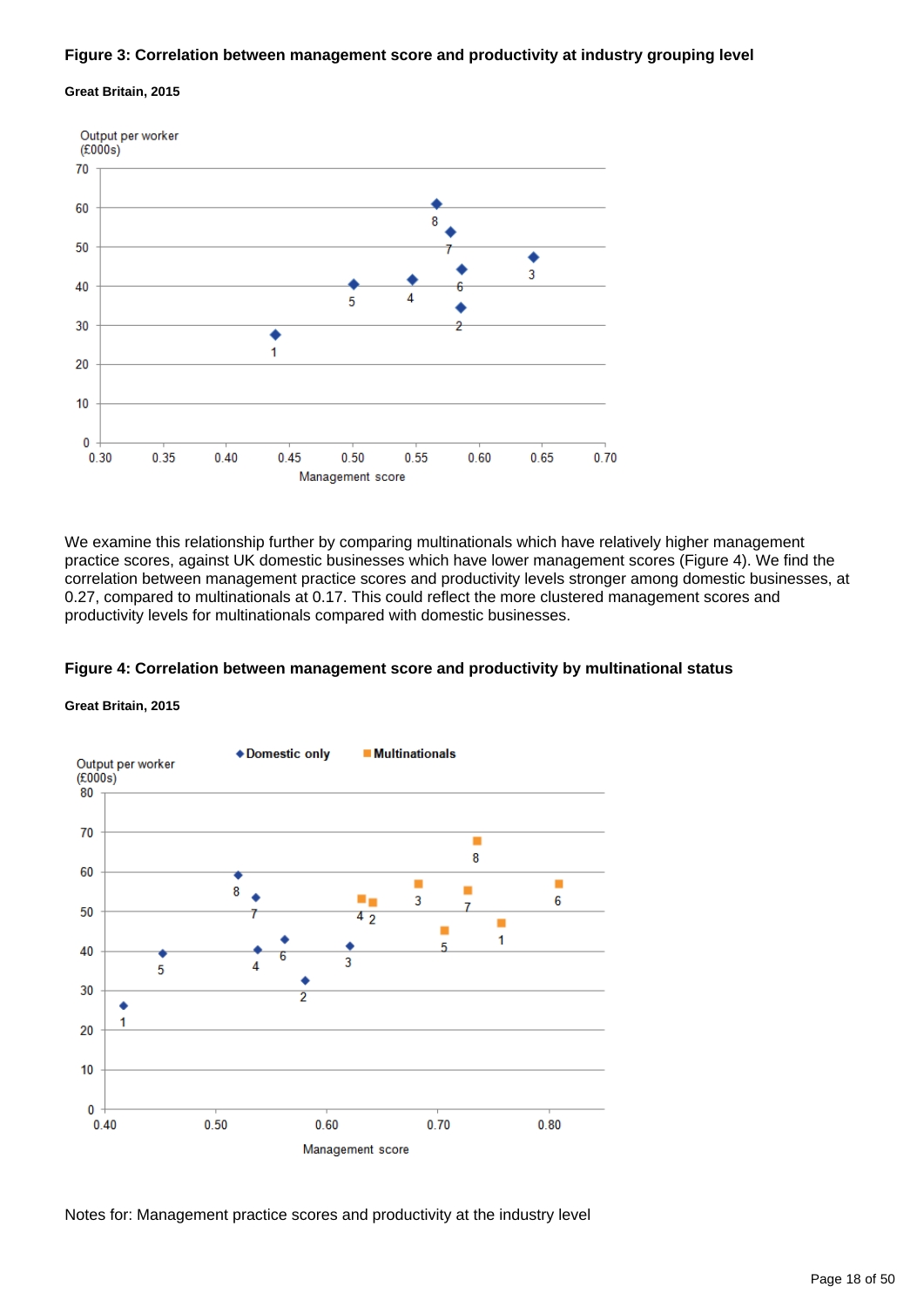#### **Figure 3: Correlation between management score and productivity at industry grouping level**

#### **Great Britain, 2015**



We examine this relationship further by comparing multinationals which have relatively higher management practice scores, against UK domestic businesses which have lower management scores (Figure 4). We find the correlation between management practice scores and productivity levels stronger among domestic businesses, at 0.27, compared to multinationals at 0.17. This could reflect the more clustered management scores and productivity levels for multinationals compared with domestic businesses.

#### **Figure 4: Correlation between management score and productivity by multinational status**

#### **Great Britain, 2015**



Notes for: Management practice scores and productivity at the industry level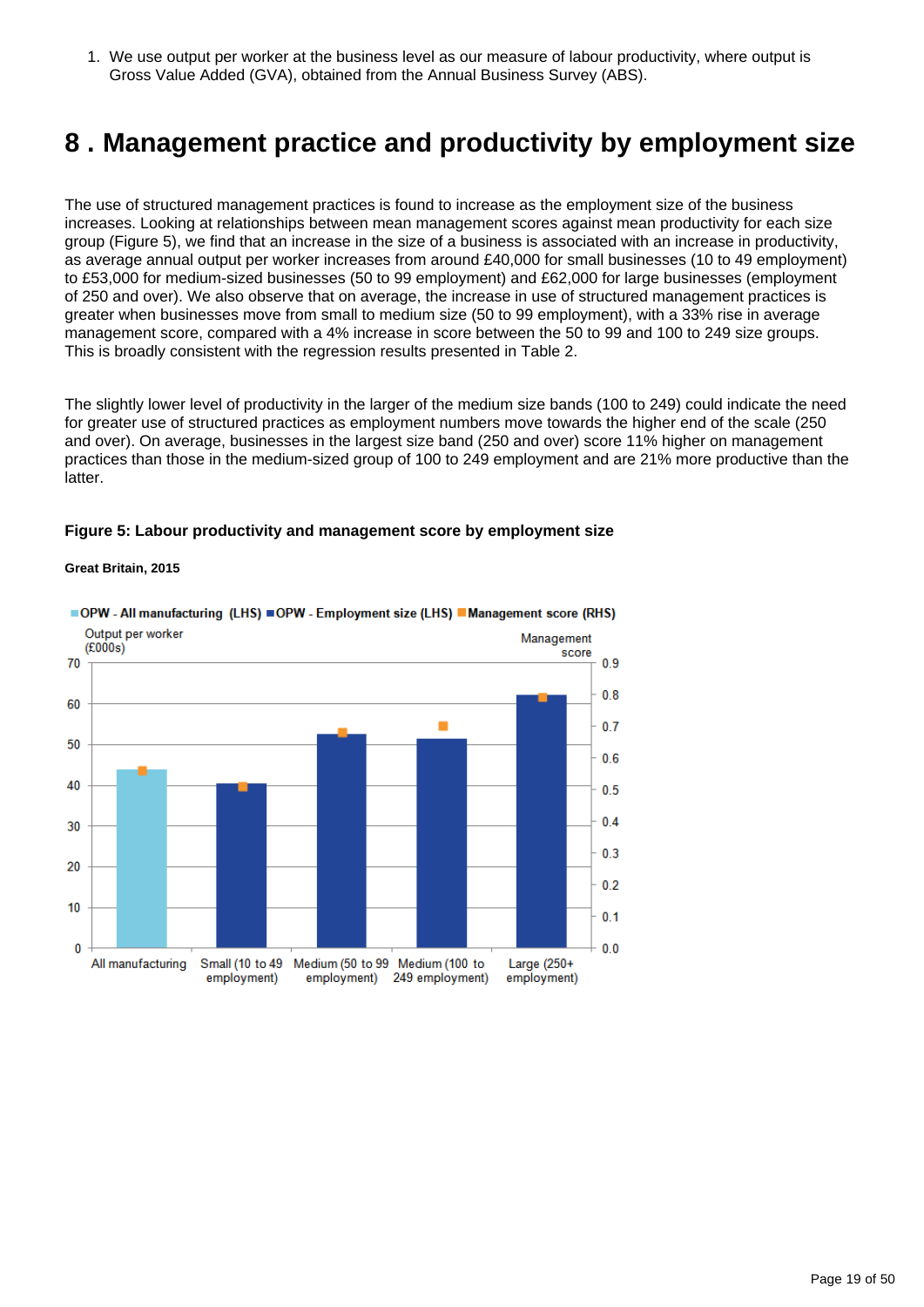1. We use output per worker at the business level as our measure of labour productivity, where output is Gross Value Added (GVA), obtained from the Annual Business Survey (ABS).

### <span id="page-18-0"></span>**8 . Management practice and productivity by employment size**

The use of structured management practices is found to increase as the employment size of the business increases. Looking at relationships between mean management scores against mean productivity for each size group (Figure 5), we find that an increase in the size of a business is associated with an increase in productivity, as average annual output per worker increases from around £40,000 for small businesses (10 to 49 employment) to £53,000 for medium-sized businesses (50 to 99 employment) and £62,000 for large businesses (employment of 250 and over). We also observe that on average, the increase in use of structured management practices is greater when businesses move from small to medium size (50 to 99 employment), with a 33% rise in average management score, compared with a 4% increase in score between the 50 to 99 and 100 to 249 size groups. This is broadly consistent with the regression results presented in Table 2.

The slightly lower level of productivity in the larger of the medium size bands (100 to 249) could indicate the need for greater use of structured practices as employment numbers move towards the higher end of the scale (250 and over). On average, businesses in the largest size band (250 and over) score 11% higher on management practices than those in the medium-sized group of 100 to 249 employment and are 21% more productive than the latter.

#### **Figure 5: Labour productivity and management score by employment size**

#### **Great Britain, 2015**



### ■OPW - All manufacturing (LHS) ■OPW - Employment size (LHS) ■Management score (RHS)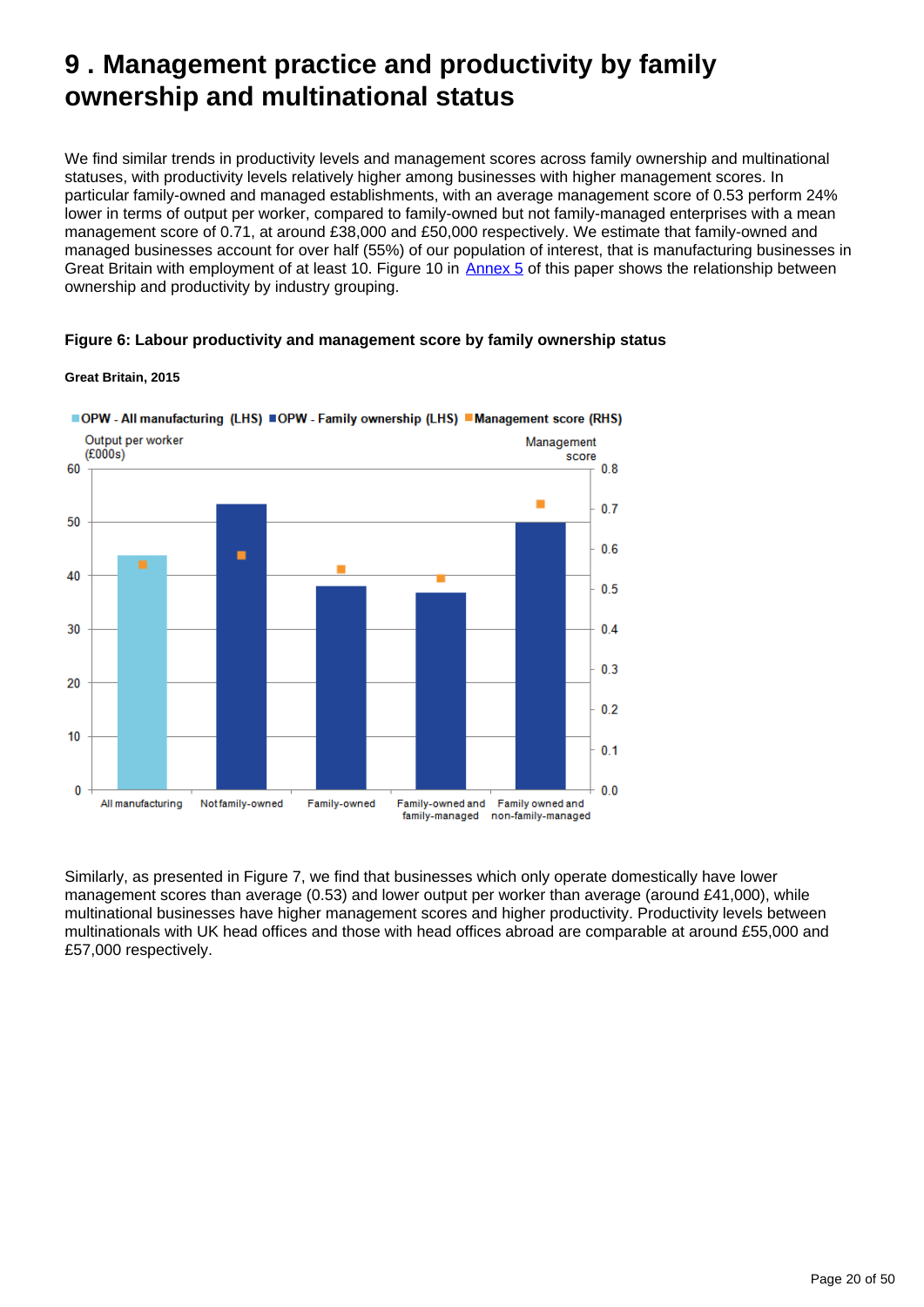## <span id="page-19-0"></span>**9 . Management practice and productivity by family ownership and multinational status**

We find similar trends in productivity levels and management scores across family ownership and multinational statuses, with productivity levels relatively higher among businesses with higher management scores. In particular family-owned and managed establishments, with an average management score of 0.53 perform 24% lower in terms of output per worker, compared to family-owned but not family-managed enterprises with a mean management score of 0.71, at around £38,000 and £50,000 respectively. We estimate that family-owned and managed businesses account for over half (55%) of our population of interest, that is manufacturing businesses in Great Britain with employment of at least 10. Figure 10 in [Annex 5](https://www.ons.gov.ukhttps://publishing.onsdigital.co.uk/employmentandlabourmarket/peopleinwork/labourproductivity/articles/experimentaldataonthemanagementpracticesofmanufacturingbusinessesingreatbritain/experimentalestimatesfor2015#annex-5-detailed-estimates-of-productivity-by-business-characteristics) of this paper shows the relationship between ownership and productivity by industry grouping.

#### **Figure 6: Labour productivity and management score by family ownership status**

#### **Great Britain, 2015**



Similarly, as presented in Figure 7, we find that businesses which only operate domestically have lower management scores than average (0.53) and lower output per worker than average (around £41,000), while multinational businesses have higher management scores and higher productivity. Productivity levels between multinationals with UK head offices and those with head offices abroad are comparable at around £55,000 and £57,000 respectively.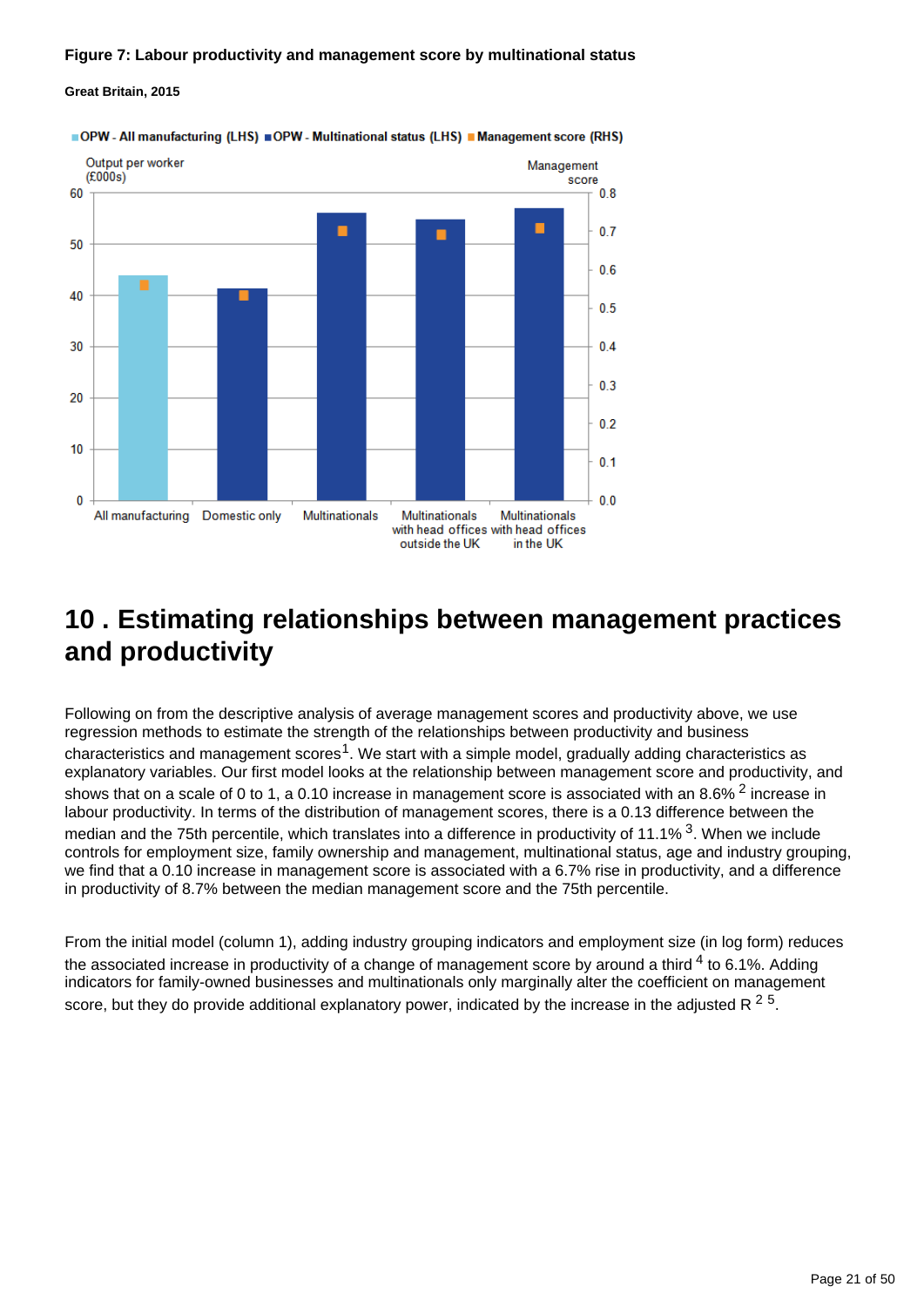#### **Figure 7: Labour productivity and management score by multinational status**

#### **Great Britain, 2015**



OPW - All manufacturing (LHS) OPW - Multinational status (LHS) Management score (RHS)

## <span id="page-20-0"></span>**10 . Estimating relationships between management practices and productivity**

Following on from the descriptive analysis of average management scores and productivity above, we use regression methods to estimate the strength of the relationships between productivity and business characteristics and management scores<sup>1</sup>. We start with a simple model, gradually adding characteristics as explanatory variables. Our first model looks at the relationship between management score and productivity, and shows that on a scale of 0 to 1, a 0.10 increase in management score is associated with an 8.6%  $^2$  increase in labour productivity. In terms of the distribution of management scores, there is a 0.13 difference between the median and the 75th percentile, which translates into a difference in productivity of 11.1%  $3$ . When we include controls for employment size, family ownership and management, multinational status, age and industry grouping, we find that a 0.10 increase in management score is associated with a 6.7% rise in productivity, and a difference in productivity of 8.7% between the median management score and the 75th percentile.

From the initial model (column 1), adding industry grouping indicators and employment size (in log form) reduces the associated increase in productivity of a change of management score by around a third  $4$  to 6.1%. Adding indicators for family-owned businesses and multinationals only marginally alter the coefficient on management score, but they do provide additional explanatory power, indicated by the increase in the adjusted R <sup>2 5</sup>.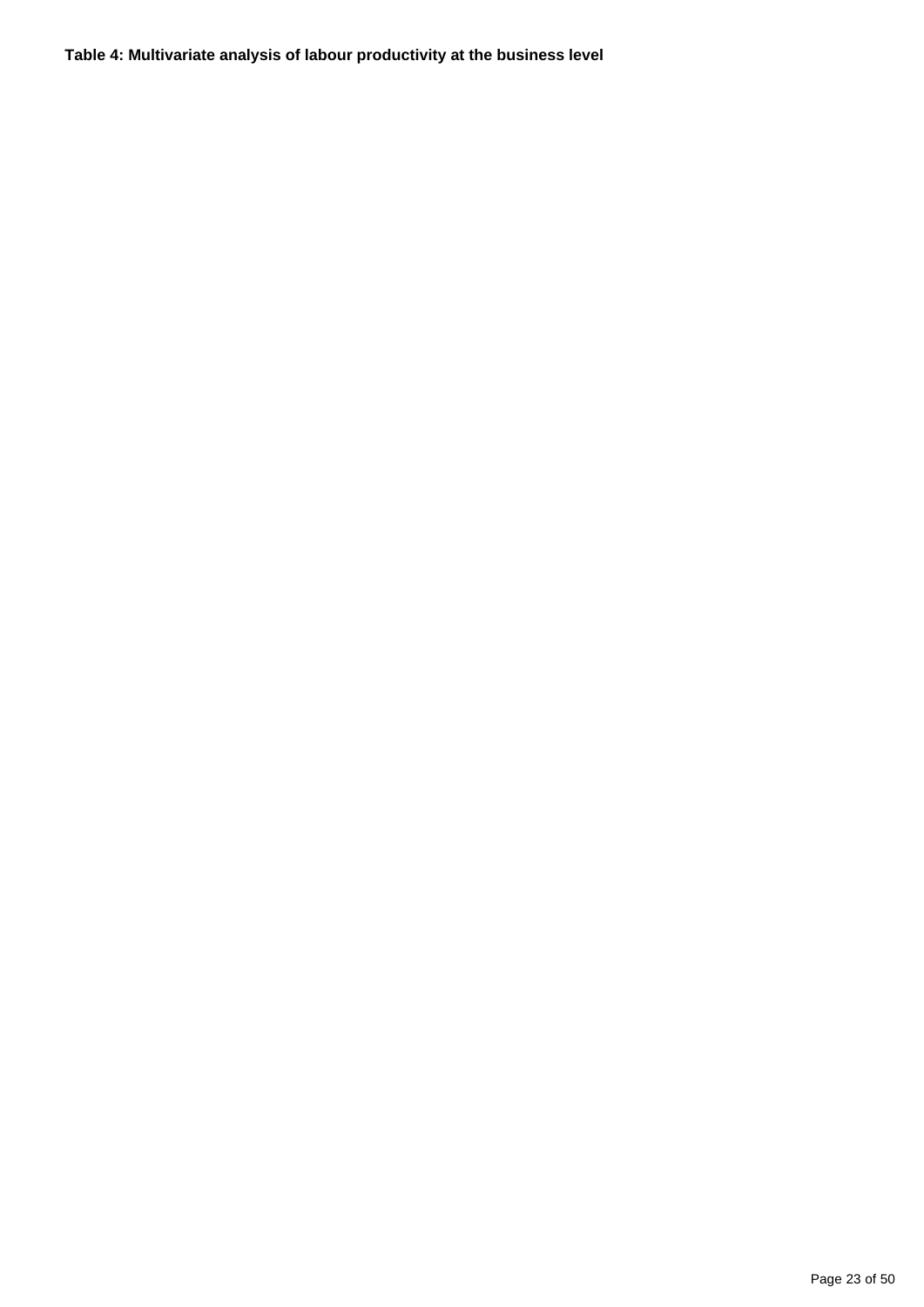**Table 4: Multivariate analysis of labour productivity at the business level**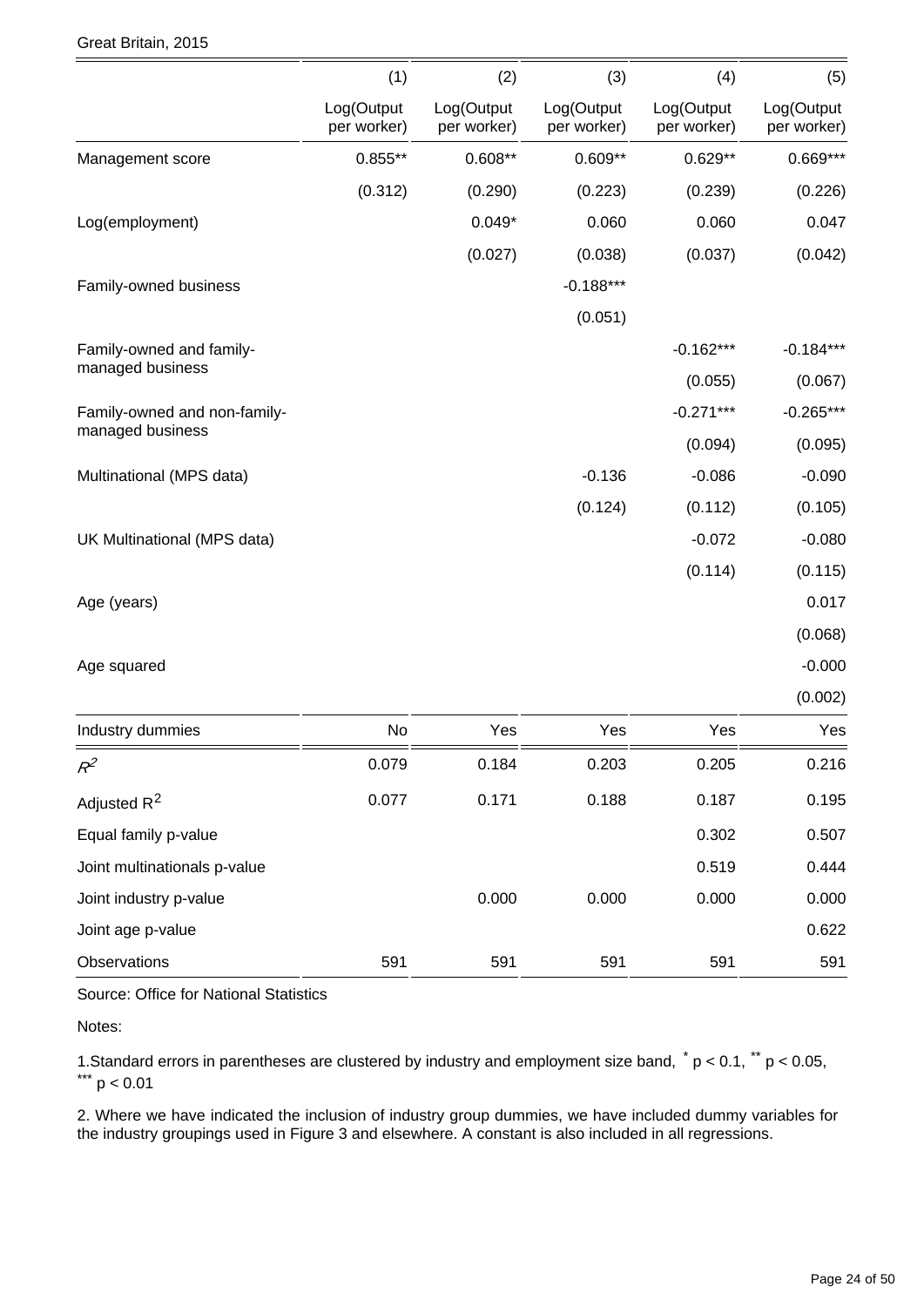#### Great Britain, 2015

|                              | (1)                       | (2)                       | (3)                       | (4)                       | (5)                       |
|------------------------------|---------------------------|---------------------------|---------------------------|---------------------------|---------------------------|
|                              | Log(Output<br>per worker) | Log(Output<br>per worker) | Log(Output<br>per worker) | Log(Output<br>per worker) | Log(Output<br>per worker) |
| Management score             | $0.855**$                 | $0.608**$                 | $0.609**$                 | $0.629**$                 | $0.669***$                |
|                              | (0.312)                   | (0.290)                   | (0.223)                   | (0.239)                   | (0.226)                   |
| Log(employment)              |                           | $0.049*$                  | 0.060                     | 0.060                     | 0.047                     |
|                              |                           | (0.027)                   | (0.038)                   | (0.037)                   | (0.042)                   |
| Family-owned business        |                           |                           | $-0.188***$               |                           |                           |
|                              |                           |                           | (0.051)                   |                           |                           |
| Family-owned and family-     |                           |                           |                           | $-0.162***$               | $-0.184***$               |
| managed business             |                           |                           |                           | (0.055)                   | (0.067)                   |
| Family-owned and non-family- |                           |                           |                           | $-0.271***$               | $-0.265***$               |
| managed business             |                           |                           |                           | (0.094)                   | (0.095)                   |
| Multinational (MPS data)     |                           |                           | $-0.136$                  | $-0.086$                  | $-0.090$                  |
|                              |                           |                           | (0.124)                   | (0.112)                   | (0.105)                   |
| UK Multinational (MPS data)  |                           |                           |                           | $-0.072$                  | $-0.080$                  |
|                              |                           |                           |                           | (0.114)                   | (0.115)                   |
| Age (years)                  |                           |                           |                           |                           | 0.017                     |
|                              |                           |                           |                           |                           | (0.068)                   |
| Age squared                  |                           |                           |                           |                           | $-0.000$                  |
|                              |                           |                           |                           |                           | (0.002)                   |
| Industry dummies             | No                        | Yes                       | Yes                       | Yes                       | Yes                       |
| $R^2$                        | 0.079                     | 0.184                     | 0.203                     | 0.205                     | 0.216                     |
| Adjusted R <sup>2</sup>      | 0.077                     | 0.171                     | 0.188                     | 0.187                     | 0.195                     |
| Equal family p-value         |                           |                           |                           | 0.302                     | 0.507                     |
| Joint multinationals p-value |                           |                           |                           | 0.519                     | 0.444                     |
| Joint industry p-value       |                           | 0.000                     | 0.000                     | 0.000                     | 0.000                     |
| Joint age p-value            |                           |                           |                           |                           | 0.622                     |
| Observations                 | 591                       | 591                       | 591                       | 591                       | 591                       |

Source: Office for National Statistics

Notes:

1. Standard errors in parentheses are clustered by industry and employment size band,  $p < 0.1$ ,  $p < 0.05$ ,  $\frac{1.24}{1.24}$  p < 0.01

2. Where we have indicated the inclusion of industry group dummies, we have included dummy variables for the industry groupings used in Figure 3 and elsewhere. A constant is also included in all regressions.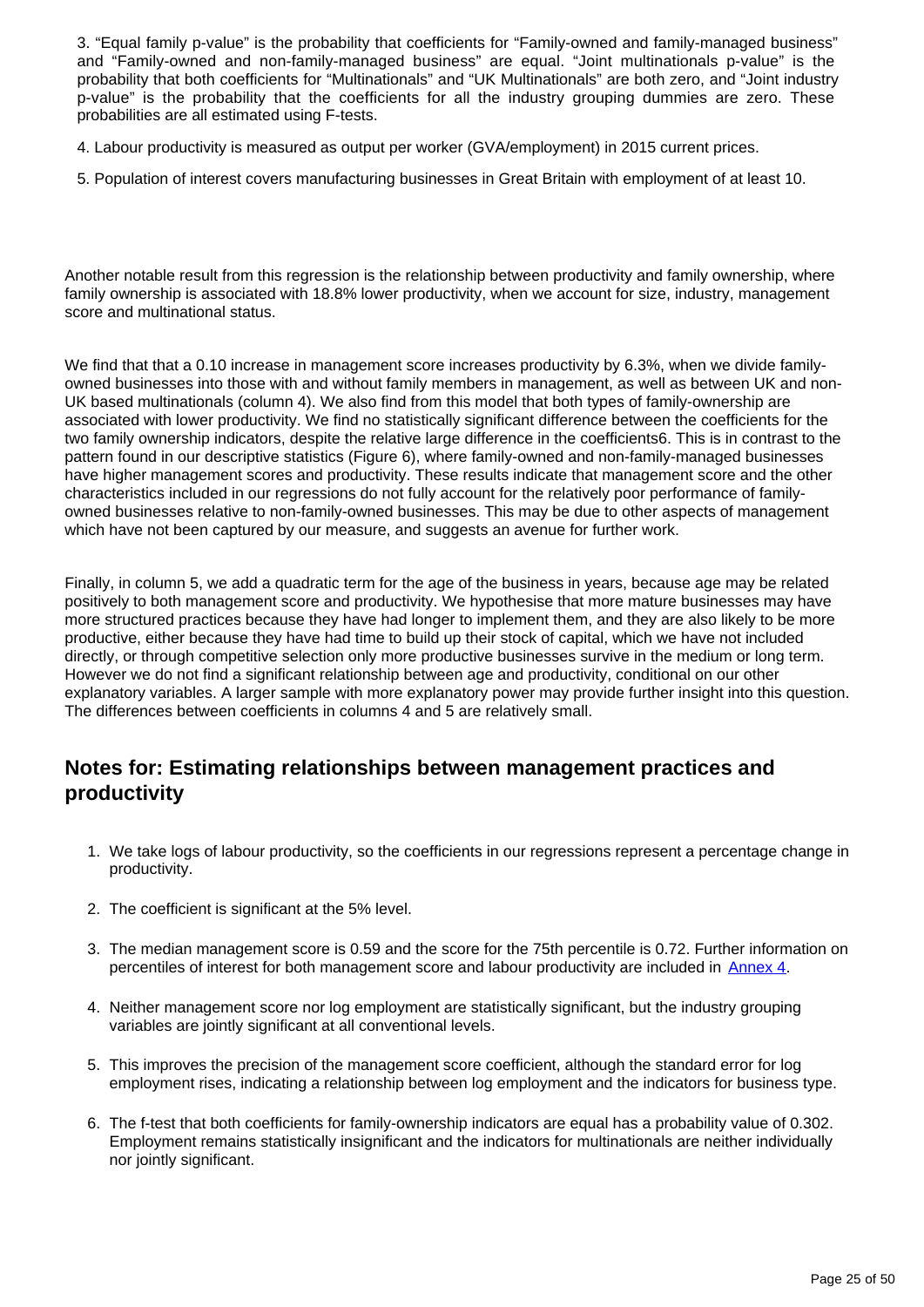3. "Equal family p-value" is the probability that coefficients for "Family-owned and family-managed business" and "Family-owned and non-family-managed business" are equal. "Joint multinationals p-value" is the probability that both coefficients for "Multinationals" and "UK Multinationals" are both zero, and "Joint industry p-value" is the probability that the coefficients for all the industry grouping dummies are zero. These probabilities are all estimated using F-tests.

4. Labour productivity is measured as output per worker (GVA/employment) in 2015 current prices.

5. Population of interest covers manufacturing businesses in Great Britain with employment of at least 10.

Another notable result from this regression is the relationship between productivity and family ownership, where family ownership is associated with 18.8% lower productivity, when we account for size, industry, management score and multinational status.

We find that that a 0.10 increase in management score increases productivity by 6.3%, when we divide familyowned businesses into those with and without family members in management, as well as between UK and non-UK based multinationals (column 4). We also find from this model that both types of family-ownership are associated with lower productivity. We find no statistically significant difference between the coefficients for the two family ownership indicators, despite the relative large difference in the coefficients6. This is in contrast to the pattern found in our descriptive statistics (Figure 6), where family-owned and non-family-managed businesses have higher management scores and productivity. These results indicate that management score and the other characteristics included in our regressions do not fully account for the relatively poor performance of familyowned businesses relative to non-family-owned businesses. This may be due to other aspects of management which have not been captured by our measure, and suggests an avenue for further work.

Finally, in column 5, we add a quadratic term for the age of the business in years, because age may be related positively to both management score and productivity. We hypothesise that more mature businesses may have more structured practices because they have had longer to implement them, and they are also likely to be more productive, either because they have had time to build up their stock of capital, which we have not included directly, or through competitive selection only more productive businesses survive in the medium or long term. However we do not find a significant relationship between age and productivity, conditional on our other explanatory variables. A larger sample with more explanatory power may provide further insight into this question. The differences between coefficients in columns 4 and 5 are relatively small.

### **Notes for: Estimating relationships between management practices and productivity**

- 1. We take logs of labour productivity, so the coefficients in our regressions represent a percentage change in productivity.
- 2. The coefficient is significant at the 5% level.
- 3. The median management score is 0.59 and the score for the 75th percentile is 0.72. Further information on percentiles of interest for both management score and labour productivity are included in [Annex 4.](https://www.ons.gov.ukhttps://publishing.onsdigital.co.uk/employmentandlabourmarket/peopleinwork/labourproductivity/articles/experimentaldataonthemanagementpracticesofmanufacturingbusinessesingreatbritain/experimentalestimatesfor2015#annex-4-distribution-of-management-score-and-labour-productivity)
- 4. Neither management score nor log employment are statistically significant, but the industry grouping variables are jointly significant at all conventional levels.
- 5. This improves the precision of the management score coefficient, although the standard error for log employment rises, indicating a relationship between log employment and the indicators for business type.
- 6. The f-test that both coefficients for family-ownership indicators are equal has a probability value of 0.302. Employment remains statistically insignificant and the indicators for multinationals are neither individually nor jointly significant.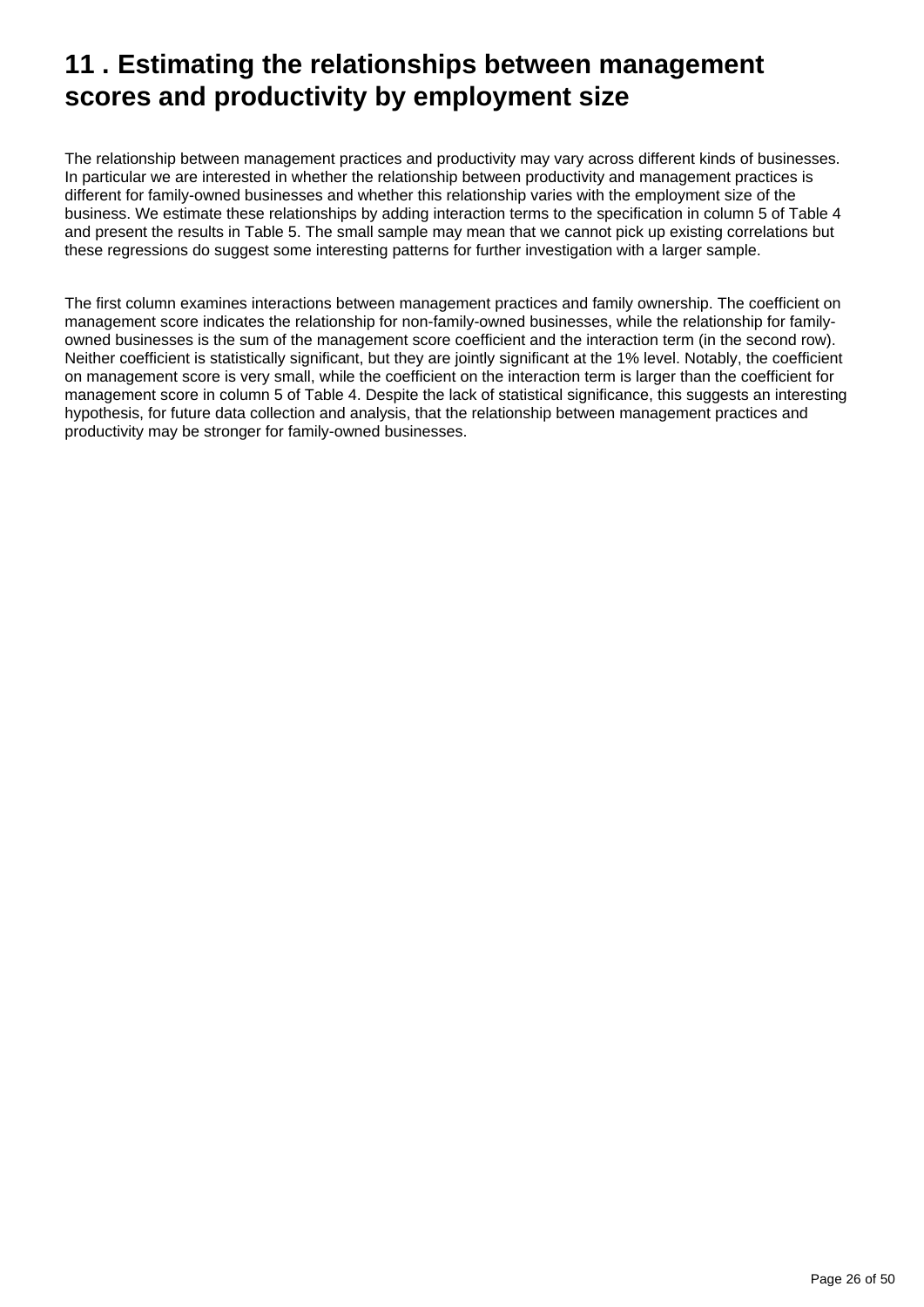## <span id="page-25-0"></span>**11 . Estimating the relationships between management scores and productivity by employment size**

The relationship between management practices and productivity may vary across different kinds of businesses. In particular we are interested in whether the relationship between productivity and management practices is different for family-owned businesses and whether this relationship varies with the employment size of the business. We estimate these relationships by adding interaction terms to the specification in column 5 of Table 4 and present the results in Table 5. The small sample may mean that we cannot pick up existing correlations but these regressions do suggest some interesting patterns for further investigation with a larger sample.

The first column examines interactions between management practices and family ownership. The coefficient on management score indicates the relationship for non-family-owned businesses, while the relationship for familyowned businesses is the sum of the management score coefficient and the interaction term (in the second row). Neither coefficient is statistically significant, but they are jointly significant at the 1% level. Notably, the coefficient on management score is very small, while the coefficient on the interaction term is larger than the coefficient for management score in column 5 of Table 4. Despite the lack of statistical significance, this suggests an interesting hypothesis, for future data collection and analysis, that the relationship between management practices and productivity may be stronger for family-owned businesses.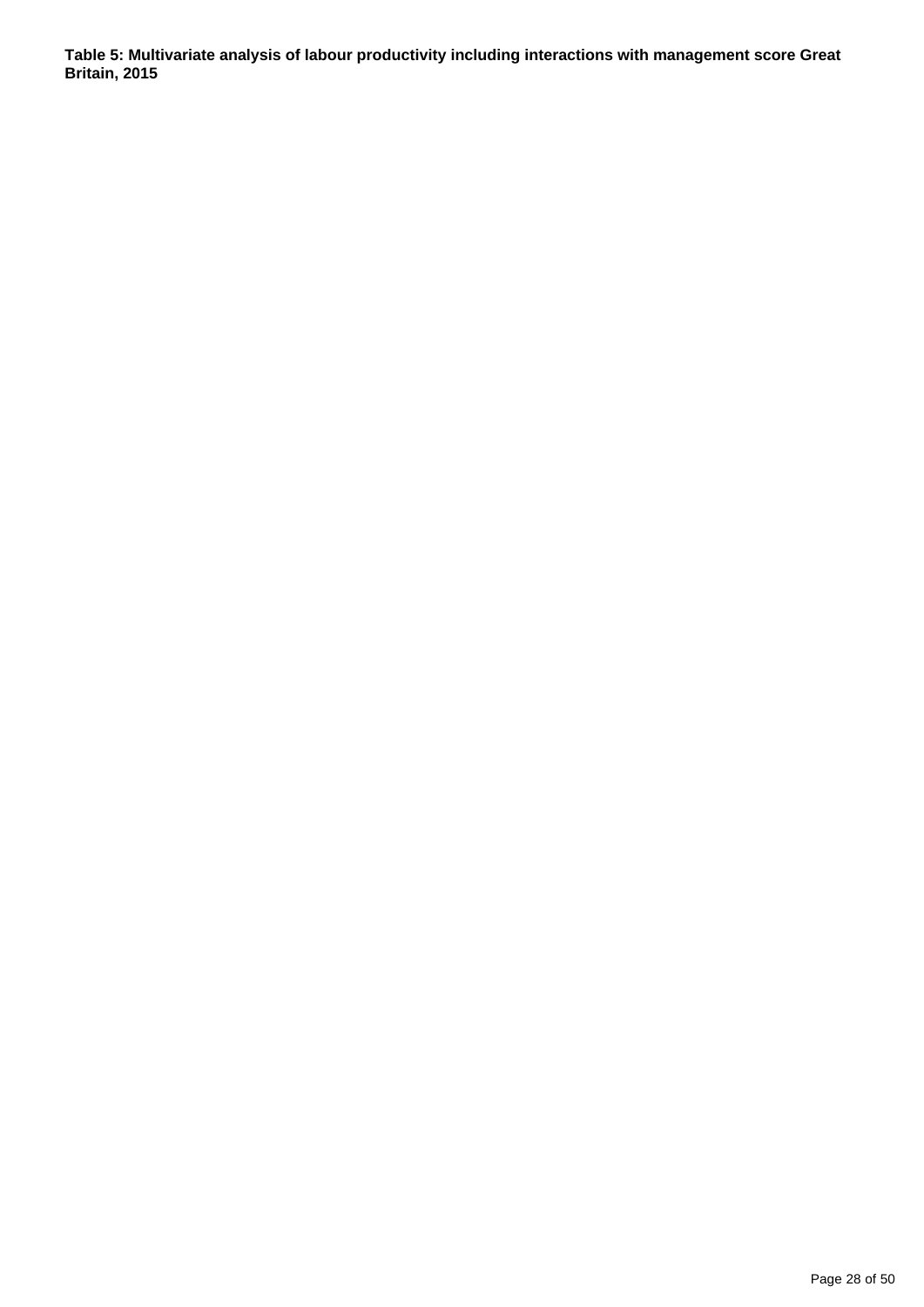**Table 5: Multivariate analysis of labour productivity including interactions with management score Great Britain, 2015**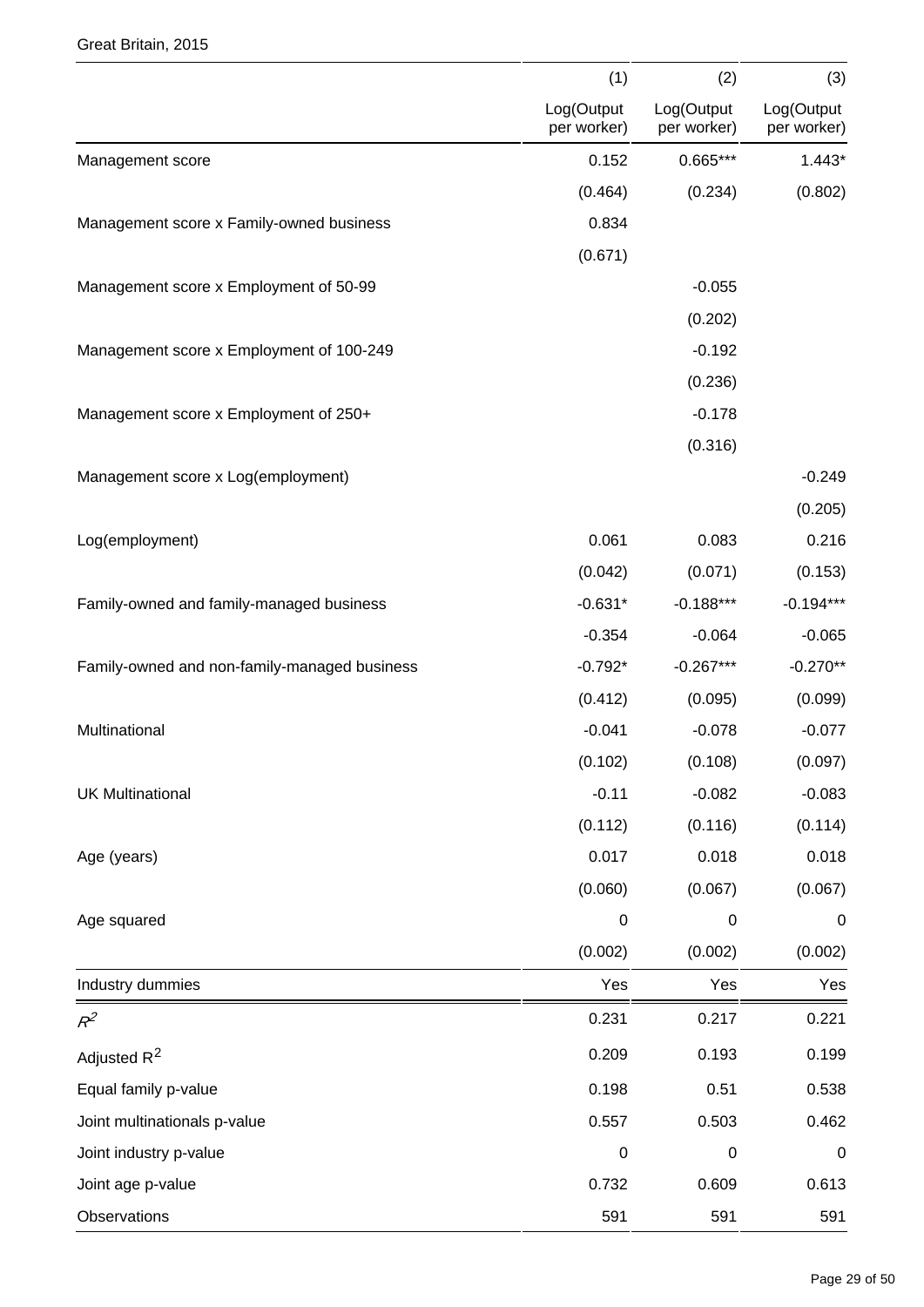#### Great Britain, 2015

|                                              | (1)                       | (2)                       | (3)                       |
|----------------------------------------------|---------------------------|---------------------------|---------------------------|
|                                              | Log(Output<br>per worker) | Log(Output<br>per worker) | Log(Output<br>per worker) |
| Management score                             | 0.152                     | $0.665***$                | $1.443*$                  |
|                                              | (0.464)                   | (0.234)                   | (0.802)                   |
| Management score x Family-owned business     | 0.834                     |                           |                           |
|                                              | (0.671)                   |                           |                           |
| Management score x Employment of 50-99       |                           | $-0.055$                  |                           |
|                                              |                           | (0.202)                   |                           |
| Management score x Employment of 100-249     |                           | $-0.192$                  |                           |
|                                              |                           | (0.236)                   |                           |
| Management score x Employment of 250+        |                           | $-0.178$                  |                           |
|                                              |                           | (0.316)                   |                           |
| Management score x Log(employment)           |                           |                           | $-0.249$                  |
|                                              |                           |                           | (0.205)                   |
| Log(employment)                              | 0.061                     | 0.083                     | 0.216                     |
|                                              | (0.042)                   | (0.071)                   | (0.153)                   |
| Family-owned and family-managed business     | $-0.631*$                 | $-0.188***$               | $-0.194***$               |
|                                              | $-0.354$                  | $-0.064$                  | $-0.065$                  |
| Family-owned and non-family-managed business | $-0.792*$                 | $-0.267***$               | $-0.270**$                |
|                                              | (0.412)                   | (0.095)                   | (0.099)                   |
| Multinational                                | $-0.041$                  | $-0.078$                  | $-0.077$                  |
|                                              | (0.102)                   | (0.108)                   | (0.097)                   |
| <b>UK Multinational</b>                      | $-0.11$                   | $-0.082$                  | $-0.083$                  |
|                                              | (0.112)                   | (0.116)                   | (0.114)                   |
| Age (years)                                  | 0.017                     | 0.018                     | 0.018                     |
|                                              | (0.060)                   | (0.067)                   | (0.067)                   |
| Age squared                                  | $\pmb{0}$                 | $\boldsymbol{0}$          | $\boldsymbol{0}$          |
|                                              | (0.002)                   | (0.002)                   | (0.002)                   |
| Industry dummies                             | Yes                       | Yes                       | Yes                       |
| $R^2$                                        | 0.231                     | 0.217                     | 0.221                     |
| Adjusted R <sup>2</sup>                      | 0.209                     | 0.193                     | 0.199                     |
| Equal family p-value                         | 0.198                     | 0.51                      | 0.538                     |
| Joint multinationals p-value                 | 0.557                     | 0.503                     | 0.462                     |
| Joint industry p-value                       | $\boldsymbol{0}$          | $\boldsymbol{0}$          | $\boldsymbol{0}$          |
| Joint age p-value                            | 0.732                     | 0.609                     | 0.613                     |
| Observations                                 | 591                       | 591                       | 591                       |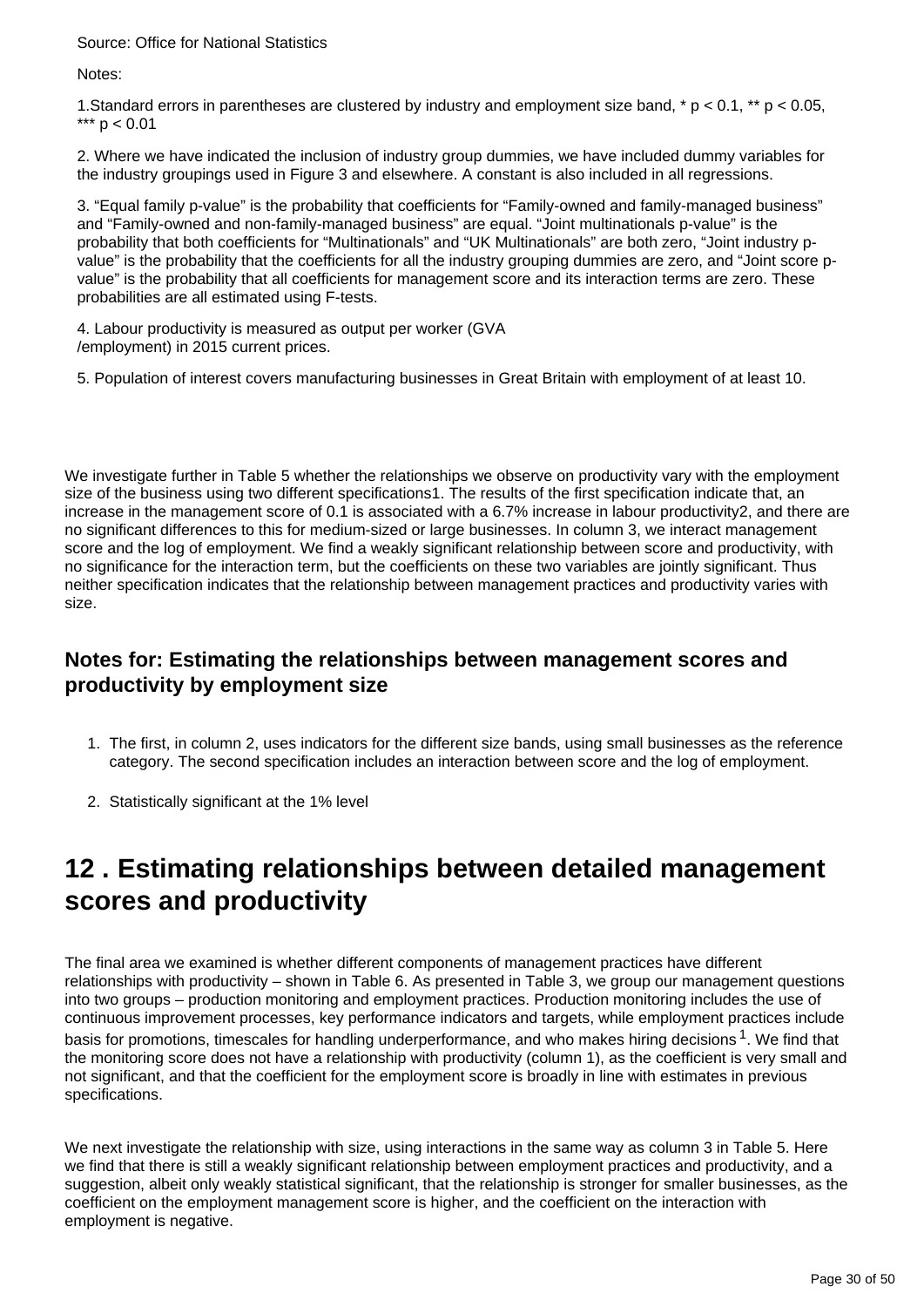Source: Office for National Statistics

Notes:

1.Standard errors in parentheses are clustered by industry and employment size band, \* p < 0.1, \*\* p < 0.05, \*\*\*  $p < 0.01$ 

2. Where we have indicated the inclusion of industry group dummies, we have included dummy variables for the industry groupings used in Figure 3 and elsewhere. A constant is also included in all regressions.

3. "Equal family p-value" is the probability that coefficients for "Family-owned and family-managed business" and "Family-owned and non-family-managed business" are equal. "Joint multinationals p-value" is the probability that both coefficients for "Multinationals" and "UK Multinationals" are both zero, "Joint industry pvalue" is the probability that the coefficients for all the industry grouping dummies are zero, and "Joint score pvalue" is the probability that all coefficients for management score and its interaction terms are zero. These probabilities are all estimated using F-tests.

4. Labour productivity is measured as output per worker (GVA /employment) in 2015 current prices.

5. Population of interest covers manufacturing businesses in Great Britain with employment of at least 10.

We investigate further in Table 5 whether the relationships we observe on productivity vary with the employment size of the business using two different specifications1. The results of the first specification indicate that, an increase in the management score of 0.1 is associated with a 6.7% increase in labour productivity2, and there are no significant differences to this for medium-sized or large businesses. In column 3, we interact management score and the log of employment. We find a weakly significant relationship between score and productivity, with no significance for the interaction term, but the coefficients on these two variables are jointly significant. Thus neither specification indicates that the relationship between management practices and productivity varies with size.

### **Notes for: Estimating the relationships between management scores and productivity by employment size**

- 1. The first, in column 2, uses indicators for the different size bands, using small businesses as the reference category. The second specification includes an interaction between score and the log of employment.
- 2. Statistically significant at the 1% level

### <span id="page-29-0"></span>**12 . Estimating relationships between detailed management scores and productivity**

The final area we examined is whether different components of management practices have different relationships with productivity – shown in Table 6. As presented in Table 3, we group our management questions into two groups – production monitoring and employment practices. Production monitoring includes the use of continuous improvement processes, key performance indicators and targets, while employment practices include basis for promotions, timescales for handling underperformance, and who makes hiring decisions <sup>1</sup>. We find that the monitoring score does not have a relationship with productivity (column 1), as the coefficient is very small and not significant, and that the coefficient for the employment score is broadly in line with estimates in previous specifications.

We next investigate the relationship with size, using interactions in the same way as column 3 in Table 5. Here we find that there is still a weakly significant relationship between employment practices and productivity, and a suggestion, albeit only weakly statistical significant, that the relationship is stronger for smaller businesses, as the coefficient on the employment management score is higher, and the coefficient on the interaction with employment is negative.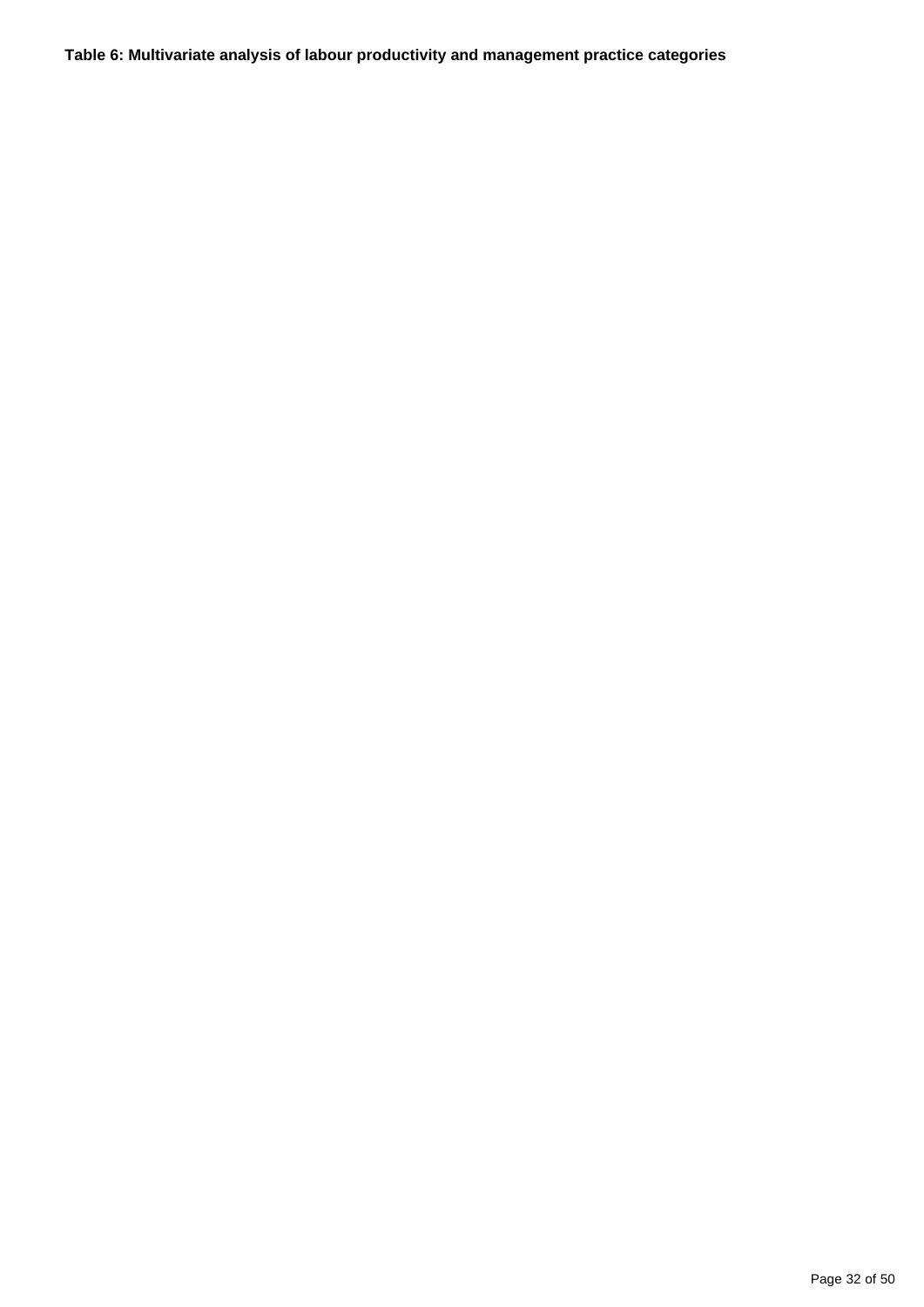**Table 6: Multivariate analysis of labour productivity and management practice categories**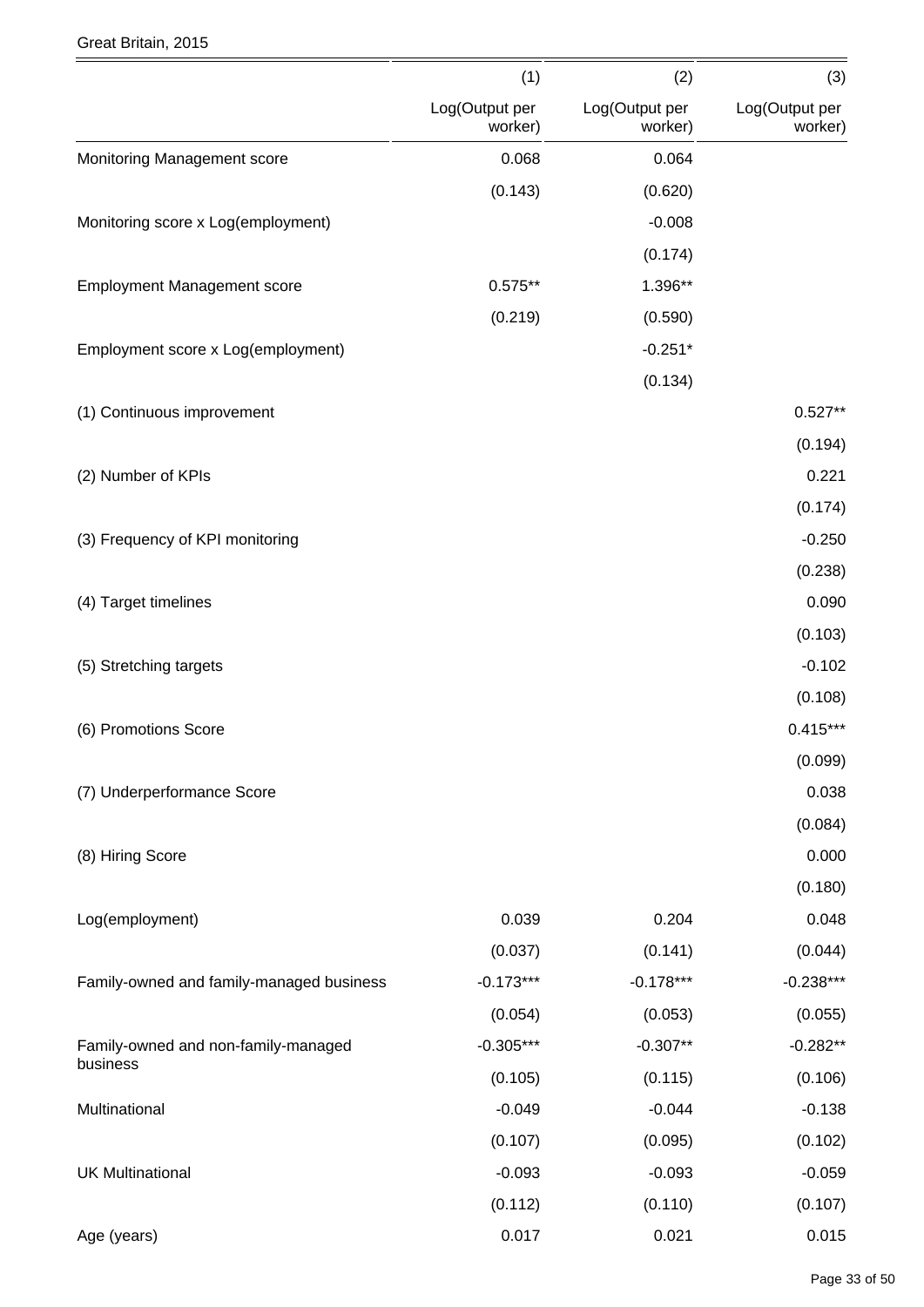#### Great Britain, 2015

|                                          | (1)                       | (2)                       | (3)                       |
|------------------------------------------|---------------------------|---------------------------|---------------------------|
|                                          | Log(Output per<br>worker) | Log(Output per<br>worker) | Log(Output per<br>worker) |
| Monitoring Management score              | 0.068                     | 0.064                     |                           |
|                                          | (0.143)                   | (0.620)                   |                           |
| Monitoring score x Log(employment)       |                           | $-0.008$                  |                           |
|                                          |                           | (0.174)                   |                           |
| <b>Employment Management score</b>       | $0.575**$                 | 1.396**                   |                           |
|                                          | (0.219)                   | (0.590)                   |                           |
| Employment score x Log(employment)       |                           | $-0.251*$                 |                           |
|                                          |                           | (0.134)                   |                           |
| (1) Continuous improvement               |                           |                           | $0.527**$                 |
|                                          |                           |                           | (0.194)                   |
| (2) Number of KPIs                       |                           |                           | 0.221                     |
|                                          |                           |                           | (0.174)                   |
| (3) Frequency of KPI monitoring          |                           |                           | $-0.250$                  |
|                                          |                           |                           | (0.238)                   |
| (4) Target timelines                     |                           |                           | 0.090                     |
|                                          |                           |                           | (0.103)                   |
| (5) Stretching targets                   |                           |                           | $-0.102$                  |
|                                          |                           |                           | (0.108)                   |
| (6) Promotions Score                     |                           |                           | $0.415***$                |
|                                          |                           |                           | (0.099)                   |
| (7) Underperformance Score               |                           |                           | 0.038                     |
|                                          |                           |                           | (0.084)                   |
| (8) Hiring Score                         |                           |                           | 0.000                     |
|                                          |                           |                           | (0.180)                   |
| Log(employment)                          | 0.039                     | 0.204                     | 0.048                     |
|                                          | (0.037)                   | (0.141)                   | (0.044)                   |
| Family-owned and family-managed business | $-0.173***$               | $-0.178***$               | $-0.238***$               |
|                                          | (0.054)                   | (0.053)                   | (0.055)                   |
| Family-owned and non-family-managed      | $-0.305***$               | $-0.307**$                | $-0.282**$                |
| business                                 | (0.105)                   | (0.115)                   | (0.106)                   |
| Multinational                            | $-0.049$                  | $-0.044$                  | $-0.138$                  |
|                                          | (0.107)                   | (0.095)                   | (0.102)                   |
| <b>UK Multinational</b>                  | $-0.093$                  | $-0.093$                  | $-0.059$                  |
|                                          | (0.112)                   | (0.110)                   | (0.107)                   |
| Age (years)                              | 0.017                     | 0.021                     | 0.015                     |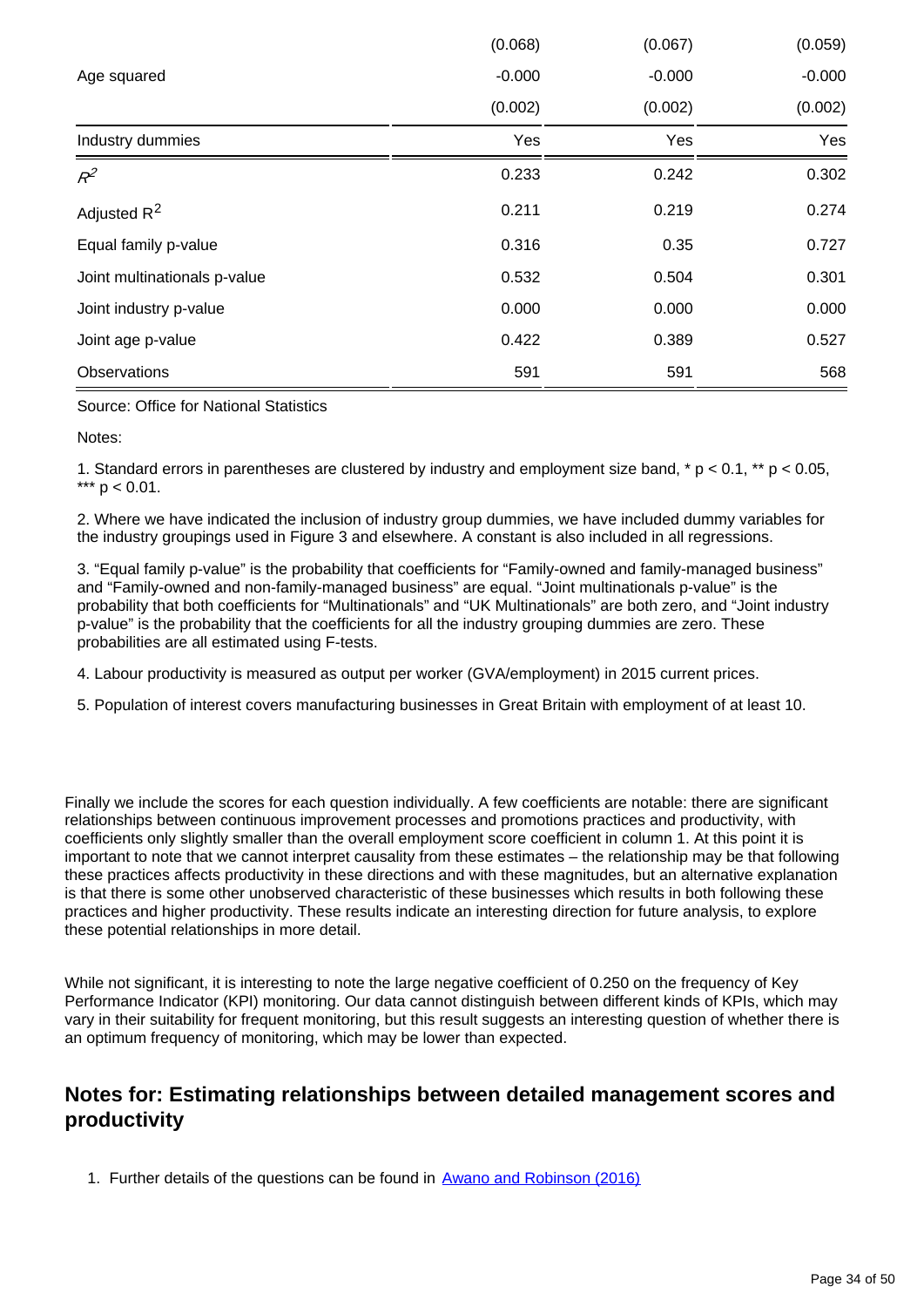|                              | (0.068)  | (0.067)  | (0.059)  |
|------------------------------|----------|----------|----------|
| Age squared                  | $-0.000$ | $-0.000$ | $-0.000$ |
|                              | (0.002)  | (0.002)  | (0.002)  |
| Industry dummies             | Yes      | Yes      | Yes      |
| $R^2$                        | 0.233    | 0.242    | 0.302    |
| Adjusted R <sup>2</sup>      | 0.211    | 0.219    | 0.274    |
| Equal family p-value         | 0.316    | 0.35     | 0.727    |
| Joint multinationals p-value | 0.532    | 0.504    | 0.301    |
| Joint industry p-value       | 0.000    | 0.000    | 0.000    |
| Joint age p-value            | 0.422    | 0.389    | 0.527    |
| Observations                 | 591      | 591      | 568      |

Source: Office for National Statistics

Notes:

1. Standard errors in parentheses are clustered by industry and employment size band, \* p < 0.1, \*\* p < 0.05, \*\*\*  $p < 0.01$ .

2. Where we have indicated the inclusion of industry group dummies, we have included dummy variables for the industry groupings used in Figure 3 and elsewhere. A constant is also included in all regressions.

3. "Equal family p-value" is the probability that coefficients for "Family-owned and family-managed business" and "Family-owned and non-family-managed business" are equal. "Joint multinationals p-value" is the probability that both coefficients for "Multinationals" and "UK Multinationals" are both zero, and "Joint industry p-value" is the probability that the coefficients for all the industry grouping dummies are zero. These probabilities are all estimated using F-tests.

4. Labour productivity is measured as output per worker (GVA/employment) in 2015 current prices.

5. Population of interest covers manufacturing businesses in Great Britain with employment of at least 10.

Finally we include the scores for each question individually. A few coefficients are notable: there are significant relationships between continuous improvement processes and promotions practices and productivity, with coefficients only slightly smaller than the overall employment score coefficient in column 1. At this point it is important to note that we cannot interpret causality from these estimates – the relationship may be that following these practices affects productivity in these directions and with these magnitudes, but an alternative explanation is that there is some other unobserved characteristic of these businesses which results in both following these practices and higher productivity. These results indicate an interesting direction for future analysis, to explore these potential relationships in more detail.

While not significant, it is interesting to note the large negative coefficient of 0.250 on the frequency of Key Performance Indicator (KPI) monitoring. Our data cannot distinguish between different kinds of KPIs, which may vary in their suitability for frequent monitoring, but this result suggests an interesting question of whether there is an optimum frequency of monitoring, which may be lower than expected.

### **Notes for: Estimating relationships between detailed management scores and productivity**

1. Further details of the questions can be found in **[Awano and Robinson \(2016\)](https://www.ons.gov.uk/employmentandlabourmarket/peopleinwork/labourproductivity/articles/experimentaldataonthemanagementpracticesofmanufacturingbusinessesingreatbritain/2016#annex-3-scoring-schedule)**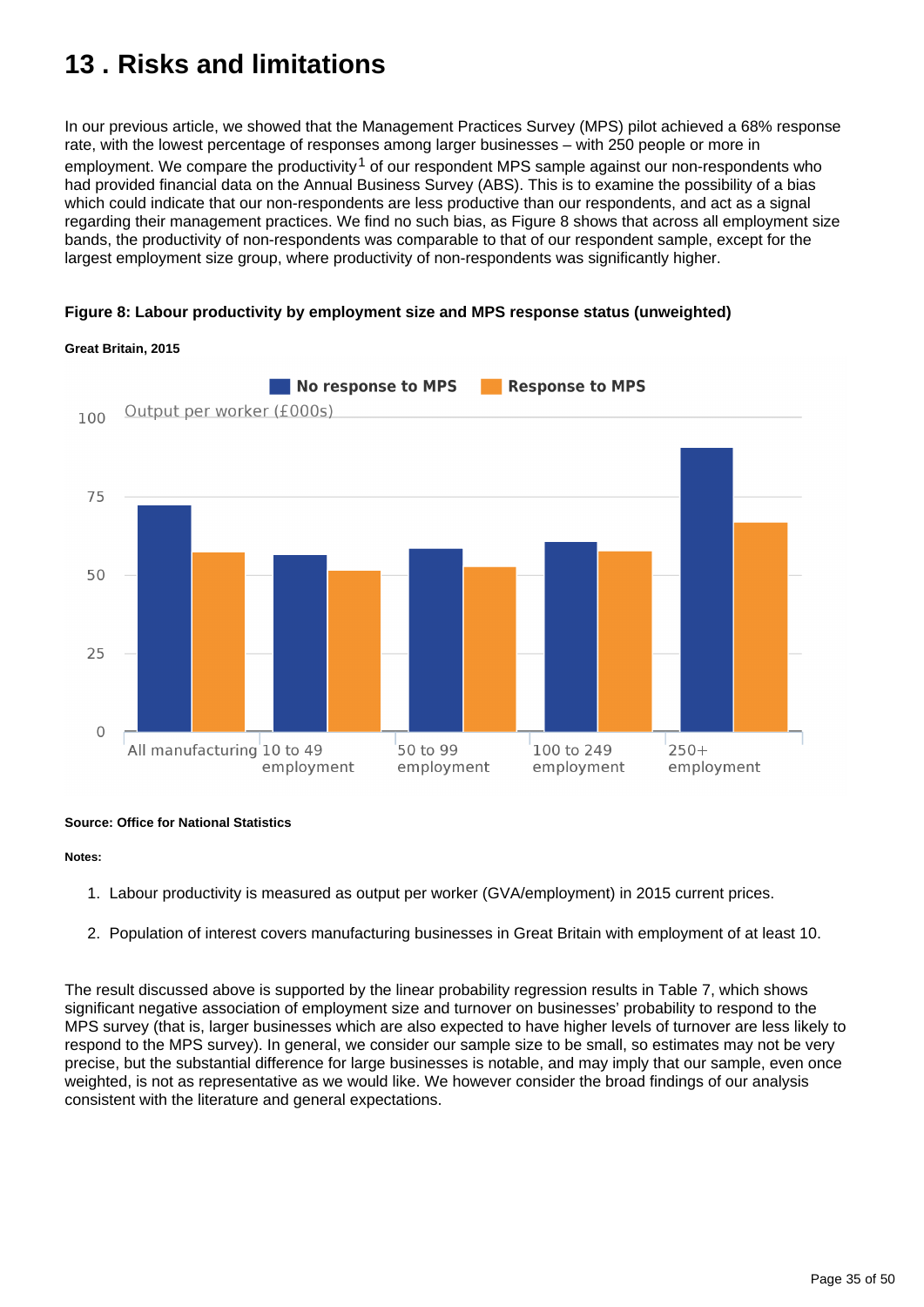## <span id="page-34-0"></span>**13 . Risks and limitations**

In our previous article, we showed that the Management Practices Survey (MPS) pilot achieved a 68% response rate, with the lowest percentage of responses among larger businesses – with 250 people or more in employment. We compare the productivity<sup>1</sup> of our respondent MPS sample against our non-respondents who had provided financial data on the Annual Business Survey (ABS). This is to examine the possibility of a bias which could indicate that our non-respondents are less productive than our respondents, and act as a signal regarding their management practices. We find no such bias, as Figure 8 shows that across all employment size bands, the productivity of non-respondents was comparable to that of our respondent sample, except for the largest employment size group, where productivity of non-respondents was significantly higher.





#### **Great Britain, 2015**

#### **Source: Office for National Statistics**

#### **Notes:**

- 1. Labour productivity is measured as output per worker (GVA/employment) in 2015 current prices.
- 2. Population of interest covers manufacturing businesses in Great Britain with employment of at least 10.

The result discussed above is supported by the linear probability regression results in Table 7, which shows significant negative association of employment size and turnover on businesses' probability to respond to the MPS survey (that is, larger businesses which are also expected to have higher levels of turnover are less likely to respond to the MPS survey). In general, we consider our sample size to be small, so estimates may not be very precise, but the substantial difference for large businesses is notable, and may imply that our sample, even once weighted, is not as representative as we would like. We however consider the broad findings of our analysis consistent with the literature and general expectations.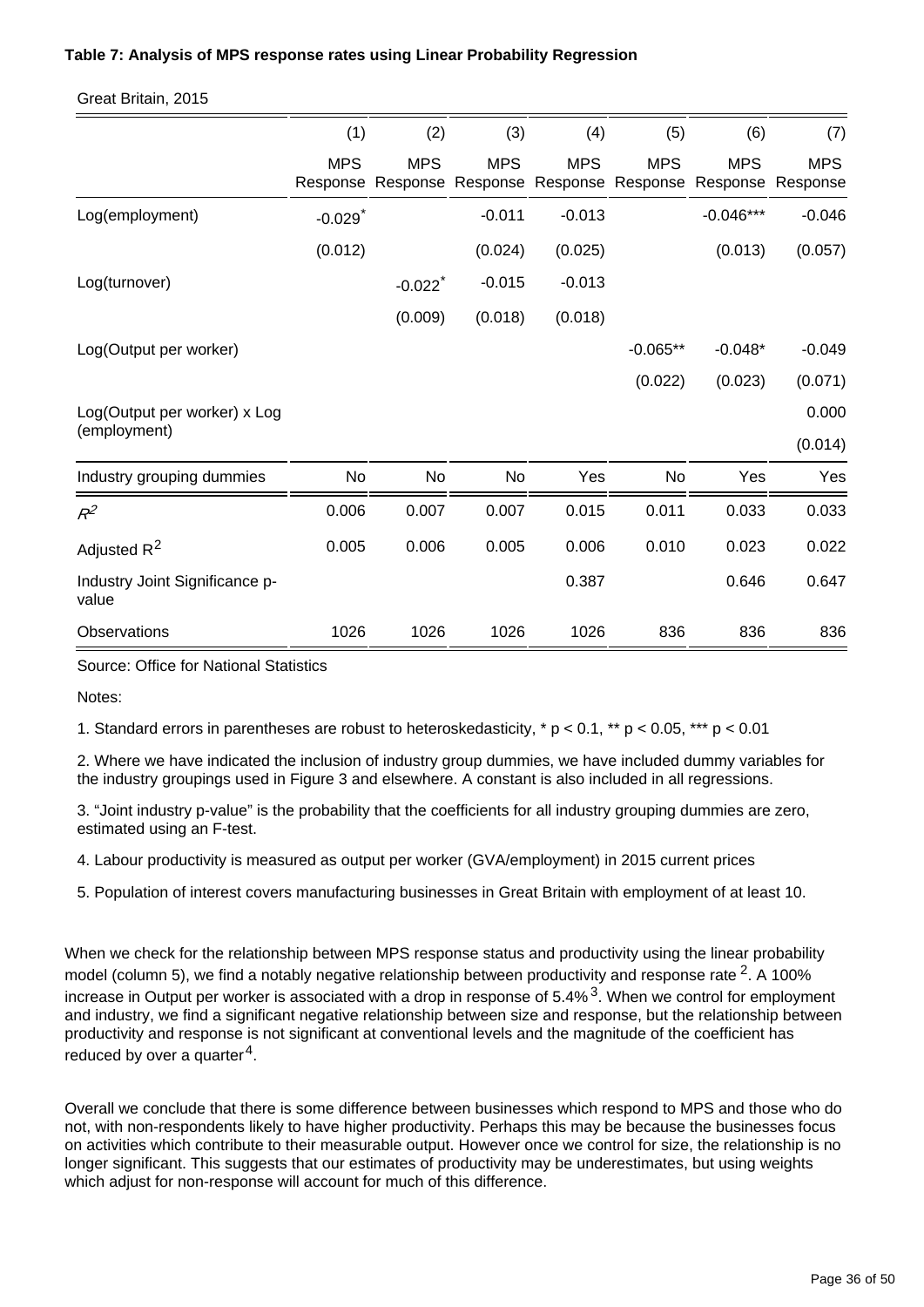#### **Table 7: Analysis of MPS response rates using Linear Probability Regression**

#### Great Britain, 2015

|                                         | (1)                   | (2)                             | (3)        | (4)                                      | (5)        | (6)         | (7)                             |
|-----------------------------------------|-----------------------|---------------------------------|------------|------------------------------------------|------------|-------------|---------------------------------|
|                                         | <b>MPS</b>            | <b>MPS</b><br>Response Response | <b>MPS</b> | <b>MPS</b><br>Response Response Response | <b>MPS</b> | <b>MPS</b>  | <b>MPS</b><br>Response Response |
| Log(employment)                         | $-0.029$ <sup>*</sup> |                                 | $-0.011$   | $-0.013$                                 |            | $-0.046***$ | $-0.046$                        |
|                                         | (0.012)               |                                 | (0.024)    | (0.025)                                  |            | (0.013)     | (0.057)                         |
| Log(turnover)                           |                       | $-0.022$ <sup>*</sup>           | $-0.015$   | $-0.013$                                 |            |             |                                 |
|                                         |                       | (0.009)                         | (0.018)    | (0.018)                                  |            |             |                                 |
| Log(Output per worker)                  |                       |                                 |            |                                          | $-0.065**$ | $-0.048*$   | $-0.049$                        |
|                                         |                       |                                 |            |                                          | (0.022)    | (0.023)     | (0.071)                         |
| Log(Output per worker) x Log            |                       |                                 |            |                                          |            |             | 0.000                           |
| (employment)                            |                       |                                 |            |                                          |            |             | (0.014)                         |
| Industry grouping dummies               | No                    | No                              | No         | Yes                                      | No         | Yes         | Yes                             |
| $R^2$                                   | 0.006                 | 0.007                           | 0.007      | 0.015                                    | 0.011      | 0.033       | 0.033                           |
| Adjusted R <sup>2</sup>                 | 0.005                 | 0.006                           | 0.005      | 0.006                                    | 0.010      | 0.023       | 0.022                           |
| Industry Joint Significance p-<br>value |                       |                                 |            | 0.387                                    |            | 0.646       | 0.647                           |
| Observations                            | 1026                  | 1026                            | 1026       | 1026                                     | 836        | 836         | 836                             |

Source: Office for National Statistics

Notes:

1. Standard errors in parentheses are robust to heteroskedasticity,  $* p < 0.1$ ,  $* p < 0.05$ ,  $** p < 0.01$ 

2. Where we have indicated the inclusion of industry group dummies, we have included dummy variables for the industry groupings used in Figure 3 and elsewhere. A constant is also included in all regressions.

3. "Joint industry p-value" is the probability that the coefficients for all industry grouping dummies are zero, estimated using an F-test.

4. Labour productivity is measured as output per worker (GVA/employment) in 2015 current prices

5. Population of interest covers manufacturing businesses in Great Britain with employment of at least 10.

When we check for the relationship between MPS response status and productivity using the linear probability model (column 5), we find a notably negative relationship between productivity and response rate  $2$ . A 100% increase in Output per worker is associated with a drop in response of  $5.4\%$ <sup>3</sup>. When we control for employment and industry, we find a significant negative relationship between size and response, but the relationship between productivity and response is not significant at conventional levels and the magnitude of the coefficient has reduced by over a quarter<sup>4</sup>.

Overall we conclude that there is some difference between businesses which respond to MPS and those who do not, with non-respondents likely to have higher productivity. Perhaps this may be because the businesses focus on activities which contribute to their measurable output. However once we control for size, the relationship is no longer significant. This suggests that our estimates of productivity may be underestimates, but using weights which adjust for non-response will account for much of this difference.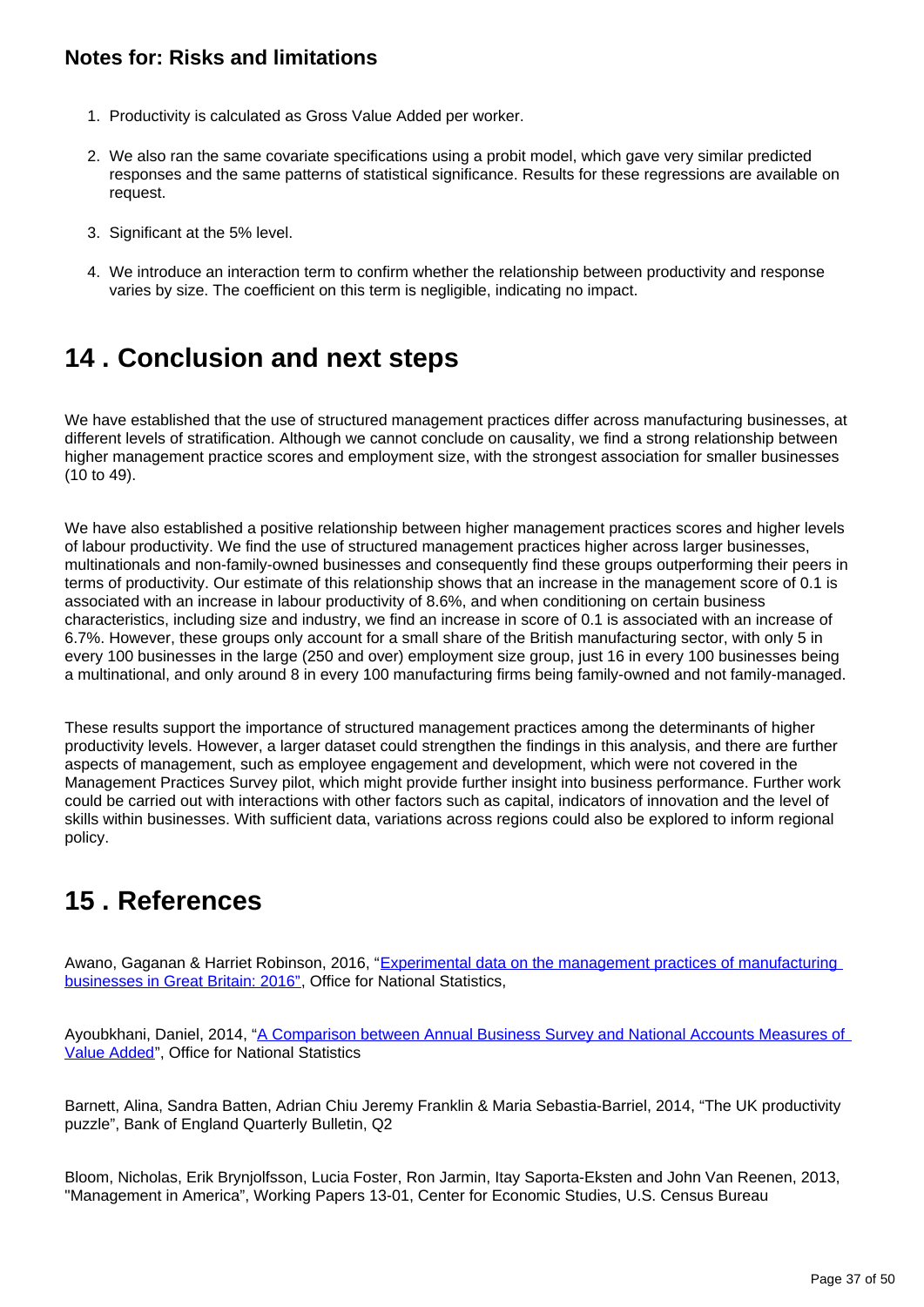### **Notes for: Risks and limitations**

- 1. Productivity is calculated as Gross Value Added per worker.
- 2. We also ran the same covariate specifications using a probit model, which gave very similar predicted responses and the same patterns of statistical significance. Results for these regressions are available on request.
- 3. Significant at the 5% level.
- 4. We introduce an interaction term to confirm whether the relationship between productivity and response varies by size. The coefficient on this term is negligible, indicating no impact.

### <span id="page-36-0"></span>**14 . Conclusion and next steps**

We have established that the use of structured management practices differ across manufacturing businesses, at different levels of stratification. Although we cannot conclude on causality, we find a strong relationship between higher management practice scores and employment size, with the strongest association for smaller businesses (10 to 49).

We have also established a positive relationship between higher management practices scores and higher levels of labour productivity. We find the use of structured management practices higher across larger businesses, multinationals and non-family-owned businesses and consequently find these groups outperforming their peers in terms of productivity. Our estimate of this relationship shows that an increase in the management score of 0.1 is associated with an increase in labour productivity of 8.6%, and when conditioning on certain business characteristics, including size and industry, we find an increase in score of 0.1 is associated with an increase of 6.7%. However, these groups only account for a small share of the British manufacturing sector, with only 5 in every 100 businesses in the large (250 and over) employment size group, just 16 in every 100 businesses being a multinational, and only around 8 in every 100 manufacturing firms being family-owned and not family-managed.

These results support the importance of structured management practices among the determinants of higher productivity levels. However, a larger dataset could strengthen the findings in this analysis, and there are further aspects of management, such as employee engagement and development, which were not covered in the Management Practices Survey pilot, which might provide further insight into business performance. Further work could be carried out with interactions with other factors such as capital, indicators of innovation and the level of skills within businesses. With sufficient data, variations across regions could also be explored to inform regional policy.

## <span id="page-36-1"></span>**15 . References**

Awano, Gaganan & Harriet Robinson, 2016, "[Experimental data on the management practices of manufacturing](https://www.ons.gov.uk/employmentandlabourmarket/peopleinwork/labourproductivity/articles/experimentaldataonthemanagementpracticesofmanufacturingbusinessesingreatbritain/2016)  [businesses in Great Britain: 2016"](https://www.ons.gov.uk/employmentandlabourmarket/peopleinwork/labourproductivity/articles/experimentaldataonthemanagementpracticesofmanufacturingbusinessesingreatbritain/2016), Office for National Statistics,

Ayoubkhani, Daniel, 2014, "A Comparison between Annual Business Survey and National Accounts Measures of [Value Added"](http://webarchive.nationalarchives.gov.uk/20160105160709/http:/ons.gov.uk/ons/rel/abs/annual-business-survey/a-comparison-between-abs-and-national-accounts-measures-of-value-added/index.html), Office for National Statistics

Barnett, Alina, Sandra Batten, Adrian Chiu Jeremy Franklin & Maria Sebastia-Barriel, 2014, "The UK productivity puzzle", Bank of England Quarterly Bulletin, Q2

Bloom, Nicholas, Erik Brynjolfsson, Lucia Foster, Ron Jarmin, Itay Saporta-Eksten and John Van Reenen, 2013, "Management in America", Working Papers 13-01, Center for Economic Studies, U.S. Census Bureau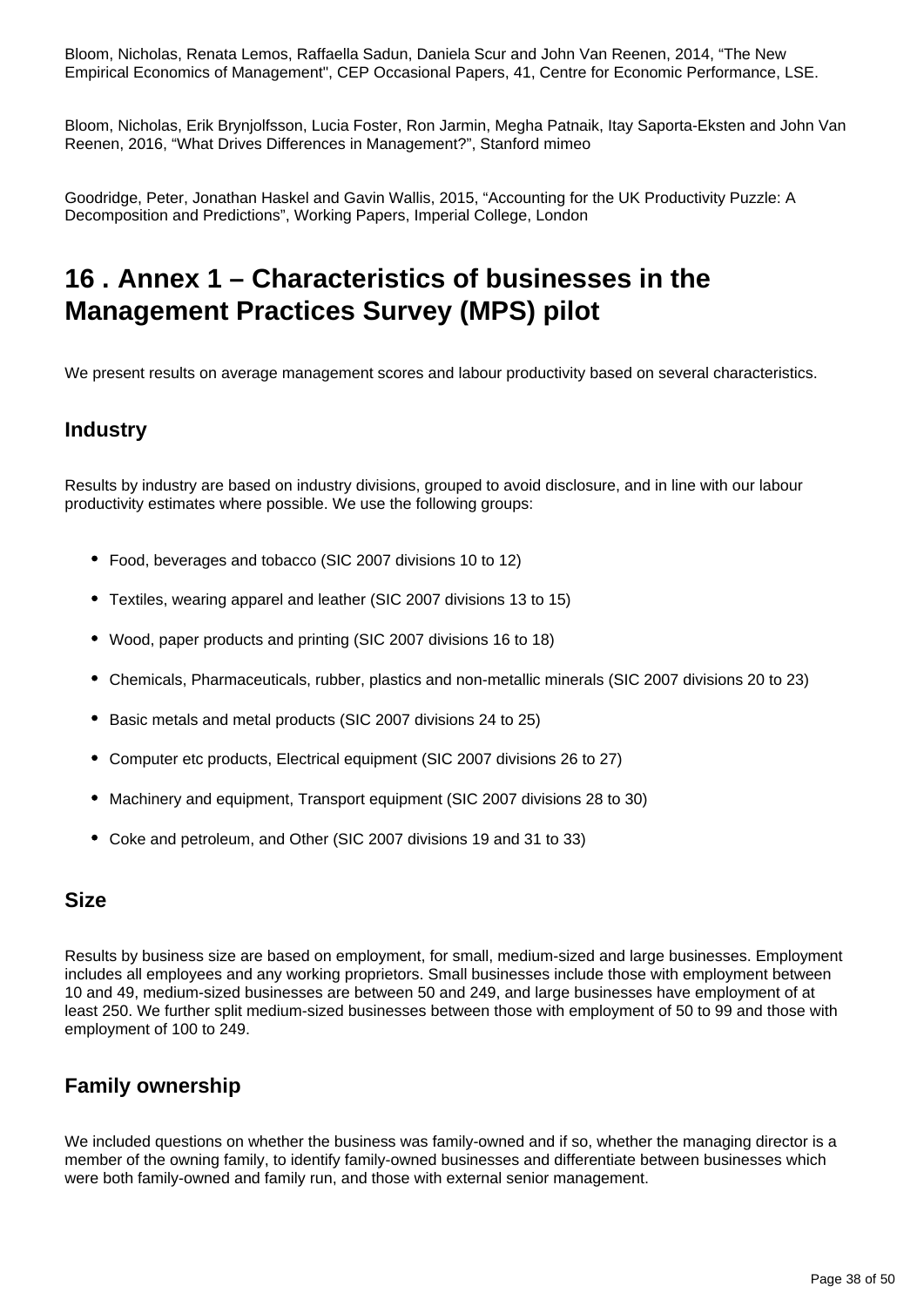Bloom, Nicholas, Renata Lemos, Raffaella Sadun, Daniela Scur and John Van Reenen, 2014, "The New Empirical Economics of Management", CEP Occasional Papers, 41, Centre for Economic Performance, LSE.

Bloom, Nicholas, Erik Brynjolfsson, Lucia Foster, Ron Jarmin, Megha Patnaik, Itay Saporta-Eksten and John Van Reenen, 2016, "What Drives Differences in Management?", Stanford mimeo

Goodridge, Peter, Jonathan Haskel and Gavin Wallis, 2015, "Accounting for the UK Productivity Puzzle: A Decomposition and Predictions", Working Papers, Imperial College, London

### <span id="page-37-0"></span>**16 . Annex 1 – Characteristics of businesses in the Management Practices Survey (MPS) pilot**

We present results on average management scores and labour productivity based on several characteristics.

### **Industry**

Results by industry are based on industry divisions, grouped to avoid disclosure, and in line with our labour productivity estimates where possible. We use the following groups:

- Food, beverages and tobacco (SIC 2007 divisions 10 to 12)
- Textiles, wearing apparel and leather (SIC 2007 divisions 13 to 15)
- Wood, paper products and printing (SIC 2007 divisions 16 to 18)
- Chemicals, Pharmaceuticals, rubber, plastics and non-metallic minerals (SIC 2007 divisions 20 to 23)
- Basic metals and metal products (SIC 2007 divisions 24 to 25)
- Computer etc products, Electrical equipment (SIC 2007 divisions 26 to 27)
- Machinery and equipment, Transport equipment (SIC 2007 divisions 28 to 30)
- Coke and petroleum, and Other (SIC 2007 divisions 19 and 31 to 33)

### **Size**

Results by business size are based on employment, for small, medium-sized and large businesses. Employment includes all employees and any working proprietors. Small businesses include those with employment between 10 and 49, medium-sized businesses are between 50 and 249, and large businesses have employment of at least 250. We further split medium-sized businesses between those with employment of 50 to 99 and those with employment of 100 to 249.

### **Family ownership**

We included questions on whether the business was family-owned and if so, whether the managing director is a member of the owning family, to identify family-owned businesses and differentiate between businesses which were both family-owned and family run, and those with external senior management.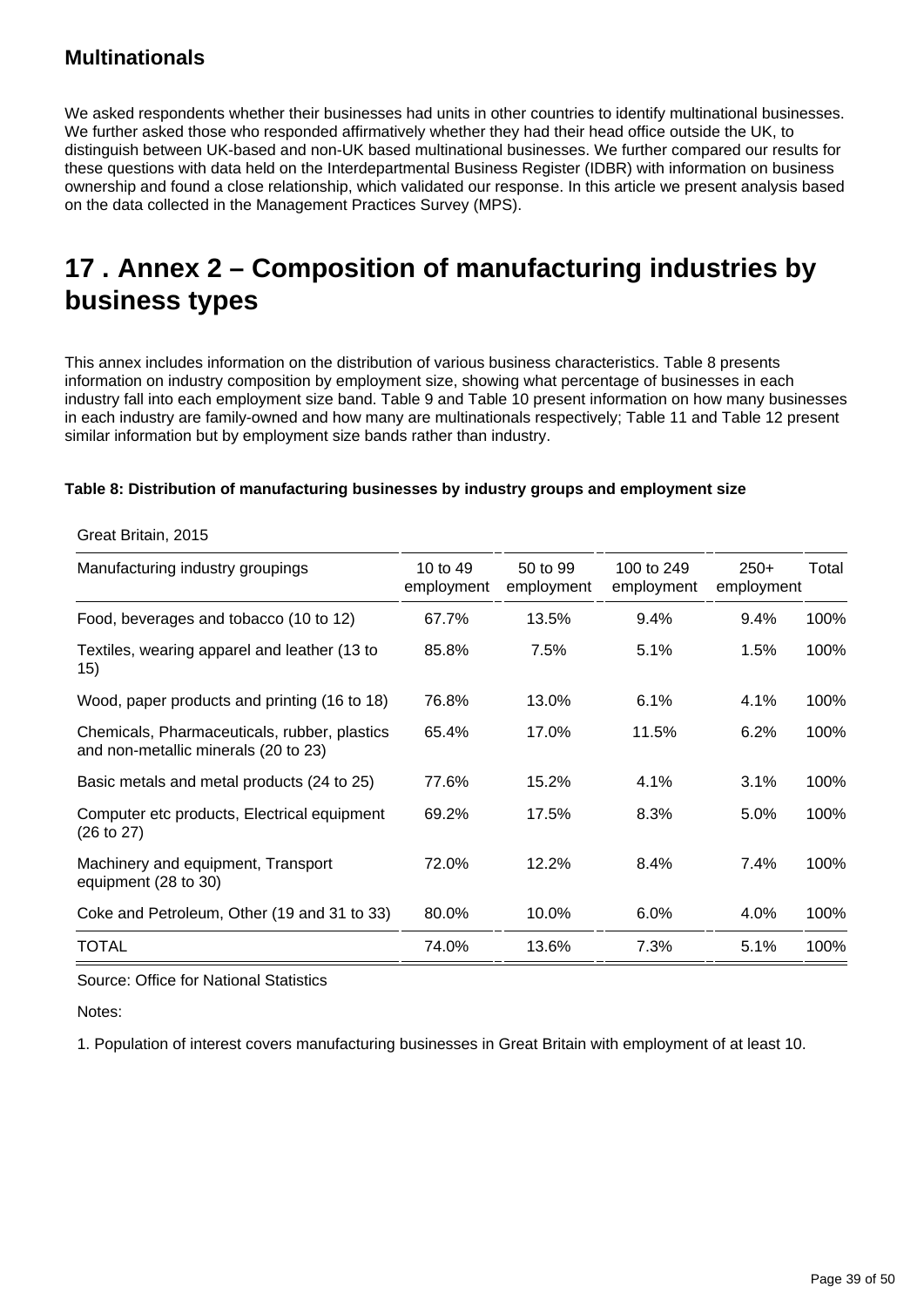### **Multinationals**

We asked respondents whether their businesses had units in other countries to identify multinational businesses. We further asked those who responded affirmatively whether they had their head office outside the UK, to distinguish between UK-based and non-UK based multinational businesses. We further compared our results for these questions with data held on the Interdepartmental Business Register (IDBR) with information on business ownership and found a close relationship, which validated our response. In this article we present analysis based on the data collected in the Management Practices Survey (MPS).

## <span id="page-38-0"></span>**17 . Annex 2 – Composition of manufacturing industries by business types**

This annex includes information on the distribution of various business characteristics. Table 8 presents information on industry composition by employment size, showing what percentage of businesses in each industry fall into each employment size band. Table 9 and Table 10 present information on how many businesses in each industry are family-owned and how many are multinationals respectively; Table 11 and Table 12 present similar information but by employment size bands rather than industry.

#### **Table 8: Distribution of manufacturing businesses by industry groups and employment size**

| Manufacturing industry groupings                                                     | 10 to 49   | 50 to 99   | 100 to 249 | $250+$     | Total |
|--------------------------------------------------------------------------------------|------------|------------|------------|------------|-------|
|                                                                                      | employment | employment | employment | employment |       |
| Food, beverages and tobacco (10 to 12)                                               | 67.7%      | 13.5%      | 9.4%       | 9.4%       | 100%  |
| Textiles, wearing apparel and leather (13 to<br>15)                                  | 85.8%      | 7.5%       | 5.1%       | 1.5%       | 100%  |
| Wood, paper products and printing (16 to 18)                                         | 76.8%      | 13.0%      | 6.1%       | 4.1%       | 100%  |
| Chemicals, Pharmaceuticals, rubber, plastics<br>and non-metallic minerals (20 to 23) | 65.4%      | 17.0%      | 11.5%      | 6.2%       | 100%  |
| Basic metals and metal products (24 to 25)                                           | 77.6%      | 15.2%      | 4.1%       | 3.1%       | 100%  |
| Computer etc products, Electrical equipment<br>(26 to 27)                            | 69.2%      | 17.5%      | 8.3%       | 5.0%       | 100%  |
| Machinery and equipment, Transport<br>equipment (28 to 30)                           | 72.0%      | 12.2%      | 8.4%       | 7.4%       | 100%  |
| Coke and Petroleum, Other (19 and 31 to 33)                                          | 80.0%      | 10.0%      | 6.0%       | 4.0%       | 100%  |
| TOTAL                                                                                | 74.0%      | 13.6%      | 7.3%       | 5.1%       | 100%  |

Great Britain, 2015

Source: Office for National Statistics

Notes: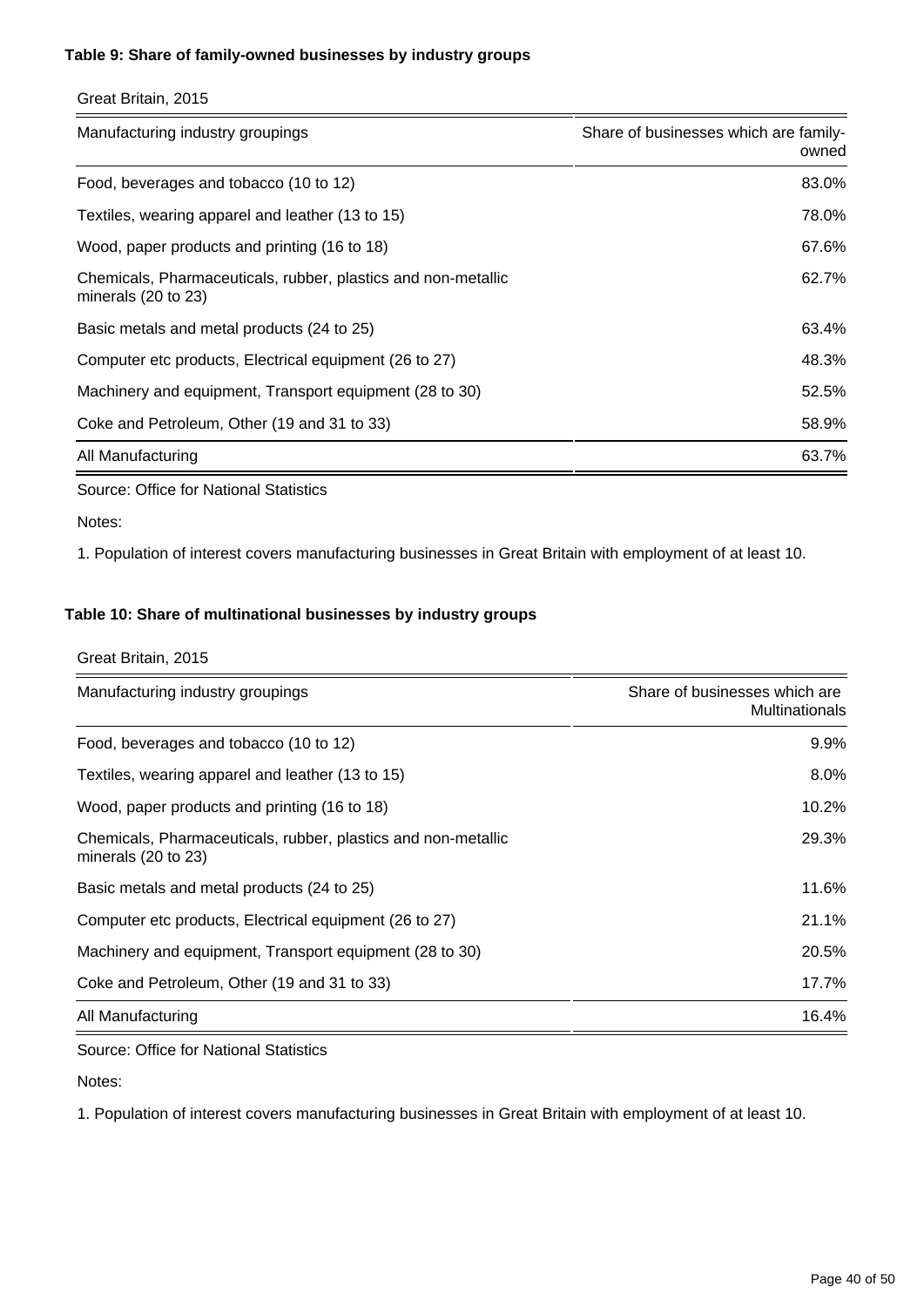#### **Table 9: Share of family-owned businesses by industry groups**

| Great Britain, 2015 |  |
|---------------------|--|
|                     |  |

| Manufacturing industry groupings                                                                | Share of businesses which are family-<br>owned |
|-------------------------------------------------------------------------------------------------|------------------------------------------------|
| Food, beverages and tobacco (10 to 12)                                                          | 83.0%                                          |
| Textiles, wearing apparel and leather (13 to 15)                                                | 78.0%                                          |
| Wood, paper products and printing (16 to 18)                                                    | 67.6%                                          |
| Chemicals, Pharmaceuticals, rubber, plastics and non-metallic<br>minerals $(20 \text{ to } 23)$ | 62.7%                                          |
| Basic metals and metal products (24 to 25)                                                      | 63.4%                                          |
| Computer etc products, Electrical equipment (26 to 27)                                          | 48.3%                                          |
| Machinery and equipment, Transport equipment (28 to 30)                                         | 52.5%                                          |
| Coke and Petroleum, Other (19 and 31 to 33)                                                     | 58.9%                                          |
| All Manufacturing                                                                               | 63.7%                                          |

Source: Office for National Statistics

#### Notes:

1. Population of interest covers manufacturing businesses in Great Britain with employment of at least 10.

#### **Table 10: Share of multinational businesses by industry groups**

#### Great Britain, 2015

| Manufacturing industry groupings                                                     | Share of businesses which are<br><b>Multinationals</b> |
|--------------------------------------------------------------------------------------|--------------------------------------------------------|
| Food, beverages and tobacco (10 to 12)                                               | $9.9\%$                                                |
| Textiles, wearing apparel and leather (13 to 15)                                     | 8.0%                                                   |
| Wood, paper products and printing (16 to 18)                                         | 10.2%                                                  |
| Chemicals, Pharmaceuticals, rubber, plastics and non-metallic<br>minerals (20 to 23) | 29.3%                                                  |
| Basic metals and metal products (24 to 25)                                           | 11.6%                                                  |
| Computer etc products, Electrical equipment (26 to 27)                               | 21.1%                                                  |
| Machinery and equipment, Transport equipment (28 to 30)                              | 20.5%                                                  |
| Coke and Petroleum, Other (19 and 31 to 33)                                          | 17.7%                                                  |
| All Manufacturing                                                                    | 16.4%                                                  |

Source: Office for National Statistics

Notes: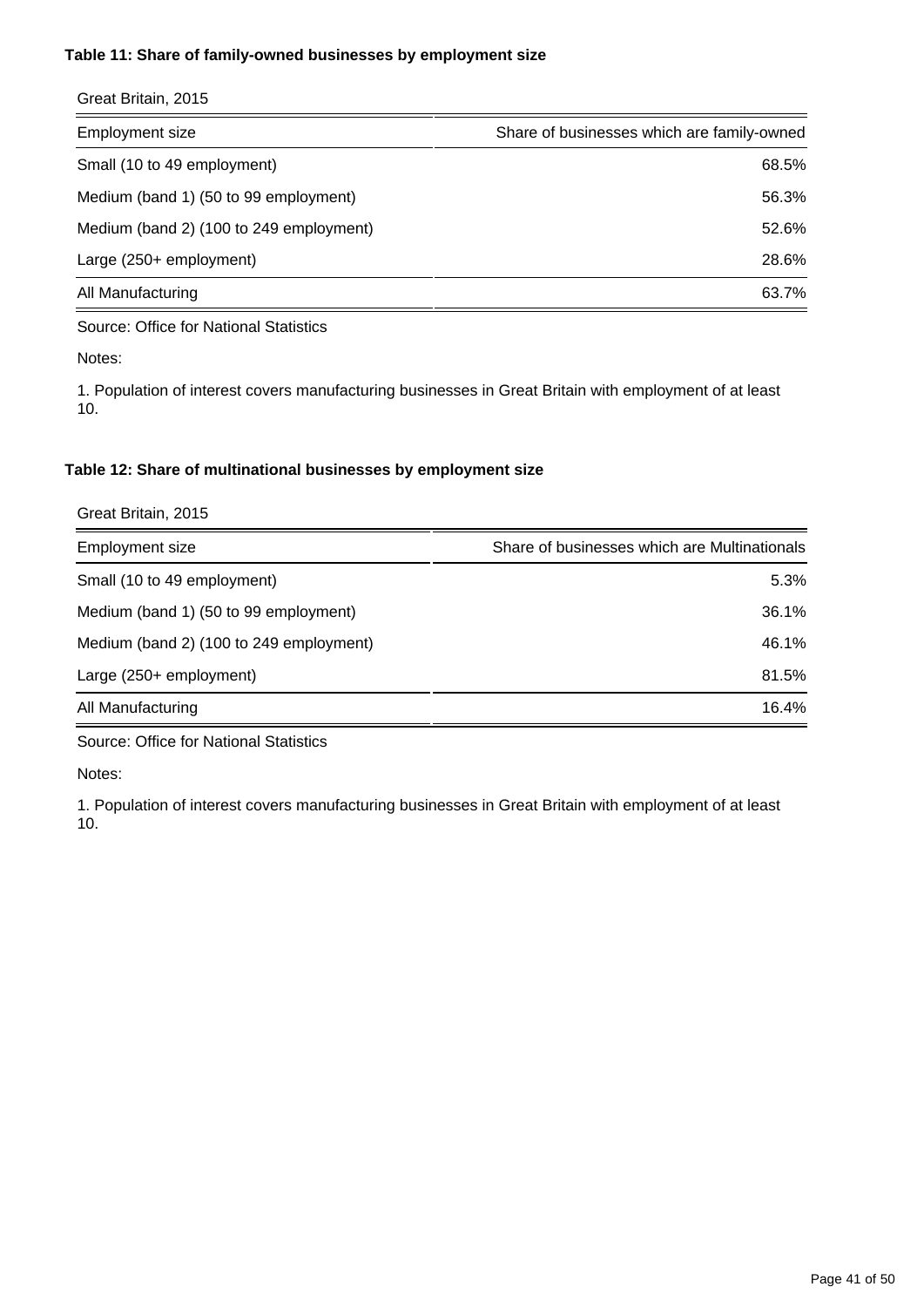#### **Table 11: Share of family-owned businesses by employment size**

| Share of businesses which are family-owned |
|--------------------------------------------|
| 68.5%                                      |
| 56.3%                                      |
| 52.6%                                      |
| 28.6%                                      |
| 63.7%                                      |
|                                            |

Source: Office for National Statistics

Notes:

1. Population of interest covers manufacturing businesses in Great Britain with employment of at least 10.

#### **Table 12: Share of multinational businesses by employment size**

| Great Britain, 2015                     |                                              |
|-----------------------------------------|----------------------------------------------|
| <b>Employment size</b>                  | Share of businesses which are Multinationals |
| Small (10 to 49 employment)             | 5.3%                                         |
| Medium (band 1) (50 to 99 employment)   | 36.1%                                        |
| Medium (band 2) (100 to 249 employment) | 46.1%                                        |
| Large (250+ employment)                 | 81.5%                                        |
| All Manufacturing                       | 16.4%                                        |

Source: Office for National Statistics

Notes: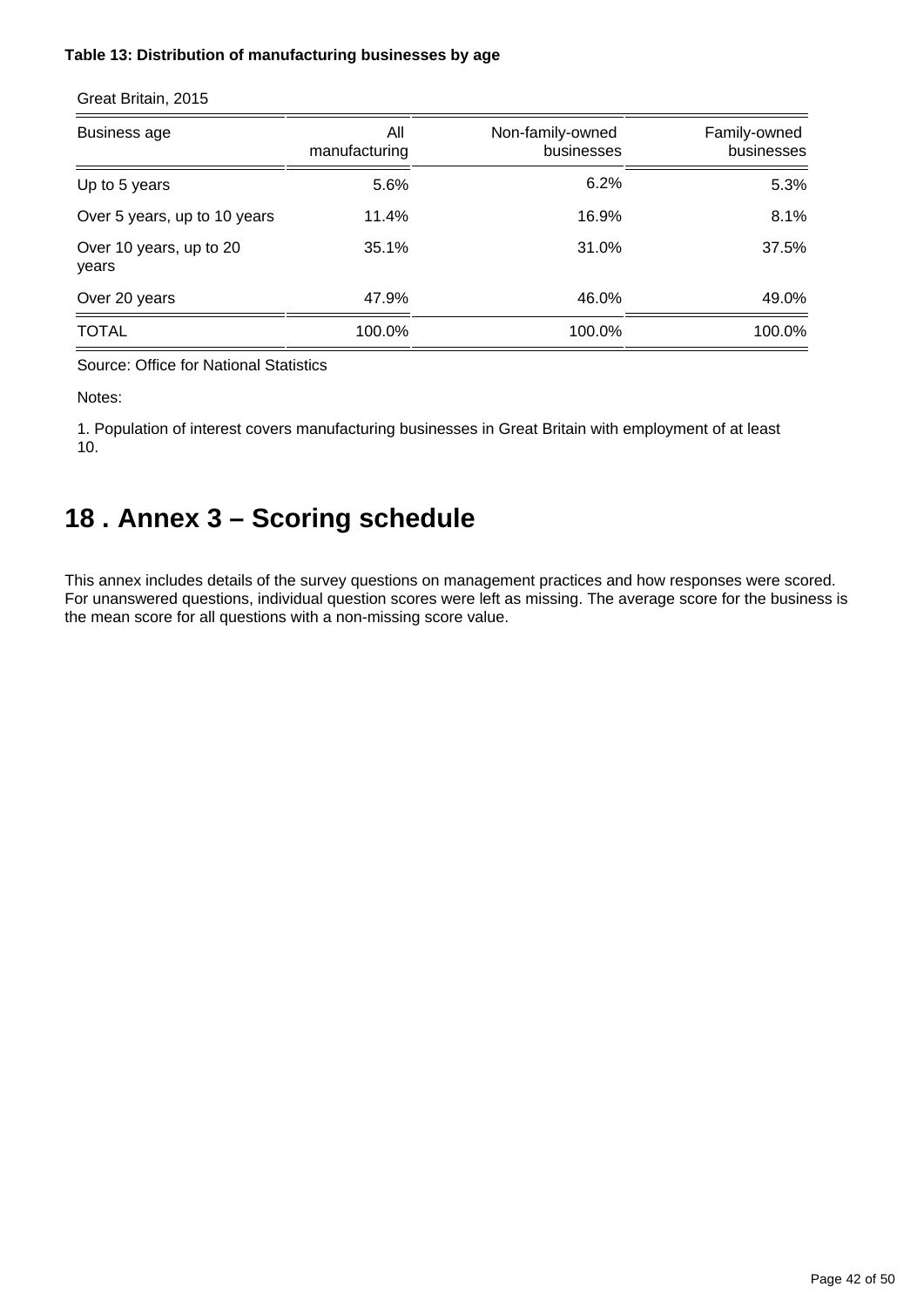#### **Table 13: Distribution of manufacturing businesses by age**

| <b>Business age</b>              | All<br>manufacturing | Non-family-owned<br>businesses | Family-owned<br>businesses |
|----------------------------------|----------------------|--------------------------------|----------------------------|
| Up to 5 years                    | 5.6%                 | 6.2%                           | 5.3%                       |
| Over 5 years, up to 10 years     | 11.4%                | 16.9%                          | 8.1%                       |
| Over 10 years, up to 20<br>years | 35.1%                | 31.0%                          | 37.5%                      |
| Over 20 years                    | 47.9%                | 46.0%                          | 49.0%                      |
| <b>TOTAL</b>                     | 100.0%               | 100.0%                         | 100.0%                     |

Great Britain, 2015

Source: Office for National Statistics

Notes:

1. Population of interest covers manufacturing businesses in Great Britain with employment of at least 10.

## <span id="page-41-0"></span>**18 . Annex 3 – Scoring schedule**

This annex includes details of the survey questions on management practices and how responses were scored. For unanswered questions, individual question scores were left as missing. The average score for the business is the mean score for all questions with a non-missing score value.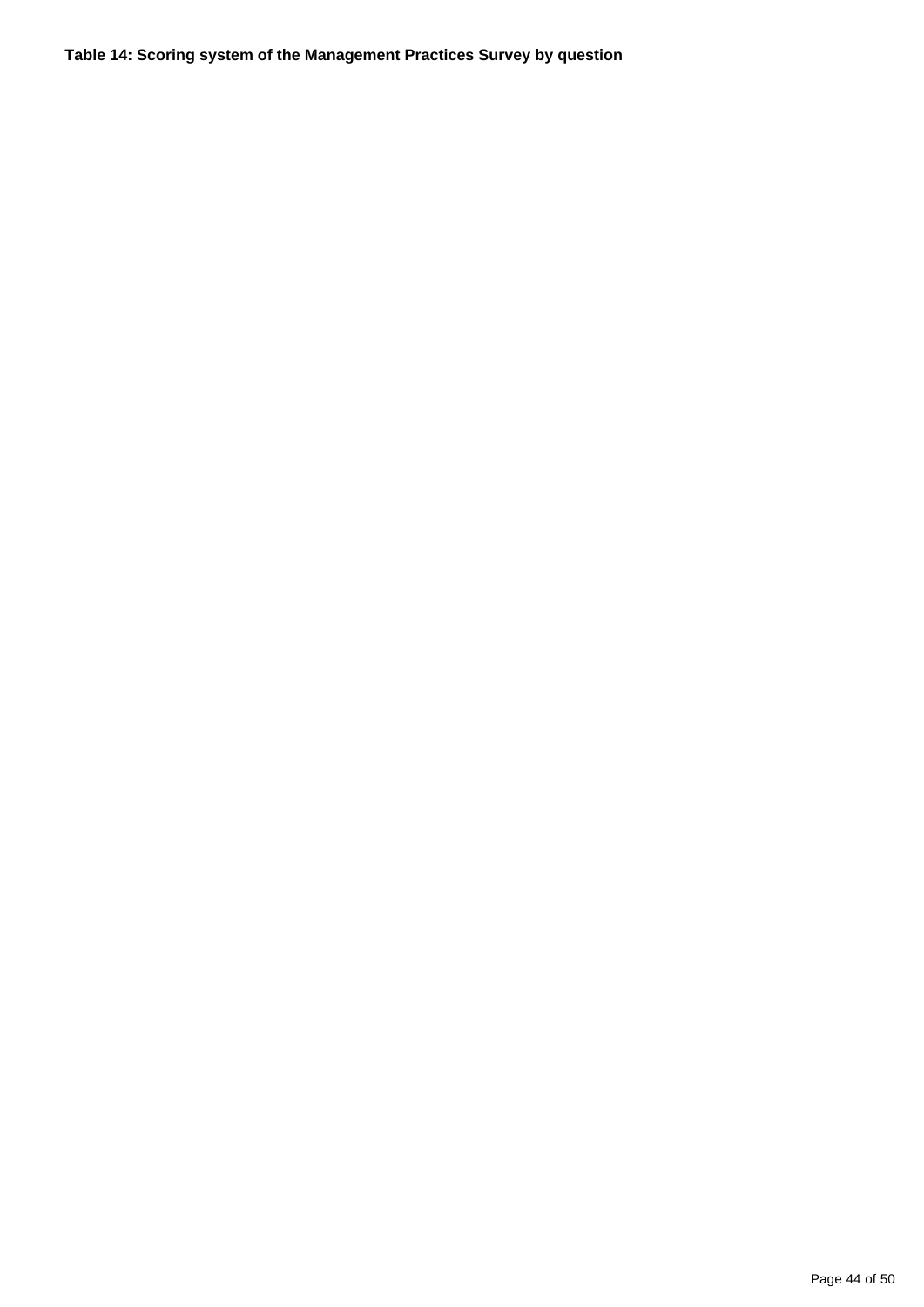**Table 14: Scoring system of the Management Practices Survey by question**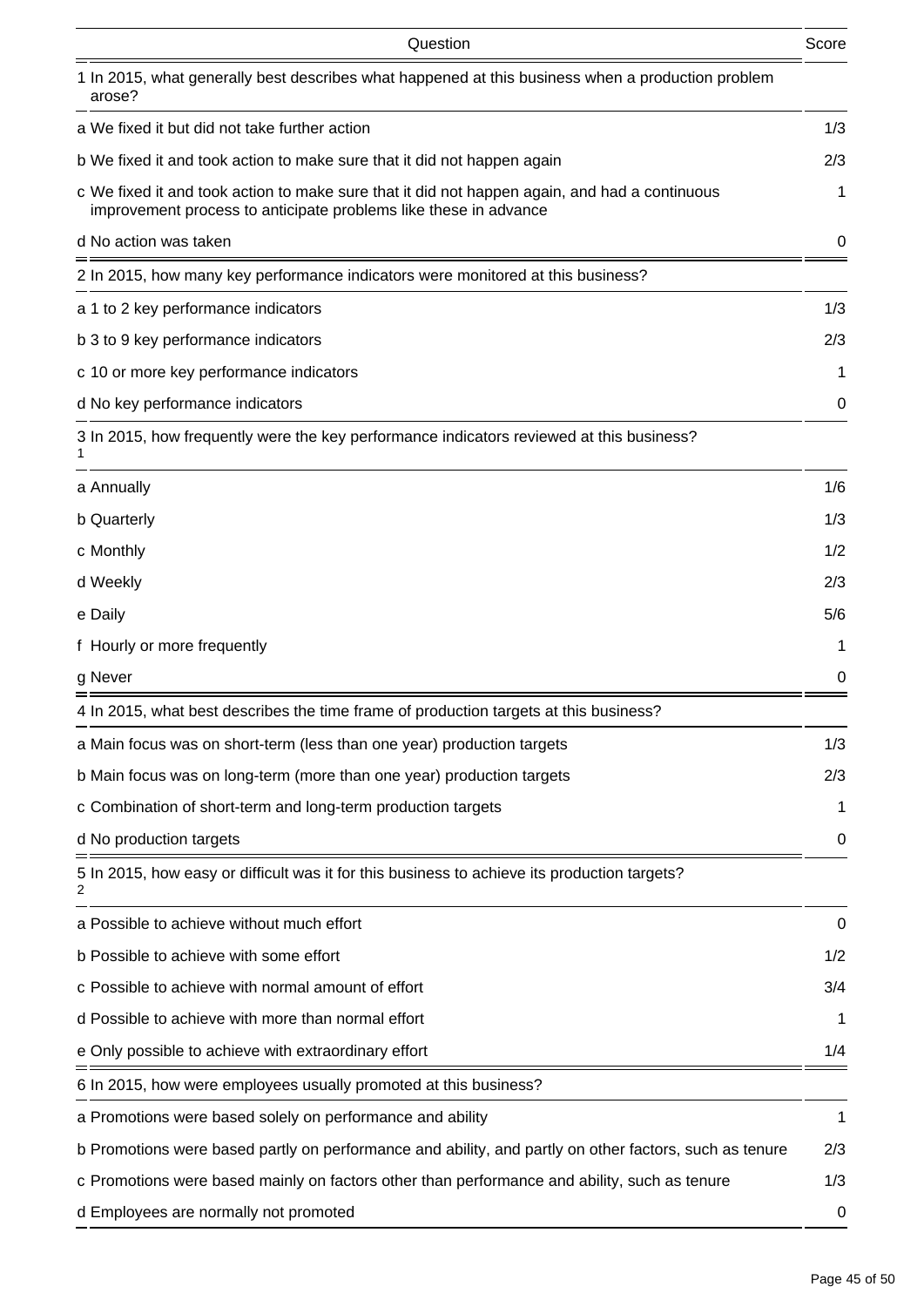| Question                                                                                                                                                          | Score |
|-------------------------------------------------------------------------------------------------------------------------------------------------------------------|-------|
| 1 In 2015, what generally best describes what happened at this business when a production problem<br>arose?                                                       |       |
| a We fixed it but did not take further action                                                                                                                     | 1/3   |
| b We fixed it and took action to make sure that it did not happen again                                                                                           | 2/3   |
| c We fixed it and took action to make sure that it did not happen again, and had a continuous<br>improvement process to anticipate problems like these in advance | 1     |
| d No action was taken                                                                                                                                             | 0     |
| 2 In 2015, how many key performance indicators were monitored at this business?                                                                                   |       |
| a 1 to 2 key performance indicators                                                                                                                               | 1/3   |
| b 3 to 9 key performance indicators                                                                                                                               | 2/3   |
| c 10 or more key performance indicators                                                                                                                           | 1     |
| d No key performance indicators                                                                                                                                   | 0     |
| 3 In 2015, how frequently were the key performance indicators reviewed at this business?                                                                          |       |
| a Annually                                                                                                                                                        | 1/6   |
| b Quarterly                                                                                                                                                       | 1/3   |
| c Monthly                                                                                                                                                         | 1/2   |
| d Weekly                                                                                                                                                          | 2/3   |
| e Daily                                                                                                                                                           | 5/6   |
| f Hourly or more frequently                                                                                                                                       | 1     |
| g Never                                                                                                                                                           | 0     |
| 4 In 2015, what best describes the time frame of production targets at this business?                                                                             |       |
| a Main focus was on short-term (less than one year) production targets                                                                                            | 1/3   |
| b Main focus was on long-term (more than one year) production targets                                                                                             | 2/3   |
| c Combination of short-term and long-term production targets                                                                                                      | 1     |
| d No production targets                                                                                                                                           | 0     |
| 5 In 2015, how easy or difficult was it for this business to achieve its production targets?                                                                      |       |
| a Possible to achieve without much effort                                                                                                                         | 0     |
| b Possible to achieve with some effort                                                                                                                            | 1/2   |
| c Possible to achieve with normal amount of effort                                                                                                                | 3/4   |
| d Possible to achieve with more than normal effort                                                                                                                | 1     |
| e Only possible to achieve with extraordinary effort                                                                                                              | 1/4   |
| 6 In 2015, how were employees usually promoted at this business?                                                                                                  |       |
| a Promotions were based solely on performance and ability                                                                                                         | 1     |
| b Promotions were based partly on performance and ability, and partly on other factors, such as tenure                                                            | 2/3   |
| c Promotions were based mainly on factors other than performance and ability, such as tenure                                                                      | 1/3   |
| d Employees are normally not promoted                                                                                                                             | 0     |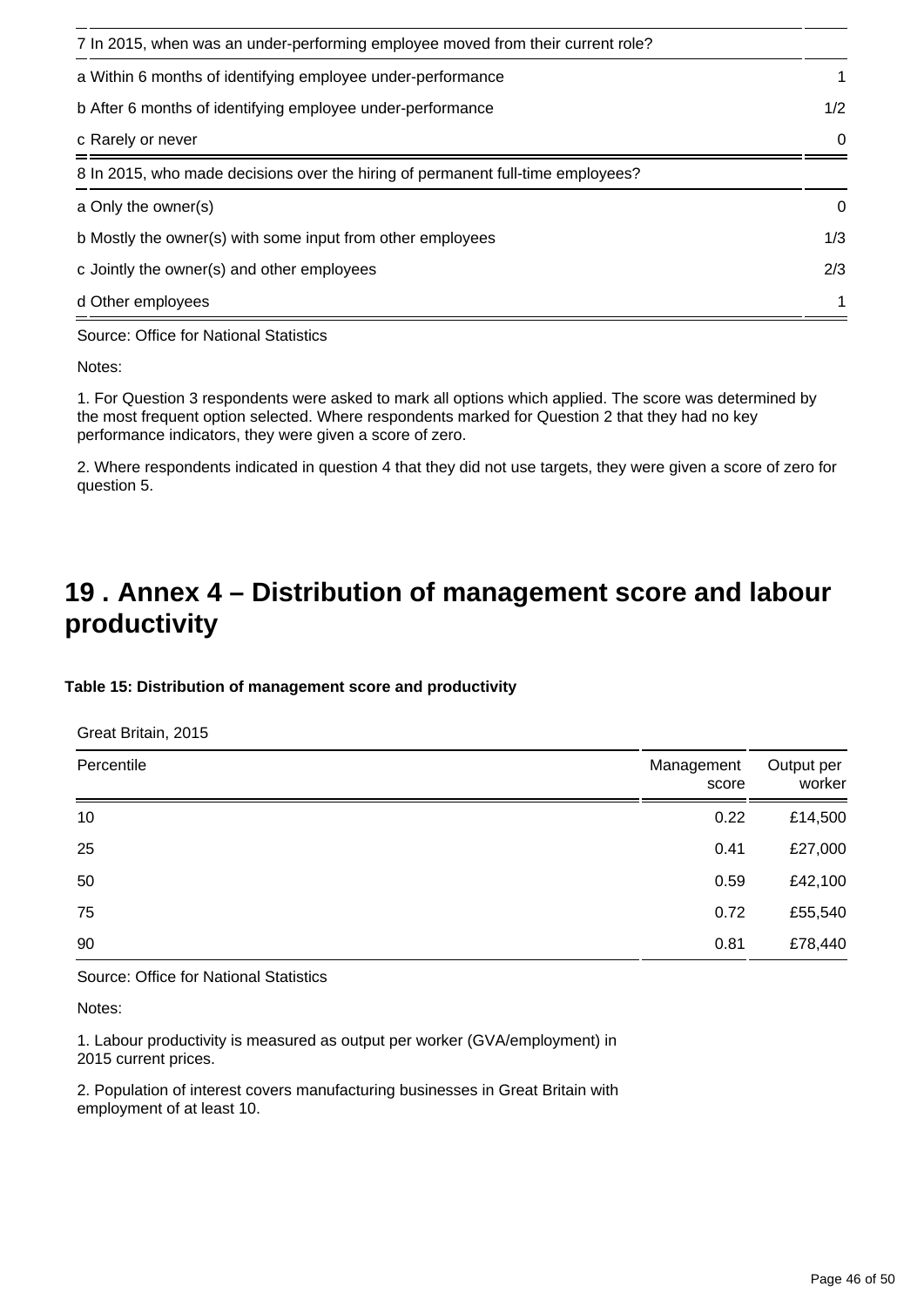| 7 In 2015, when was an under-performing employee moved from their current role? |             |
|---------------------------------------------------------------------------------|-------------|
| a Within 6 months of identifying employee under-performance                     | 1           |
| b After 6 months of identifying employee under-performance                      | 1/2         |
| c Rarely or never                                                               | $\Omega$    |
| 8 In 2015, who made decisions over the hiring of permanent full-time employees? |             |
| a Only the owner(s)                                                             | $\mathbf 0$ |
| b Mostly the owner(s) with some input from other employees                      | 1/3         |
| c Jointly the owner(s) and other employees                                      | 2/3         |
| d Other employees                                                               | 1           |

Source: Office for National Statistics

Notes:

1. For Question 3 respondents were asked to mark all options which applied. The score was determined by the most frequent option selected. Where respondents marked for Question 2 that they had no key performance indicators, they were given a score of zero.

2. Where respondents indicated in question 4 that they did not use targets, they were given a score of zero for question 5.

## <span id="page-45-0"></span>**19 . Annex 4 – Distribution of management score and labour productivity**

#### **Table 15: Distribution of management score and productivity**

Great Britain, 2015

| Percentile | Management<br>score | Output per<br>worker |
|------------|---------------------|----------------------|
| 10         | 0.22                | £14,500              |
| 25         | 0.41                | £27,000              |
| 50         | 0.59                | £42,100              |
| 75         | 0.72                | £55,540              |
| 90         | 0.81                | £78,440              |

Source: Office for National Statistics

Notes:

1. Labour productivity is measured as output per worker (GVA/employment) in 2015 current prices.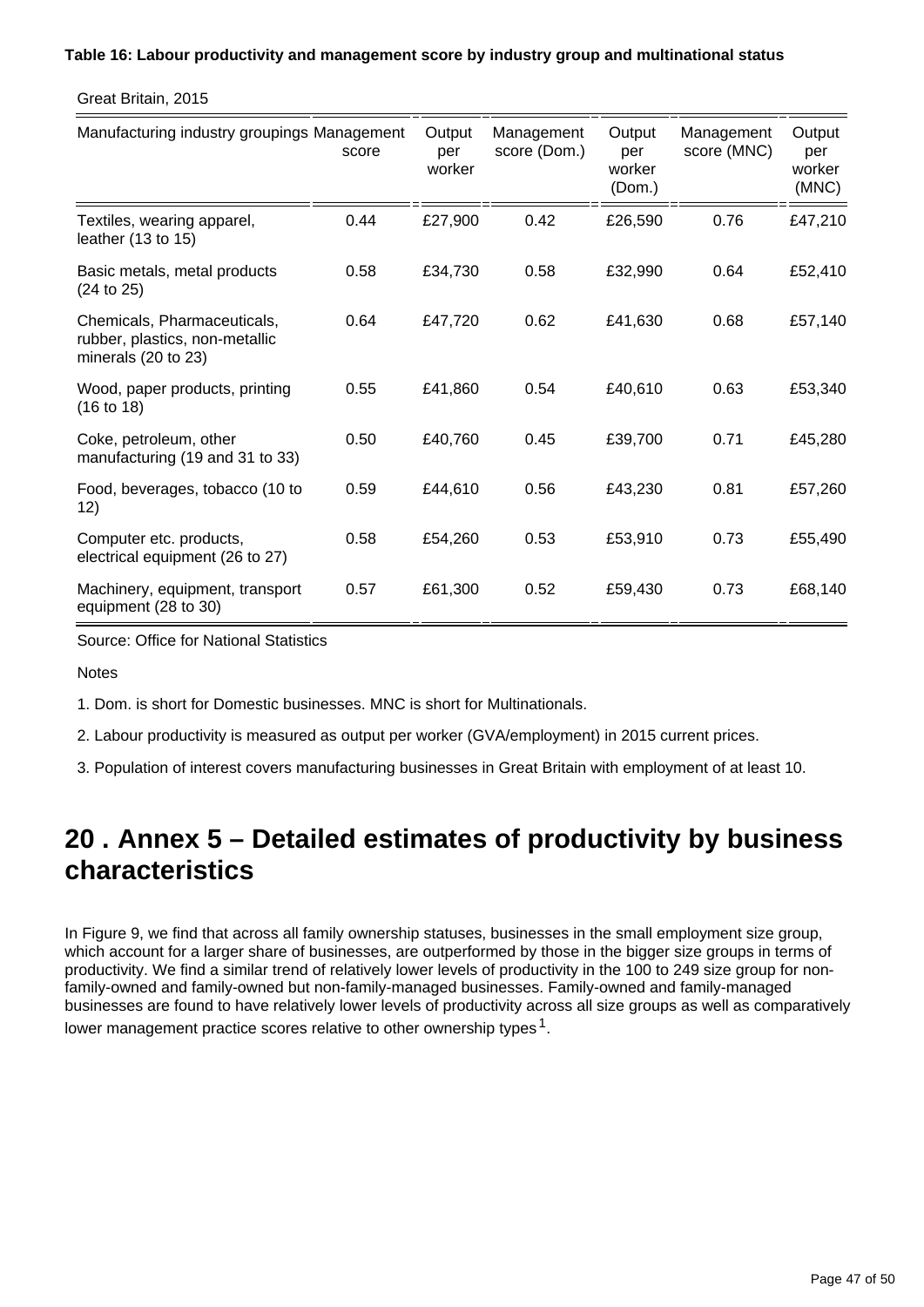#### **Table 16: Labour productivity and management score by industry group and multinational status**

Great Britain, 2015

| Manufacturing industry groupings Management                                                     | score | Output<br>per<br>worker | Management<br>score (Dom.) | Output<br>per<br>worker<br>(Dom.) | Management<br>score (MNC) | Output<br>per<br>worker<br>(MNC) |
|-------------------------------------------------------------------------------------------------|-------|-------------------------|----------------------------|-----------------------------------|---------------------------|----------------------------------|
| Textiles, wearing apparel,<br>leather $(13 \text{ to } 15)$                                     | 0.44  | £27,900                 | 0.42                       | £26,590                           | 0.76                      | £47,210                          |
| Basic metals, metal products<br>(24 to 25)                                                      | 0.58  | £34,730                 | 0.58                       | £32,990                           | 0.64                      | £52,410                          |
| Chemicals, Pharmaceuticals,<br>rubber, plastics, non-metallic<br>minerals $(20 \text{ to } 23)$ | 0.64  | £47,720                 | 0.62                       | £41,630                           | 0.68                      | £57,140                          |
| Wood, paper products, printing<br>(16 to 18)                                                    | 0.55  | £41,860                 | 0.54                       | £40,610                           | 0.63                      | £53,340                          |
| Coke, petroleum, other<br>manufacturing (19 and 31 to 33)                                       | 0.50  | £40,760                 | 0.45                       | £39,700                           | 0.71                      | £45,280                          |
| Food, beverages, tobacco (10 to<br>12)                                                          | 0.59  | £44,610                 | 0.56                       | £43,230                           | 0.81                      | £57,260                          |
| Computer etc. products,<br>electrical equipment (26 to 27)                                      | 0.58  | £54,260                 | 0.53                       | £53,910                           | 0.73                      | £55,490                          |
| Machinery, equipment, transport<br>equipment (28 to 30)                                         | 0.57  | £61,300                 | 0.52                       | £59,430                           | 0.73                      | £68,140                          |

Source: Office for National Statistics

**Notes** 

1. Dom. is short for Domestic businesses. MNC is short for Multinationals.

2. Labour productivity is measured as output per worker (GVA/employment) in 2015 current prices.

3. Population of interest covers manufacturing businesses in Great Britain with employment of at least 10.

## <span id="page-46-0"></span>**20 . Annex 5 – Detailed estimates of productivity by business characteristics**

In Figure 9, we find that across all family ownership statuses, businesses in the small employment size group, which account for a larger share of businesses, are outperformed by those in the bigger size groups in terms of productivity. We find a similar trend of relatively lower levels of productivity in the 100 to 249 size group for nonfamily-owned and family-owned but non-family-managed businesses. Family-owned and family-managed businesses are found to have relatively lower levels of productivity across all size groups as well as comparatively lower management practice scores relative to other ownership types  $^1$ .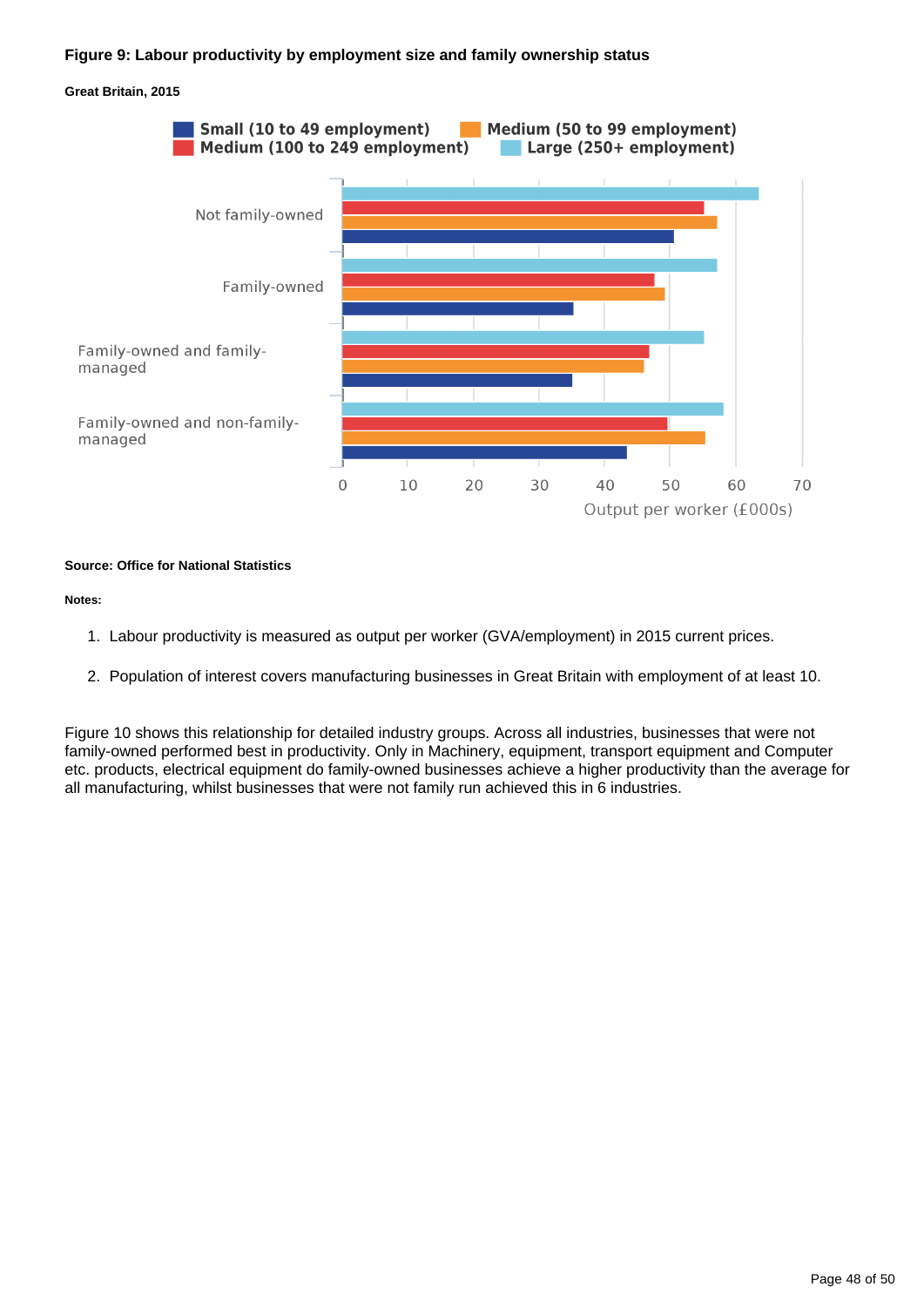#### **Figure 9: Labour productivity by employment size and family ownership status**



#### **Source: Office for National Statistics**

#### **Notes:**

- 1. Labour productivity is measured as output per worker (GVA/employment) in 2015 current prices.
- 2. Population of interest covers manufacturing businesses in Great Britain with employment of at least 10.

Figure 10 shows this relationship for detailed industry groups. Across all industries, businesses that were not family-owned performed best in productivity. Only in Machinery, equipment, transport equipment and Computer etc. products, electrical equipment do family-owned businesses achieve a higher productivity than the average for all manufacturing, whilst businesses that were not family run achieved this in 6 industries.

#### **Great Britain, 2015**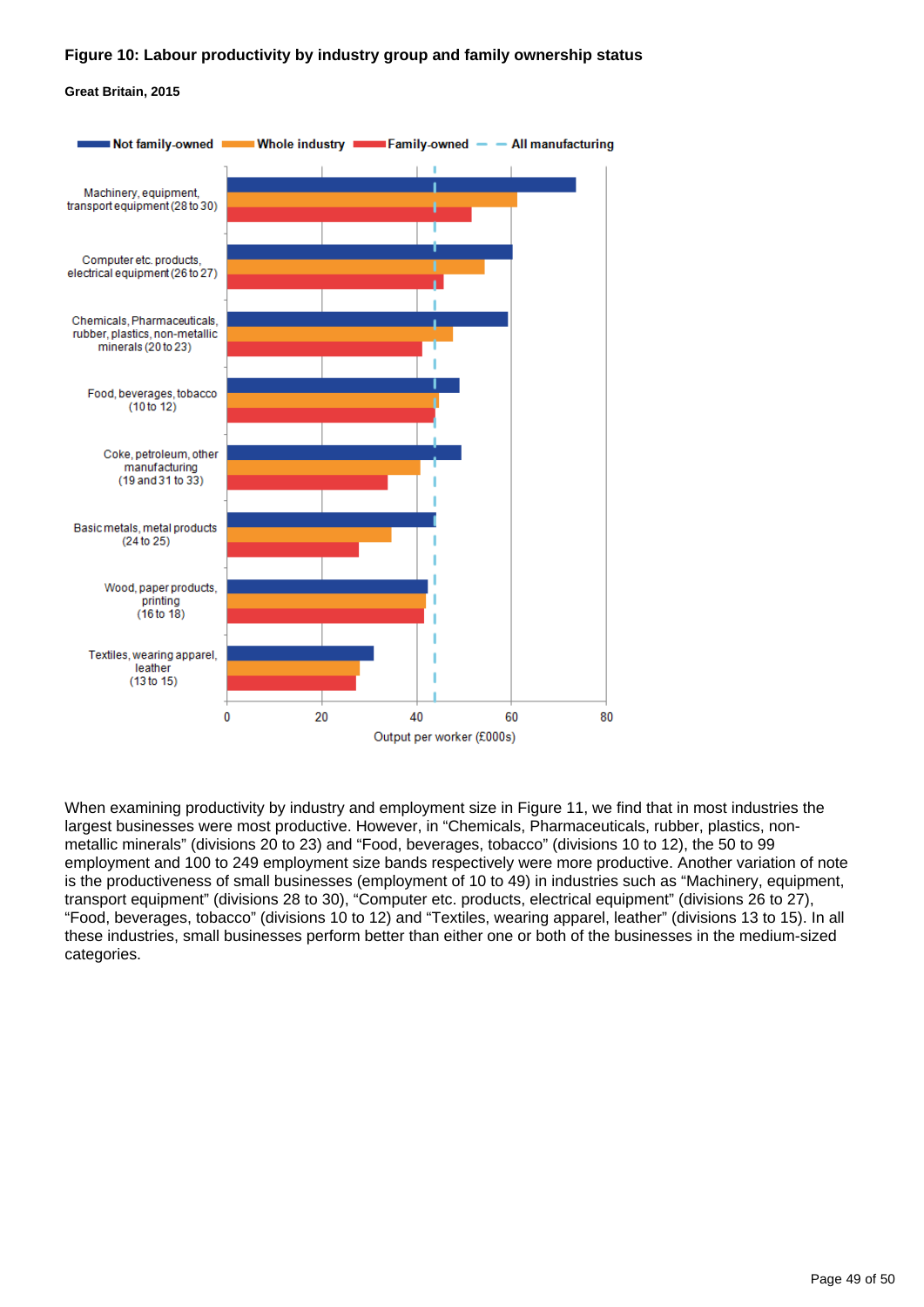#### **Figure 10: Labour productivity by industry group and family ownership status**

#### **Great Britain, 2015**



When examining productivity by industry and employment size in Figure 11, we find that in most industries the largest businesses were most productive. However, in "Chemicals, Pharmaceuticals, rubber, plastics, nonmetallic minerals" (divisions 20 to 23) and "Food, beverages, tobacco" (divisions 10 to 12), the 50 to 99 employment and 100 to 249 employment size bands respectively were more productive. Another variation of note is the productiveness of small businesses (employment of 10 to 49) in industries such as "Machinery, equipment, transport equipment" (divisions 28 to 30), "Computer etc. products, electrical equipment" (divisions 26 to 27), "Food, beverages, tobacco" (divisions 10 to 12) and "Textiles, wearing apparel, leather" (divisions 13 to 15). In all these industries, small businesses perform better than either one or both of the businesses in the medium-sized categories.